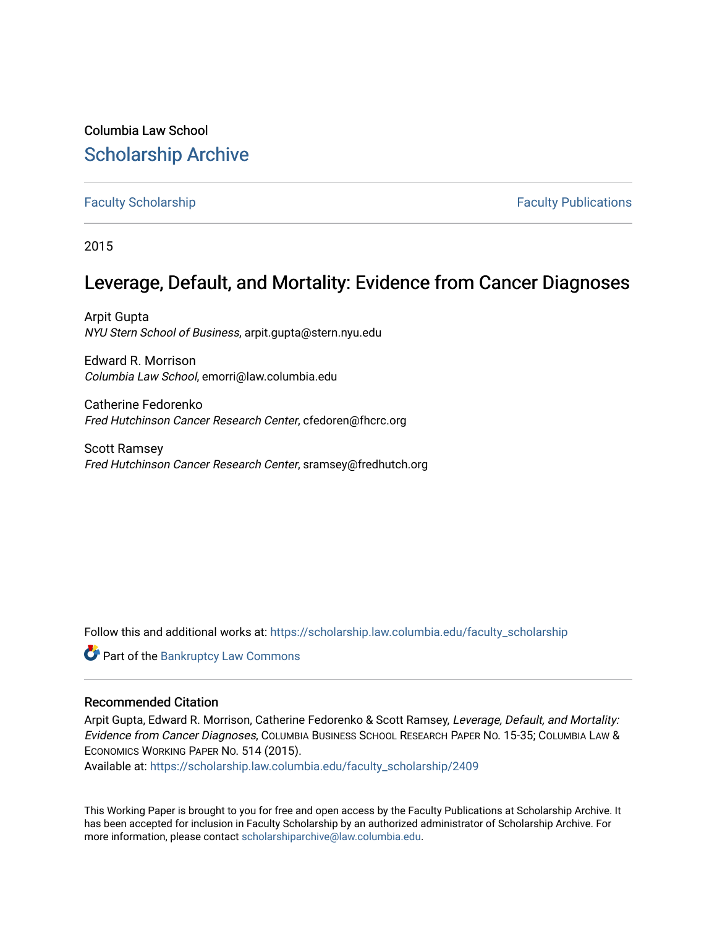# Columbia Law School [Scholarship Archive](https://scholarship.law.columbia.edu/)

### [Faculty Scholarship](https://scholarship.law.columbia.edu/faculty_scholarship) **Faculty Scholarship Faculty Publications**

2015

## Leverage, Default, and Mortality: Evidence from Cancer Diagnoses

Arpit Gupta NYU Stern School of Business, arpit.gupta@stern.nyu.edu

Edward R. Morrison Columbia Law School, emorri@law.columbia.edu

Catherine Fedorenko Fred Hutchinson Cancer Research Center, cfedoren@fhcrc.org

Scott Ramsey Fred Hutchinson Cancer Research Center, sramsey@fredhutch.org

Follow this and additional works at: [https://scholarship.law.columbia.edu/faculty\\_scholarship](https://scholarship.law.columbia.edu/faculty_scholarship?utm_source=scholarship.law.columbia.edu%2Ffaculty_scholarship%2F2409&utm_medium=PDF&utm_campaign=PDFCoverPages)

**C** Part of the Bankruptcy Law Commons

### Recommended Citation

Arpit Gupta, Edward R. Morrison, Catherine Fedorenko & Scott Ramsey, Leverage, Default, and Mortality: Evidence from Cancer Diagnoses, COLUMBIA BUSINESS SCHOOL RESEARCH PAPER NO. 15-35; COLUMBIA LAW & ECONOMICS WORKING PAPER NO. 514 (2015).

Available at: [https://scholarship.law.columbia.edu/faculty\\_scholarship/2409](https://scholarship.law.columbia.edu/faculty_scholarship/2409?utm_source=scholarship.law.columbia.edu%2Ffaculty_scholarship%2F2409&utm_medium=PDF&utm_campaign=PDFCoverPages)

This Working Paper is brought to you for free and open access by the Faculty Publications at Scholarship Archive. It has been accepted for inclusion in Faculty Scholarship by an authorized administrator of Scholarship Archive. For more information, please contact [scholarshiparchive@law.columbia.edu.](mailto:scholarshiparchive@law.columbia.edu)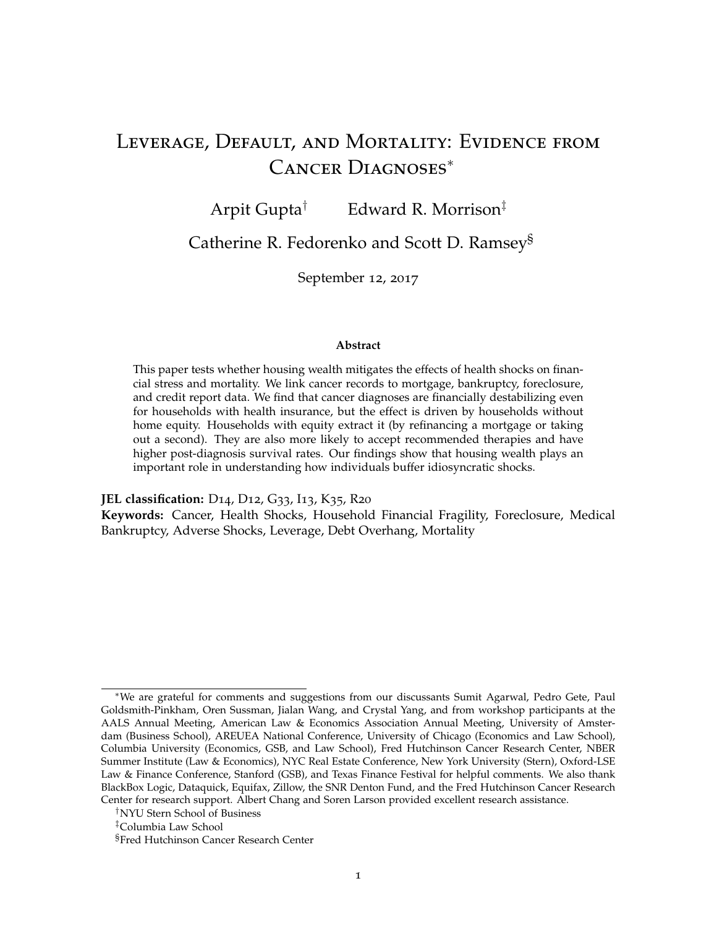# Leverage, Default, and Mortality: Evidence from Cancer Diagnoses<sup>∗</sup>

Arpit Gupta<sup>†</sup> Edward R. Morrison<sup>‡</sup>

Catherine R. Fedorenko and Scott D. Ramsey§

September 12, 2017

#### **Abstract**

This paper tests whether housing wealth mitigates the effects of health shocks on financial stress and mortality. We link cancer records to mortgage, bankruptcy, foreclosure, and credit report data. We find that cancer diagnoses are financially destabilizing even for households with health insurance, but the effect is driven by households without home equity. Households with equity extract it (by refinancing a mortgage or taking out a second). They are also more likely to accept recommended therapies and have higher post-diagnosis survival rates. Our findings show that housing wealth plays an important role in understanding how individuals buffer idiosyncratic shocks.

**JEL classification:** D14, D12, G33, I13, K35, R20

**Keywords:** Cancer, Health Shocks, Household Financial Fragility, Foreclosure, Medical Bankruptcy, Adverse Shocks, Leverage, Debt Overhang, Mortality

<sup>∗</sup>We are grateful for comments and suggestions from our discussants Sumit Agarwal, Pedro Gete, Paul Goldsmith-Pinkham, Oren Sussman, Jialan Wang, and Crystal Yang, and from workshop participants at the AALS Annual Meeting, American Law & Economics Association Annual Meeting, University of Amsterdam (Business School), AREUEA National Conference, University of Chicago (Economics and Law School), Columbia University (Economics, GSB, and Law School), Fred Hutchinson Cancer Research Center, NBER Summer Institute (Law & Economics), NYC Real Estate Conference, New York University (Stern), Oxford-LSE Law & Finance Conference, Stanford (GSB), and Texas Finance Festival for helpful comments. We also thank BlackBox Logic, Dataquick, Equifax, Zillow, the SNR Denton Fund, and the Fred Hutchinson Cancer Research Center for research support. Albert Chang and Soren Larson provided excellent research assistance.

<sup>†</sup>NYU Stern School of Business

<sup>‡</sup>Columbia Law School

<sup>§</sup>Fred Hutchinson Cancer Research Center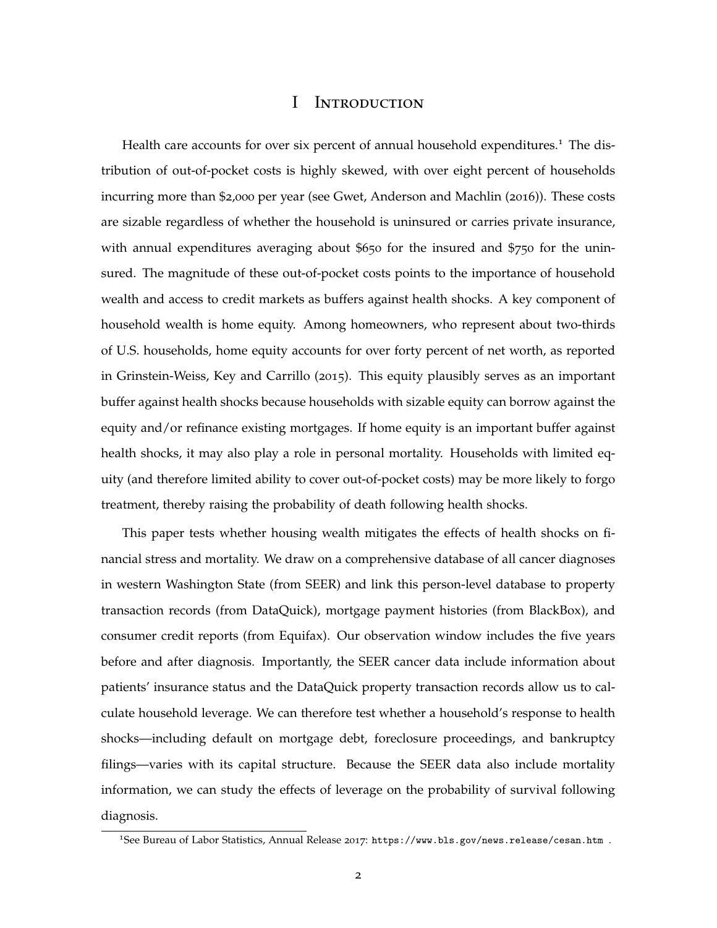### I Introduction

Health care accounts for over six percent of annual household expenditures.<sup>1</sup> The distribution of out-of-pocket costs is highly skewed, with over eight percent of households incurring more than \$2,000 per year (see Gwet, Anderson and Machlin (2016)). These costs are sizable regardless of whether the household is uninsured or carries private insurance, with annual expenditures averaging about \$650 for the insured and \$750 for the uninsured. The magnitude of these out-of-pocket costs points to the importance of household wealth and access to credit markets as buffers against health shocks. A key component of household wealth is home equity. Among homeowners, who represent about two-thirds of U.S. households, home equity accounts for over forty percent of net worth, as reported in Grinstein-Weiss, Key and Carrillo (2015). This equity plausibly serves as an important buffer against health shocks because households with sizable equity can borrow against the equity and/or refinance existing mortgages. If home equity is an important buffer against health shocks, it may also play a role in personal mortality. Households with limited equity (and therefore limited ability to cover out-of-pocket costs) may be more likely to forgo treatment, thereby raising the probability of death following health shocks.

This paper tests whether housing wealth mitigates the effects of health shocks on financial stress and mortality. We draw on a comprehensive database of all cancer diagnoses in western Washington State (from SEER) and link this person-level database to property transaction records (from DataQuick), mortgage payment histories (from BlackBox), and consumer credit reports (from Equifax). Our observation window includes the five years before and after diagnosis. Importantly, the SEER cancer data include information about patients' insurance status and the DataQuick property transaction records allow us to calculate household leverage. We can therefore test whether a household's response to health shocks—including default on mortgage debt, foreclosure proceedings, and bankruptcy filings—varies with its capital structure. Because the SEER data also include mortality information, we can study the effects of leverage on the probability of survival following diagnosis.

<sup>1</sup>See Bureau of Labor Statistics, Annual Release 2017: https://www.bls.gov/news.release/cesan.htm .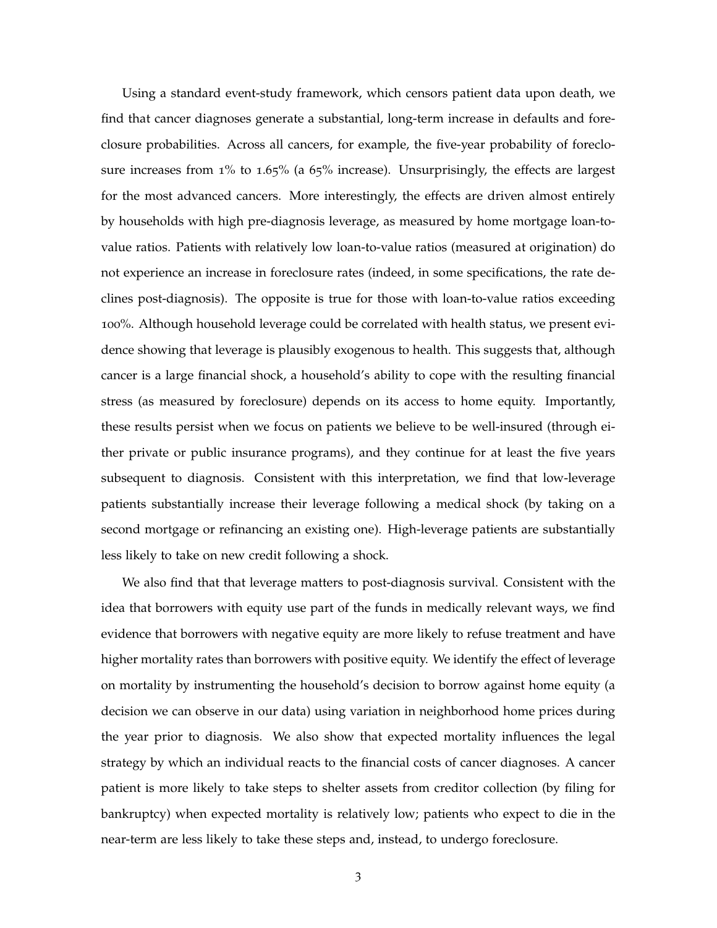Using a standard event-study framework, which censors patient data upon death, we find that cancer diagnoses generate a substantial, long-term increase in defaults and foreclosure probabilities. Across all cancers, for example, the five-year probability of foreclosure increases from 1% to 1.65% (a 65% increase). Unsurprisingly, the effects are largest for the most advanced cancers. More interestingly, the effects are driven almost entirely by households with high pre-diagnosis leverage, as measured by home mortgage loan-tovalue ratios. Patients with relatively low loan-to-value ratios (measured at origination) do not experience an increase in foreclosure rates (indeed, in some specifications, the rate declines post-diagnosis). The opposite is true for those with loan-to-value ratios exceeding 100%. Although household leverage could be correlated with health status, we present evidence showing that leverage is plausibly exogenous to health. This suggests that, although cancer is a large financial shock, a household's ability to cope with the resulting financial stress (as measured by foreclosure) depends on its access to home equity. Importantly, these results persist when we focus on patients we believe to be well-insured (through either private or public insurance programs), and they continue for at least the five years subsequent to diagnosis. Consistent with this interpretation, we find that low-leverage patients substantially increase their leverage following a medical shock (by taking on a second mortgage or refinancing an existing one). High-leverage patients are substantially less likely to take on new credit following a shock.

We also find that that leverage matters to post-diagnosis survival. Consistent with the idea that borrowers with equity use part of the funds in medically relevant ways, we find evidence that borrowers with negative equity are more likely to refuse treatment and have higher mortality rates than borrowers with positive equity. We identify the effect of leverage on mortality by instrumenting the household's decision to borrow against home equity (a decision we can observe in our data) using variation in neighborhood home prices during the year prior to diagnosis. We also show that expected mortality influences the legal strategy by which an individual reacts to the financial costs of cancer diagnoses. A cancer patient is more likely to take steps to shelter assets from creditor collection (by filing for bankruptcy) when expected mortality is relatively low; patients who expect to die in the near-term are less likely to take these steps and, instead, to undergo foreclosure.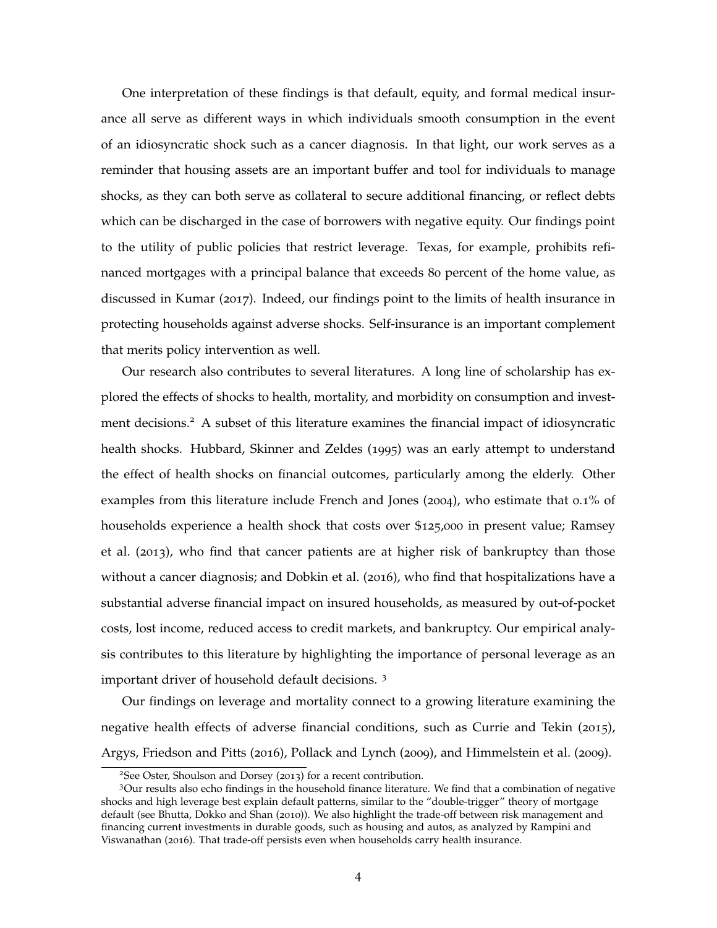One interpretation of these findings is that default, equity, and formal medical insurance all serve as different ways in which individuals smooth consumption in the event of an idiosyncratic shock such as a cancer diagnosis. In that light, our work serves as a reminder that housing assets are an important buffer and tool for individuals to manage shocks, as they can both serve as collateral to secure additional financing, or reflect debts which can be discharged in the case of borrowers with negative equity. Our findings point to the utility of public policies that restrict leverage. Texas, for example, prohibits refinanced mortgages with a principal balance that exceeds 80 percent of the home value, as discussed in Kumar (2017). Indeed, our findings point to the limits of health insurance in protecting households against adverse shocks. Self-insurance is an important complement that merits policy intervention as well.

Our research also contributes to several literatures. A long line of scholarship has explored the effects of shocks to health, mortality, and morbidity on consumption and investment decisions.<sup>2</sup> A subset of this literature examines the financial impact of idiosyncratic health shocks. Hubbard, Skinner and Zeldes (1995) was an early attempt to understand the effect of health shocks on financial outcomes, particularly among the elderly. Other examples from this literature include French and Jones (2004), who estimate that 0.1% of households experience a health shock that costs over \$125,000 in present value; Ramsey et al. (2013), who find that cancer patients are at higher risk of bankruptcy than those without a cancer diagnosis; and Dobkin et al. (2016), who find that hospitalizations have a substantial adverse financial impact on insured households, as measured by out-of-pocket costs, lost income, reduced access to credit markets, and bankruptcy. Our empirical analysis contributes to this literature by highlighting the importance of personal leverage as an important driver of household default decisions. <sup>3</sup>

Our findings on leverage and mortality connect to a growing literature examining the negative health effects of adverse financial conditions, such as Currie and Tekin (2015), Argys, Friedson and Pitts (2016), Pollack and Lynch (2009), and Himmelstein et al. (2009).

<sup>2</sup>See Oster, Shoulson and Dorsey (2013) for a recent contribution.

<sup>3</sup>Our results also echo findings in the household finance literature. We find that a combination of negative shocks and high leverage best explain default patterns, similar to the "double-trigger" theory of mortgage default (see Bhutta, Dokko and Shan (2010)). We also highlight the trade-off between risk management and financing current investments in durable goods, such as housing and autos, as analyzed by Rampini and Viswanathan (2016). That trade-off persists even when households carry health insurance.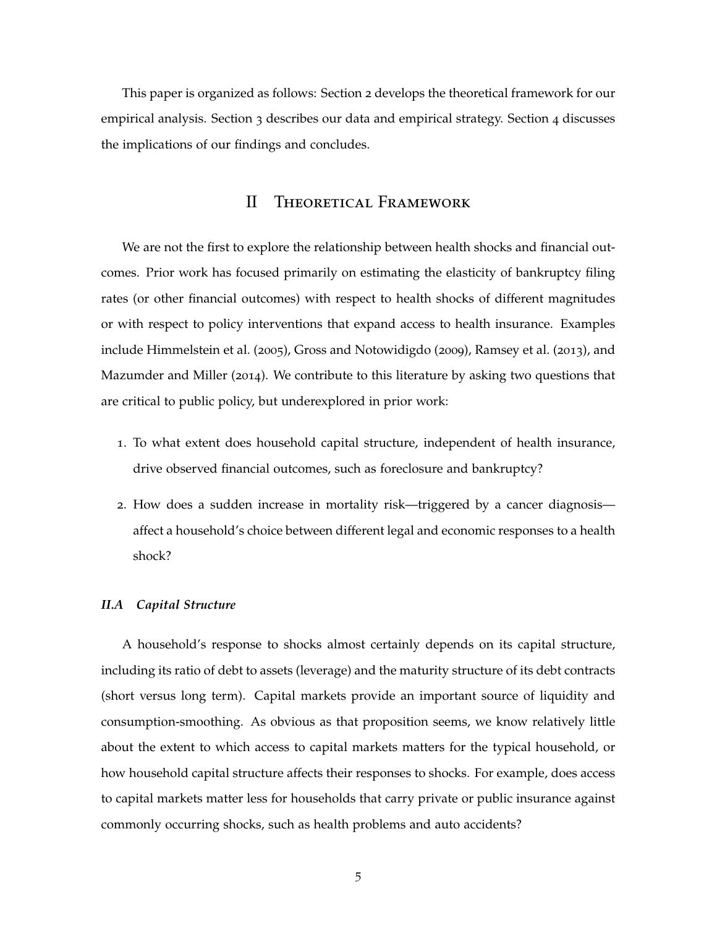This paper is organized as follows: Section 2 develops the theoretical framework for our empirical analysis. Section 3 describes our data and empirical strategy. Section 4 discusses the implications of our findings and concludes.

### II Theoretical Framework

We are not the first to explore the relationship between health shocks and financial outcomes. Prior work has focused primarily on estimating the elasticity of bankruptcy filing rates (or other financial outcomes) with respect to health shocks of different magnitudes or with respect to policy interventions that expand access to health insurance. Examples include Himmelstein et al. (2005), Gross and Notowidigdo (2009), Ramsey et al. (2013), and Mazumder and Miller (2014). We contribute to this literature by asking two questions that are critical to public policy, but underexplored in prior work:

- 1. To what extent does household capital structure, independent of health insurance, drive observed financial outcomes, such as foreclosure and bankruptcy?
- 2. How does a sudden increase in mortality risk—triggered by a cancer diagnosis affect a household's choice between different legal and economic responses to a health shock?

### *II.A Capital Structure*

A household's response to shocks almost certainly depends on its capital structure, including its ratio of debt to assets (leverage) and the maturity structure of its debt contracts (short versus long term). Capital markets provide an important source of liquidity and consumption-smoothing. As obvious as that proposition seems, we know relatively little about the extent to which access to capital markets matters for the typical household, or how household capital structure affects their responses to shocks. For example, does access to capital markets matter less for households that carry private or public insurance against commonly occurring shocks, such as health problems and auto accidents?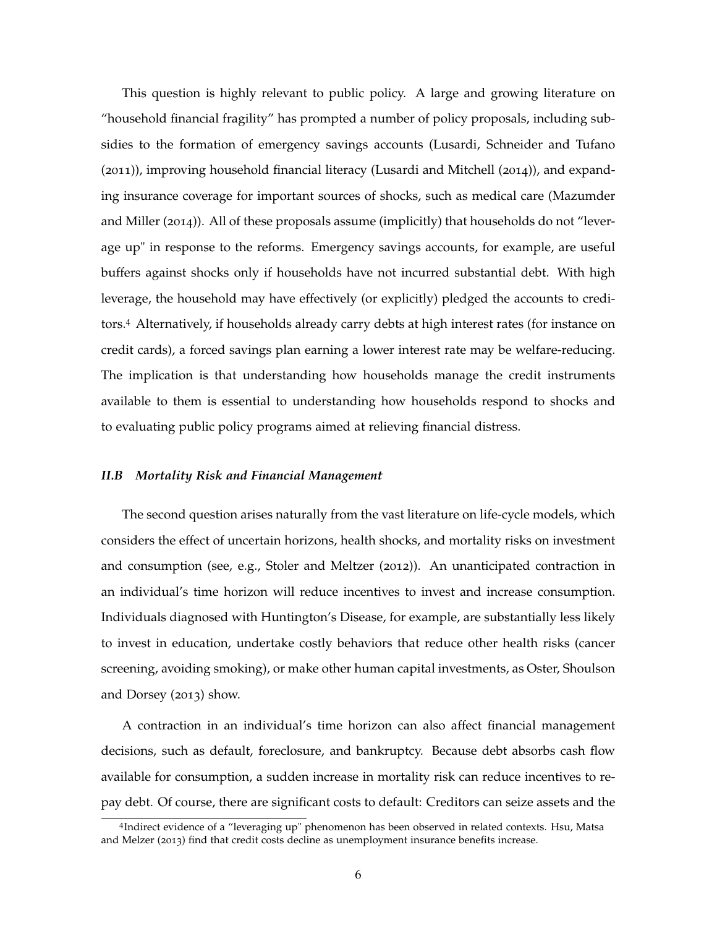This question is highly relevant to public policy. A large and growing literature on "household financial fragility" has prompted a number of policy proposals, including subsidies to the formation of emergency savings accounts (Lusardi, Schneider and Tufano (2011)), improving household financial literacy (Lusardi and Mitchell (2014)), and expanding insurance coverage for important sources of shocks, such as medical care (Mazumder and Miller (2014)). All of these proposals assume (implicitly) that households do not "leverage up" in response to the reforms. Emergency savings accounts, for example, are useful buffers against shocks only if households have not incurred substantial debt. With high leverage, the household may have effectively (or explicitly) pledged the accounts to creditors.<sup>4</sup> Alternatively, if households already carry debts at high interest rates (for instance on credit cards), a forced savings plan earning a lower interest rate may be welfare-reducing. The implication is that understanding how households manage the credit instruments available to them is essential to understanding how households respond to shocks and to evaluating public policy programs aimed at relieving financial distress.

### *II.B Mortality Risk and Financial Management*

The second question arises naturally from the vast literature on life-cycle models, which considers the effect of uncertain horizons, health shocks, and mortality risks on investment and consumption (see, e.g., Stoler and Meltzer (2012)). An unanticipated contraction in an individual's time horizon will reduce incentives to invest and increase consumption. Individuals diagnosed with Huntington's Disease, for example, are substantially less likely to invest in education, undertake costly behaviors that reduce other health risks (cancer screening, avoiding smoking), or make other human capital investments, as Oster, Shoulson and Dorsey (2013) show.

A contraction in an individual's time horizon can also affect financial management decisions, such as default, foreclosure, and bankruptcy. Because debt absorbs cash flow available for consumption, a sudden increase in mortality risk can reduce incentives to repay debt. Of course, there are significant costs to default: Creditors can seize assets and the

<sup>4</sup> Indirect evidence of a "leveraging up" phenomenon has been observed in related contexts. Hsu, Matsa and Melzer (2013) find that credit costs decline as unemployment insurance benefits increase.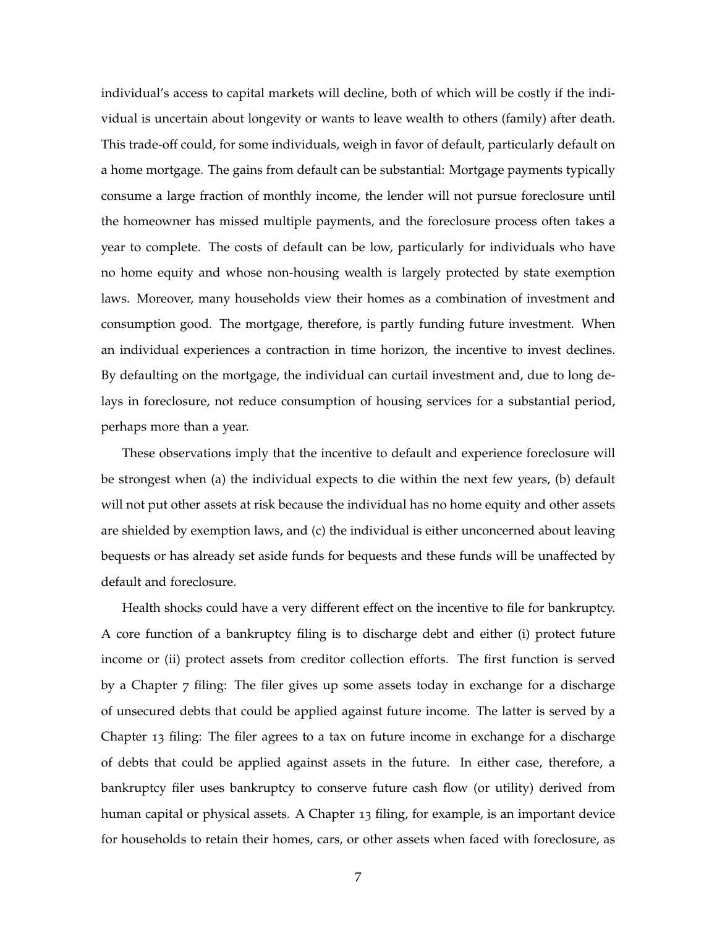individual's access to capital markets will decline, both of which will be costly if the individual is uncertain about longevity or wants to leave wealth to others (family) after death. This trade-off could, for some individuals, weigh in favor of default, particularly default on a home mortgage. The gains from default can be substantial: Mortgage payments typically consume a large fraction of monthly income, the lender will not pursue foreclosure until the homeowner has missed multiple payments, and the foreclosure process often takes a year to complete. The costs of default can be low, particularly for individuals who have no home equity and whose non-housing wealth is largely protected by state exemption laws. Moreover, many households view their homes as a combination of investment and consumption good. The mortgage, therefore, is partly funding future investment. When an individual experiences a contraction in time horizon, the incentive to invest declines. By defaulting on the mortgage, the individual can curtail investment and, due to long delays in foreclosure, not reduce consumption of housing services for a substantial period, perhaps more than a year.

These observations imply that the incentive to default and experience foreclosure will be strongest when (a) the individual expects to die within the next few years, (b) default will not put other assets at risk because the individual has no home equity and other assets are shielded by exemption laws, and (c) the individual is either unconcerned about leaving bequests or has already set aside funds for bequests and these funds will be unaffected by default and foreclosure.

Health shocks could have a very different effect on the incentive to file for bankruptcy. A core function of a bankruptcy filing is to discharge debt and either (i) protect future income or (ii) protect assets from creditor collection efforts. The first function is served by a Chapter 7 filing: The filer gives up some assets today in exchange for a discharge of unsecured debts that could be applied against future income. The latter is served by a Chapter 13 filing: The filer agrees to a tax on future income in exchange for a discharge of debts that could be applied against assets in the future. In either case, therefore, a bankruptcy filer uses bankruptcy to conserve future cash flow (or utility) derived from human capital or physical assets. A Chapter 13 filing, for example, is an important device for households to retain their homes, cars, or other assets when faced with foreclosure, as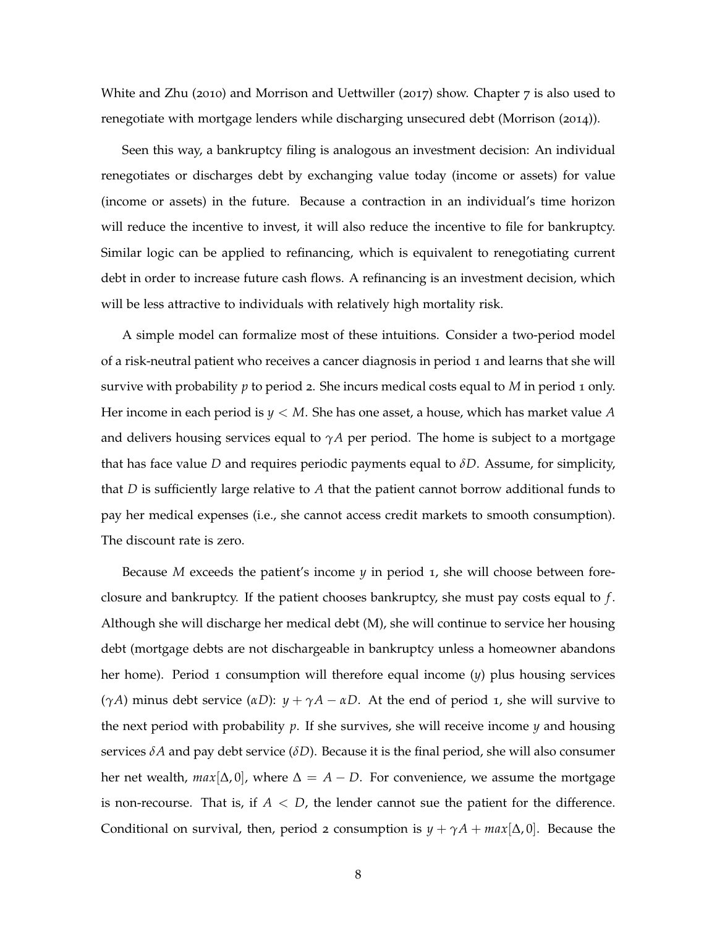White and Zhu (2010) and Morrison and Uettwiller (2017) show. Chapter  $7$  is also used to renegotiate with mortgage lenders while discharging unsecured debt (Morrison (2014)).

Seen this way, a bankruptcy filing is analogous an investment decision: An individual renegotiates or discharges debt by exchanging value today (income or assets) for value (income or assets) in the future. Because a contraction in an individual's time horizon will reduce the incentive to invest, it will also reduce the incentive to file for bankruptcy. Similar logic can be applied to refinancing, which is equivalent to renegotiating current debt in order to increase future cash flows. A refinancing is an investment decision, which will be less attractive to individuals with relatively high mortality risk.

A simple model can formalize most of these intuitions. Consider a two-period model of a risk-neutral patient who receives a cancer diagnosis in period 1 and learns that she will survive with probability *p* to period 2. She incurs medical costs equal to *M* in period 1 only. Her income in each period is *y* < *M*. She has one asset, a house, which has market value *A* and delivers housing services equal to  $\gamma A$  per period. The home is subject to a mortgage that has face value *D* and requires periodic payments equal to *δD*. Assume, for simplicity, that *D* is sufficiently large relative to *A* that the patient cannot borrow additional funds to pay her medical expenses (i.e., she cannot access credit markets to smooth consumption). The discount rate is zero.

Because *M* exceeds the patient's income *y* in period 1, she will choose between foreclosure and bankruptcy. If the patient chooses bankruptcy, she must pay costs equal to *f* . Although she will discharge her medical debt (M), she will continue to service her housing debt (mortgage debts are not dischargeable in bankruptcy unless a homeowner abandons her home). Period 1 consumption will therefore equal income (*y*) plus housing services (*γA*) minus debt service (*αD*): *y* + *γA* − *αD*. At the end of period 1, she will survive to the next period with probability  $p$ . If she survives, she will receive income  $y$  and housing services  $\delta A$  and pay debt service ( $\delta D$ ). Because it is the final period, she will also consumer her net wealth,  $max[\Delta, 0]$ , where  $\Delta = A - D$ . For convenience, we assume the mortgage is non-recourse. That is, if  $A < D$ , the lender cannot sue the patient for the difference. Conditional on survival, then, period 2 consumption is  $y + \gamma A + \max[\Delta, 0]$ . Because the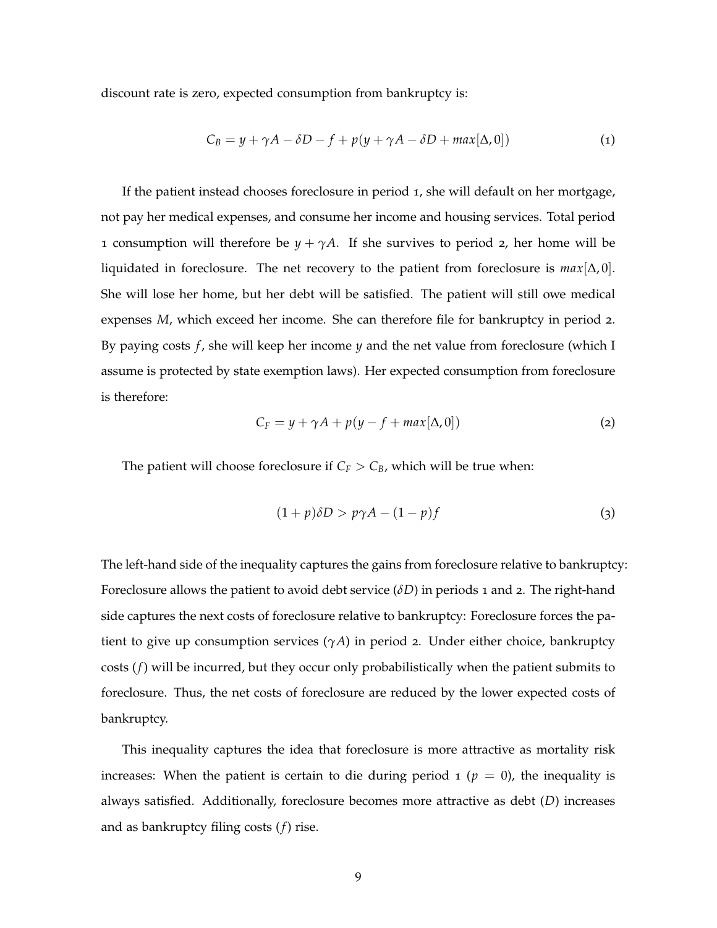discount rate is zero, expected consumption from bankruptcy is:

$$
C_B = y + \gamma A - \delta D - f + p(y + \gamma A - \delta D + \max[\Delta, 0])
$$
\n(1)

If the patient instead chooses foreclosure in period 1, she will default on her mortgage, not pay her medical expenses, and consume her income and housing services. Total period 1 consumption will therefore be  $y + \gamma A$ . If she survives to period 2, her home will be liquidated in foreclosure. The net recovery to the patient from foreclosure is *max*[∆, 0]. She will lose her home, but her debt will be satisfied. The patient will still owe medical expenses *M*, which exceed her income. She can therefore file for bankruptcy in period 2. By paying costs *f* , she will keep her income *y* and the net value from foreclosure (which I assume is protected by state exemption laws). Her expected consumption from foreclosure is therefore:

$$
C_F = y + \gamma A + p(y - f + \max[\Delta, 0])
$$
 (2)

The patient will choose foreclosure if  $C_F > C_B$ , which will be true when:

$$
(1+p)\delta D > p\gamma A - (1-p)f \tag{3}
$$

The left-hand side of the inequality captures the gains from foreclosure relative to bankruptcy: Foreclosure allows the patient to avoid debt service (*δD*) in periods 1 and 2. The right-hand side captures the next costs of foreclosure relative to bankruptcy: Foreclosure forces the patient to give up consumption services (*γA*) in period 2. Under either choice, bankruptcy costs (*f*) will be incurred, but they occur only probabilistically when the patient submits to foreclosure. Thus, the net costs of foreclosure are reduced by the lower expected costs of bankruptcy.

This inequality captures the idea that foreclosure is more attractive as mortality risk increases: When the patient is certain to die during period  $1 (p = 0)$ , the inequality is always satisfied. Additionally, foreclosure becomes more attractive as debt (*D*) increases and as bankruptcy filing costs (*f*) rise.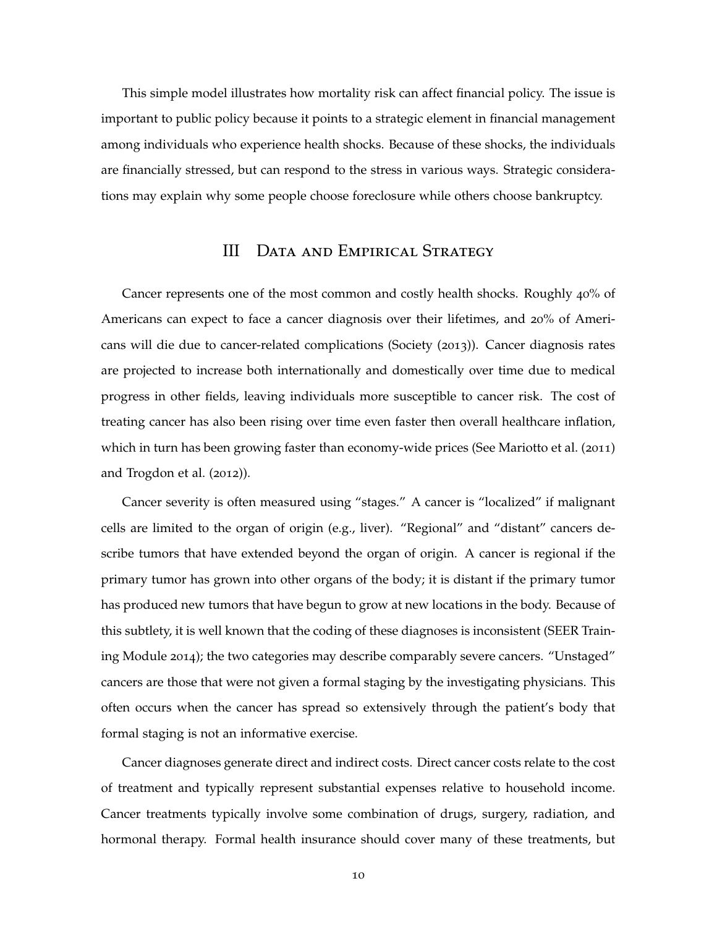This simple model illustrates how mortality risk can affect financial policy. The issue is important to public policy because it points to a strategic element in financial management among individuals who experience health shocks. Because of these shocks, the individuals are financially stressed, but can respond to the stress in various ways. Strategic considerations may explain why some people choose foreclosure while others choose bankruptcy.

### III Data and Empirical Strategy

Cancer represents one of the most common and costly health shocks. Roughly 40% of Americans can expect to face a cancer diagnosis over their lifetimes, and 20% of Americans will die due to cancer-related complications (Society (2013)). Cancer diagnosis rates are projected to increase both internationally and domestically over time due to medical progress in other fields, leaving individuals more susceptible to cancer risk. The cost of treating cancer has also been rising over time even faster then overall healthcare inflation, which in turn has been growing faster than economy-wide prices (See Mariotto et al. (2011) and Trogdon et al. (2012)).

Cancer severity is often measured using "stages." A cancer is "localized" if malignant cells are limited to the organ of origin (e.g., liver). "Regional" and "distant" cancers describe tumors that have extended beyond the organ of origin. A cancer is regional if the primary tumor has grown into other organs of the body; it is distant if the primary tumor has produced new tumors that have begun to grow at new locations in the body. Because of this subtlety, it is well known that the coding of these diagnoses is inconsistent (SEER Training Module 2014); the two categories may describe comparably severe cancers. "Unstaged" cancers are those that were not given a formal staging by the investigating physicians. This often occurs when the cancer has spread so extensively through the patient's body that formal staging is not an informative exercise.

Cancer diagnoses generate direct and indirect costs. Direct cancer costs relate to the cost of treatment and typically represent substantial expenses relative to household income. Cancer treatments typically involve some combination of drugs, surgery, radiation, and hormonal therapy. Formal health insurance should cover many of these treatments, but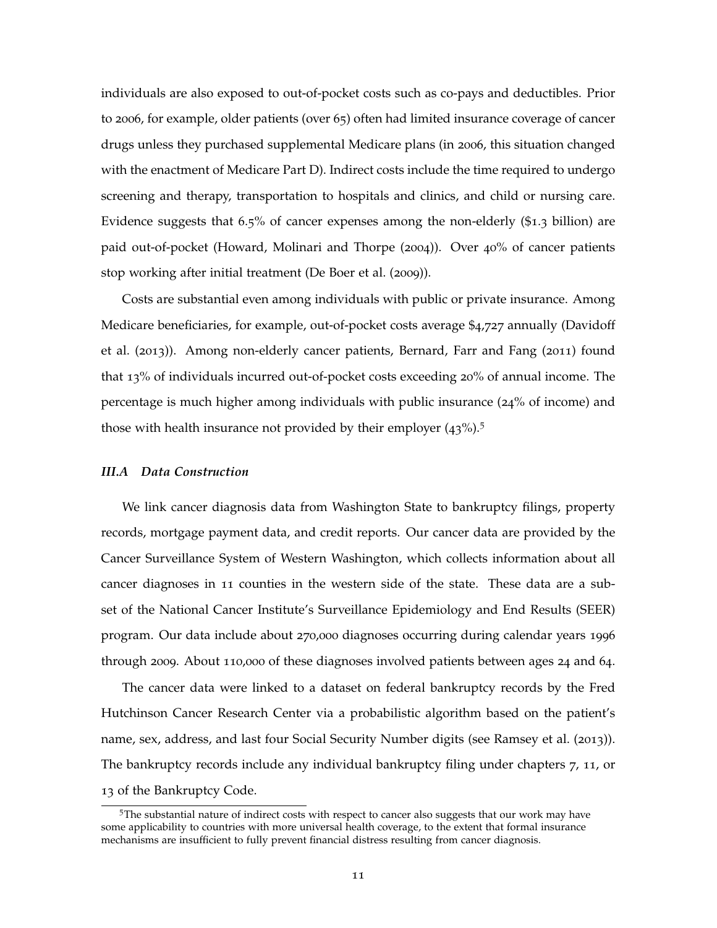individuals are also exposed to out-of-pocket costs such as co-pays and deductibles. Prior to 2006, for example, older patients (over 65) often had limited insurance coverage of cancer drugs unless they purchased supplemental Medicare plans (in 2006, this situation changed with the enactment of Medicare Part D). Indirect costs include the time required to undergo screening and therapy, transportation to hospitals and clinics, and child or nursing care. Evidence suggests that 6.5% of cancer expenses among the non-elderly (\$1.3 billion) are paid out-of-pocket (Howard, Molinari and Thorpe (2004)). Over 40% of cancer patients stop working after initial treatment (De Boer et al. (2009)).

Costs are substantial even among individuals with public or private insurance. Among Medicare beneficiaries, for example, out-of-pocket costs average \$4,727 annually (Davidoff et al. (2013)). Among non-elderly cancer patients, Bernard, Farr and Fang (2011) found that 13% of individuals incurred out-of-pocket costs exceeding 20% of annual income. The percentage is much higher among individuals with public insurance (24% of income) and those with health insurance not provided by their employer  $(43\%)$ .<sup>5</sup>

### *III.A Data Construction*

We link cancer diagnosis data from Washington State to bankruptcy filings, property records, mortgage payment data, and credit reports. Our cancer data are provided by the Cancer Surveillance System of Western Washington, which collects information about all cancer diagnoses in 11 counties in the western side of the state. These data are a subset of the National Cancer Institute's Surveillance Epidemiology and End Results (SEER) program. Our data include about 270,000 diagnoses occurring during calendar years 1996 through 2009. About 110,000 of these diagnoses involved patients between ages 24 and 64.

The cancer data were linked to a dataset on federal bankruptcy records by the Fred Hutchinson Cancer Research Center via a probabilistic algorithm based on the patient's name, sex, address, and last four Social Security Number digits (see Ramsey et al. (2013)). The bankruptcy records include any individual bankruptcy filing under chapters 7, 11, or 13 of the Bankruptcy Code.

<sup>5</sup>The substantial nature of indirect costs with respect to cancer also suggests that our work may have some applicability to countries with more universal health coverage, to the extent that formal insurance mechanisms are insufficient to fully prevent financial distress resulting from cancer diagnosis.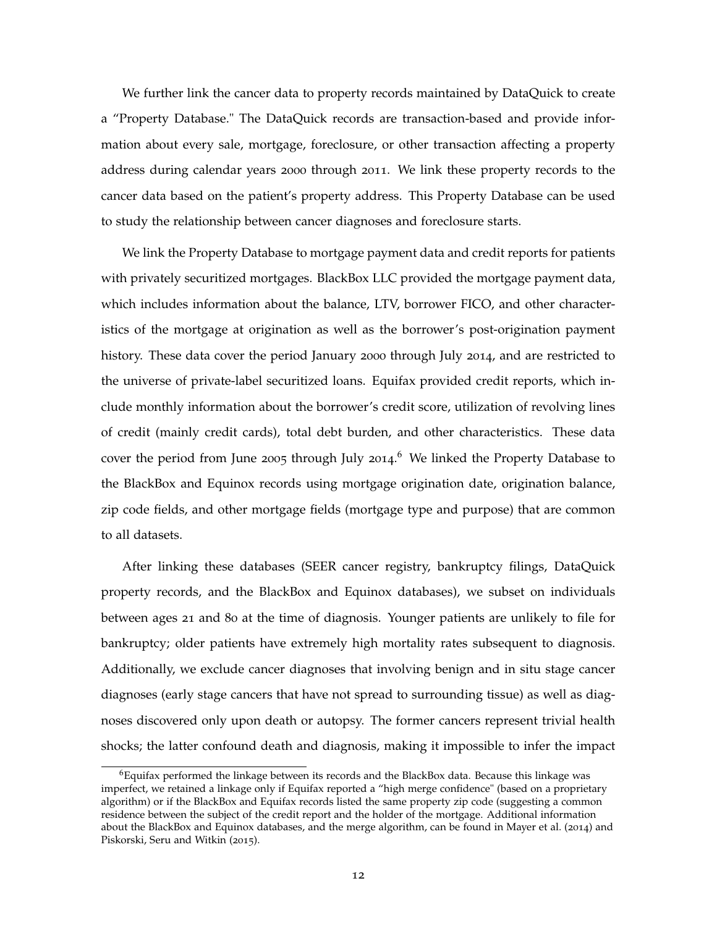We further link the cancer data to property records maintained by DataQuick to create a "Property Database." The DataQuick records are transaction-based and provide information about every sale, mortgage, foreclosure, or other transaction affecting a property address during calendar years 2000 through 2011. We link these property records to the cancer data based on the patient's property address. This Property Database can be used to study the relationship between cancer diagnoses and foreclosure starts.

We link the Property Database to mortgage payment data and credit reports for patients with privately securitized mortgages. BlackBox LLC provided the mortgage payment data, which includes information about the balance, LTV, borrower FICO, and other characteristics of the mortgage at origination as well as the borrower's post-origination payment history. These data cover the period January 2000 through July 2014, and are restricted to the universe of private-label securitized loans. Equifax provided credit reports, which include monthly information about the borrower's credit score, utilization of revolving lines of credit (mainly credit cards), total debt burden, and other characteristics. These data cover the period from June 2005 through July 2014.<sup>6</sup> We linked the Property Database to the BlackBox and Equinox records using mortgage origination date, origination balance, zip code fields, and other mortgage fields (mortgage type and purpose) that are common to all datasets.

After linking these databases (SEER cancer registry, bankruptcy filings, DataQuick property records, and the BlackBox and Equinox databases), we subset on individuals between ages 21 and 80 at the time of diagnosis. Younger patients are unlikely to file for bankruptcy; older patients have extremely high mortality rates subsequent to diagnosis. Additionally, we exclude cancer diagnoses that involving benign and in situ stage cancer diagnoses (early stage cancers that have not spread to surrounding tissue) as well as diagnoses discovered only upon death or autopsy. The former cancers represent trivial health shocks; the latter confound death and diagnosis, making it impossible to infer the impact

 $^6$ Equifax performed the linkage between its records and the BlackBox data. Because this linkage was imperfect, we retained a linkage only if Equifax reported a "high merge confidence" (based on a proprietary algorithm) or if the BlackBox and Equifax records listed the same property zip code (suggesting a common residence between the subject of the credit report and the holder of the mortgage. Additional information about the BlackBox and Equinox databases, and the merge algorithm, can be found in Mayer et al. (2014) and Piskorski, Seru and Witkin (2015).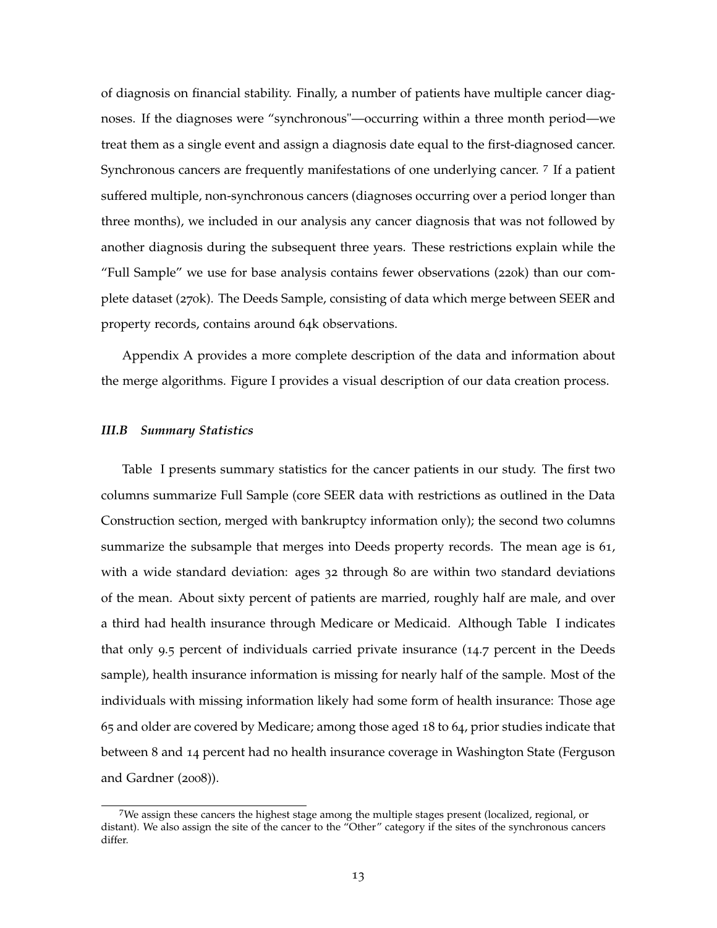of diagnosis on financial stability. Finally, a number of patients have multiple cancer diagnoses. If the diagnoses were "synchronous"—occurring within a three month period—we treat them as a single event and assign a diagnosis date equal to the first-diagnosed cancer. Synchronous cancers are frequently manifestations of one underlying cancer. <sup>7</sup> If a patient suffered multiple, non-synchronous cancers (diagnoses occurring over a period longer than three months), we included in our analysis any cancer diagnosis that was not followed by another diagnosis during the subsequent three years. These restrictions explain while the "Full Sample" we use for base analysis contains fewer observations (220k) than our complete dataset (270k). The Deeds Sample, consisting of data which merge between SEER and property records, contains around 64k observations.

Appendix A provides a more complete description of the data and information about the merge algorithms. Figure I provides a visual description of our data creation process.

#### *III.B Summary Statistics*

Table I presents summary statistics for the cancer patients in our study. The first two columns summarize Full Sample (core SEER data with restrictions as outlined in the Data Construction section, merged with bankruptcy information only); the second two columns summarize the subsample that merges into Deeds property records. The mean age is 61, with a wide standard deviation: ages 32 through 80 are within two standard deviations of the mean. About sixty percent of patients are married, roughly half are male, and over a third had health insurance through Medicare or Medicaid. Although Table I indicates that only 9.5 percent of individuals carried private insurance (14.7 percent in the Deeds sample), health insurance information is missing for nearly half of the sample. Most of the individuals with missing information likely had some form of health insurance: Those age 65 and older are covered by Medicare; among those aged 18 to 64, prior studies indicate that between 8 and 14 percent had no health insurance coverage in Washington State (Ferguson and Gardner (2008)).

<sup>7</sup>We assign these cancers the highest stage among the multiple stages present (localized, regional, or distant). We also assign the site of the cancer to the "Other" category if the sites of the synchronous cancers differ.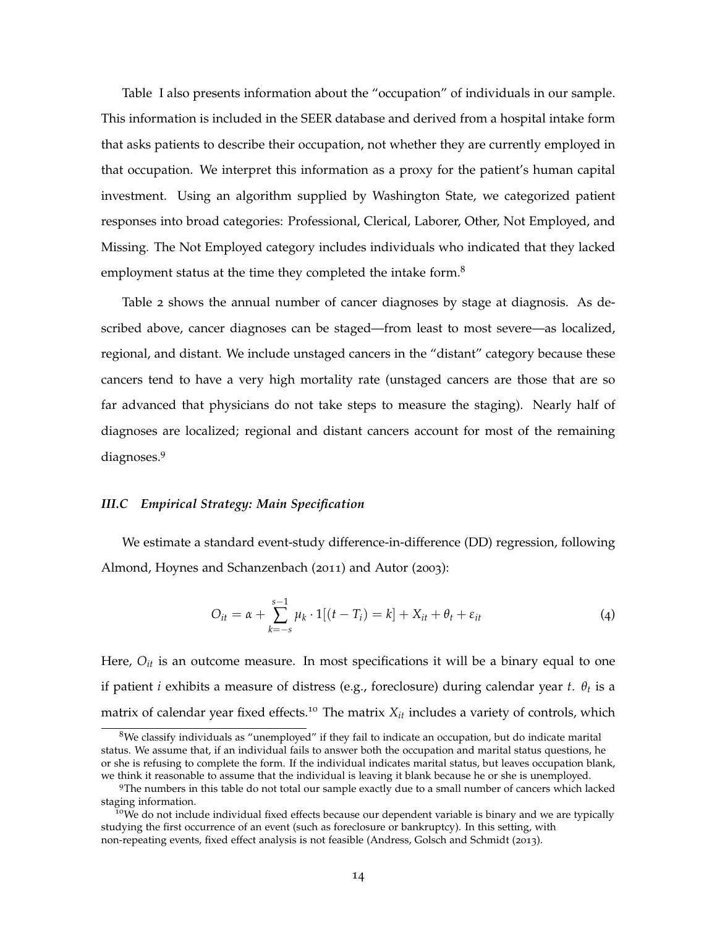Table I also presents information about the "occupation" of individuals in our sample. This information is included in the SEER database and derived from a hospital intake form that asks patients to describe their occupation, not whether they are currently employed in that occupation. We interpret this information as a proxy for the patient's human capital investment. Using an algorithm supplied by Washington State, we categorized patient responses into broad categories: Professional, Clerical, Laborer, Other, Not Employed, and Missing. The Not Employed category includes individuals who indicated that they lacked employment status at the time they completed the intake form.<sup>8</sup>

Table 2 shows the annual number of cancer diagnoses by stage at diagnosis. As described above, cancer diagnoses can be staged—from least to most severe—as localized, regional, and distant. We include unstaged cancers in the "distant" category because these cancers tend to have a very high mortality rate (unstaged cancers are those that are so far advanced that physicians do not take steps to measure the staging). Nearly half of diagnoses are localized; regional and distant cancers account for most of the remaining diagnoses.<sup>9</sup>

### *III.C Empirical Strategy: Main Specification*

We estimate a standard event-study difference-in-difference (DD) regression, following Almond, Hoynes and Schanzenbach (2011) and Autor (2003):

$$
O_{it} = \alpha + \sum_{k=-s}^{s-1} \mu_k \cdot 1[(t-T_i) = k] + X_{it} + \theta_t + \varepsilon_{it}
$$
\n
$$
\tag{4}
$$

Here, *Oit* is an outcome measure. In most specifications it will be a binary equal to one if patient *i* exhibits a measure of distress (e.g., foreclosure) during calendar year *t*. *θ<sup>t</sup>* is a matrix of calendar year fixed effects.<sup>10</sup> The matrix  $X_{it}$  includes a variety of controls, which

 $8$ We classify individuals as "unemployed" if they fail to indicate an occupation, but do indicate marital status. We assume that, if an individual fails to answer both the occupation and marital status questions, he or she is refusing to complete the form. If the individual indicates marital status, but leaves occupation blank, we think it reasonable to assume that the individual is leaving it blank because he or she is unemployed.

<sup>9</sup>The numbers in this table do not total our sample exactly due to a small number of cancers which lacked staging information.

<sup>&</sup>lt;sup>10</sup>We do not include individual fixed effects because our dependent variable is binary and we are typically studying the first occurrence of an event (such as foreclosure or bankruptcy). In this setting, with non-repeating events, fixed effect analysis is not feasible (Andress, Golsch and Schmidt (2013).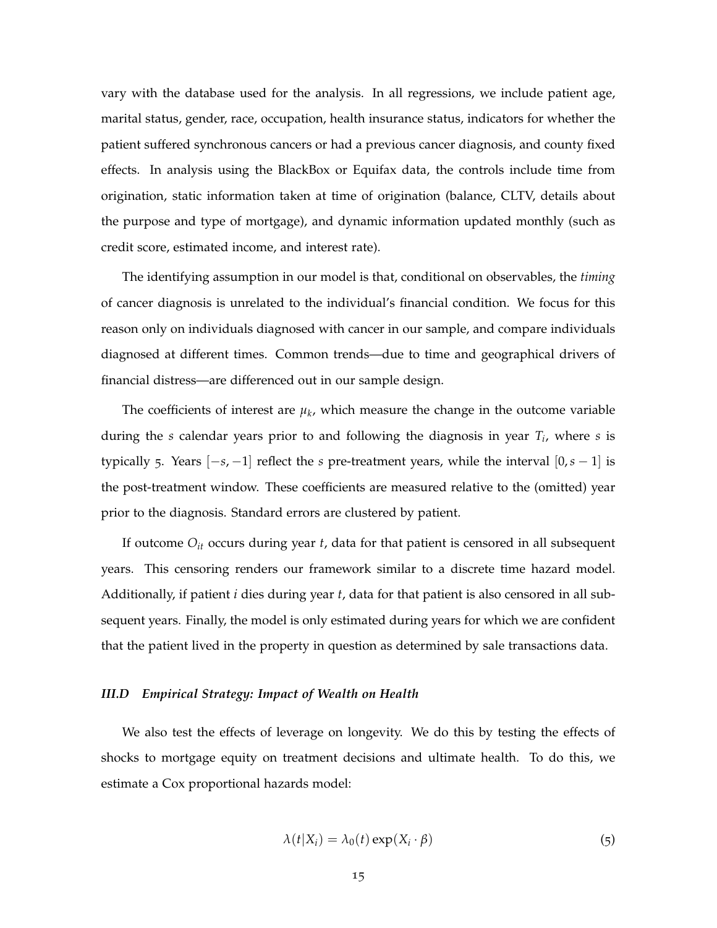vary with the database used for the analysis. In all regressions, we include patient age, marital status, gender, race, occupation, health insurance status, indicators for whether the patient suffered synchronous cancers or had a previous cancer diagnosis, and county fixed effects. In analysis using the BlackBox or Equifax data, the controls include time from origination, static information taken at time of origination (balance, CLTV, details about the purpose and type of mortgage), and dynamic information updated monthly (such as credit score, estimated income, and interest rate).

The identifying assumption in our model is that, conditional on observables, the *timing* of cancer diagnosis is unrelated to the individual's financial condition. We focus for this reason only on individuals diagnosed with cancer in our sample, and compare individuals diagnosed at different times. Common trends—due to time and geographical drivers of financial distress—are differenced out in our sample design.

The coefficients of interest are  $\mu_k$ , which measure the change in the outcome variable during the *s* calendar years prior to and following the diagnosis in year *T<sup>i</sup>* , where *s* is typically 5. Years [−*s*, −1] reflect the *s* pre-treatment years, while the interval [0,*s* − 1] is the post-treatment window. These coefficients are measured relative to the (omitted) year prior to the diagnosis. Standard errors are clustered by patient.

If outcome *Oit* occurs during year *t*, data for that patient is censored in all subsequent years. This censoring renders our framework similar to a discrete time hazard model. Additionally, if patient *i* dies during year *t*, data for that patient is also censored in all subsequent years. Finally, the model is only estimated during years for which we are confident that the patient lived in the property in question as determined by sale transactions data.

### *III.D Empirical Strategy: Impact of Wealth on Health*

We also test the effects of leverage on longevity. We do this by testing the effects of shocks to mortgage equity on treatment decisions and ultimate health. To do this, we estimate a Cox proportional hazards model:

$$
\lambda(t|X_i) = \lambda_0(t) \exp(X_i \cdot \beta)
$$
\n(5)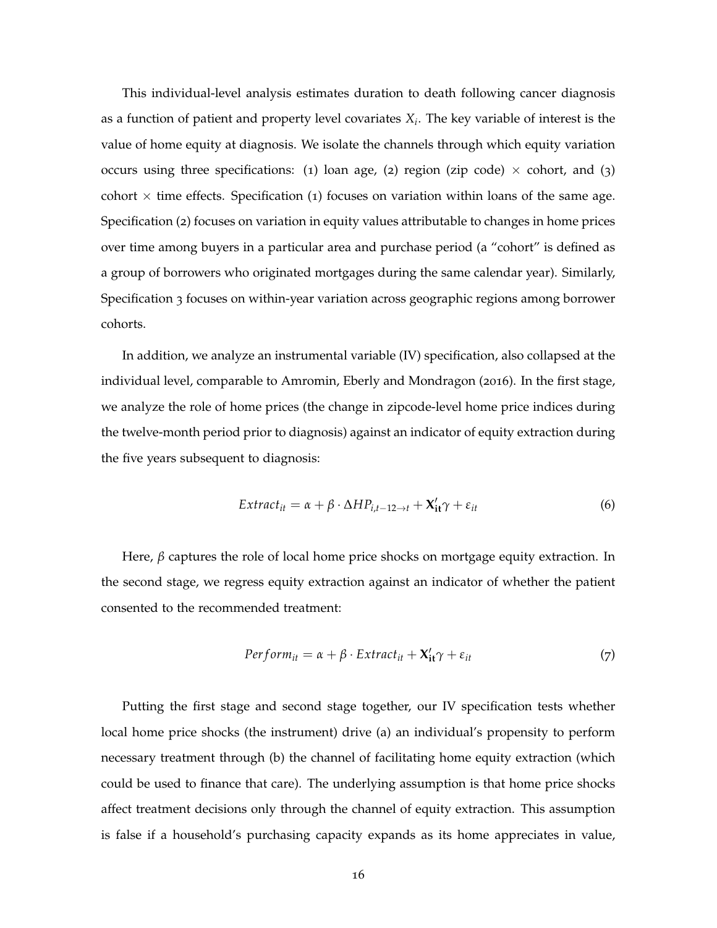This individual-level analysis estimates duration to death following cancer diagnosis as a function of patient and property level covariates *X<sup>i</sup>* . The key variable of interest is the value of home equity at diagnosis. We isolate the channels through which equity variation occurs using three specifications: (1) loan age, (2) region (zip code)  $\times$  cohort, and (3) cohort  $\times$  time effects. Specification (1) focuses on variation within loans of the same age. Specification (2) focuses on variation in equity values attributable to changes in home prices over time among buyers in a particular area and purchase period (a "cohort" is defined as a group of borrowers who originated mortgages during the same calendar year). Similarly, Specification 3 focuses on within-year variation across geographic regions among borrower cohorts.

In addition, we analyze an instrumental variable (IV) specification, also collapsed at the individual level, comparable to Amromin, Eberly and Mondragon (2016). In the first stage, we analyze the role of home prices (the change in zipcode-level home price indices during the twelve-month period prior to diagnosis) against an indicator of equity extraction during the five years subsequent to diagnosis:

$$
Extract_{it} = \alpha + \beta \cdot \Delta HP_{i,t-12\to t} + \mathbf{X'_{it}}\gamma + \varepsilon_{it}
$$
\n(6)

Here,  $\beta$  captures the role of local home price shocks on mortgage equity extraction. In the second stage, we regress equity extraction against an indicator of whether the patient consented to the recommended treatment:

$$
Perform_{it} = \alpha + \beta \cdot Extract_{it} + \mathbf{X'_{it}}\gamma + \varepsilon_{it}
$$
\n(7)

Putting the first stage and second stage together, our IV specification tests whether local home price shocks (the instrument) drive (a) an individual's propensity to perform necessary treatment through (b) the channel of facilitating home equity extraction (which could be used to finance that care). The underlying assumption is that home price shocks affect treatment decisions only through the channel of equity extraction. This assumption is false if a household's purchasing capacity expands as its home appreciates in value,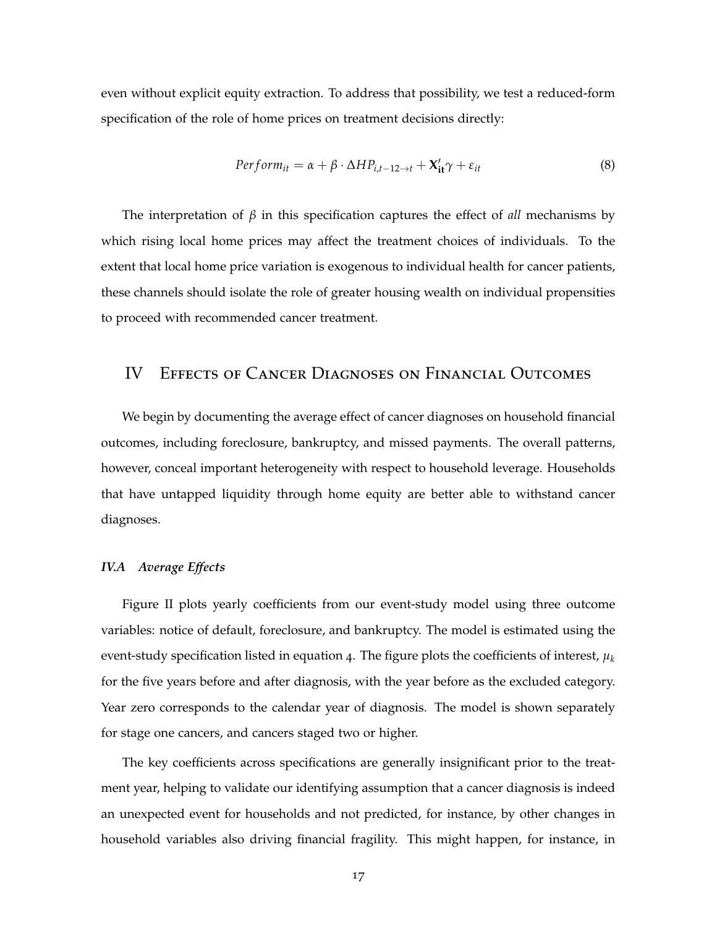even without explicit equity extraction. To address that possibility, we test a reduced-form specification of the role of home prices on treatment decisions directly:

$$
Perform_{it} = \alpha + \beta \cdot \Delta HP_{i,t-12 \to t} + \mathbf{X}'_{it}\gamma + \varepsilon_{it}
$$
\n(8)

The interpretation of *β* in this specification captures the effect of *all* mechanisms by which rising local home prices may affect the treatment choices of individuals. To the extent that local home price variation is exogenous to individual health for cancer patients, these channels should isolate the role of greater housing wealth on individual propensities to proceed with recommended cancer treatment.

### IV Effects of Cancer Diagnoses on Financial Outcomes

We begin by documenting the average effect of cancer diagnoses on household financial outcomes, including foreclosure, bankruptcy, and missed payments. The overall patterns, however, conceal important heterogeneity with respect to household leverage. Households that have untapped liquidity through home equity are better able to withstand cancer diagnoses.

### *IV.A Average Effects*

Figure II plots yearly coefficients from our event-study model using three outcome variables: notice of default, foreclosure, and bankruptcy. The model is estimated using the event-study specification listed in equation 4. The figure plots the coefficients of interest,  $\mu_k$ for the five years before and after diagnosis, with the year before as the excluded category. Year zero corresponds to the calendar year of diagnosis. The model is shown separately for stage one cancers, and cancers staged two or higher.

The key coefficients across specifications are generally insignificant prior to the treatment year, helping to validate our identifying assumption that a cancer diagnosis is indeed an unexpected event for households and not predicted, for instance, by other changes in household variables also driving financial fragility. This might happen, for instance, in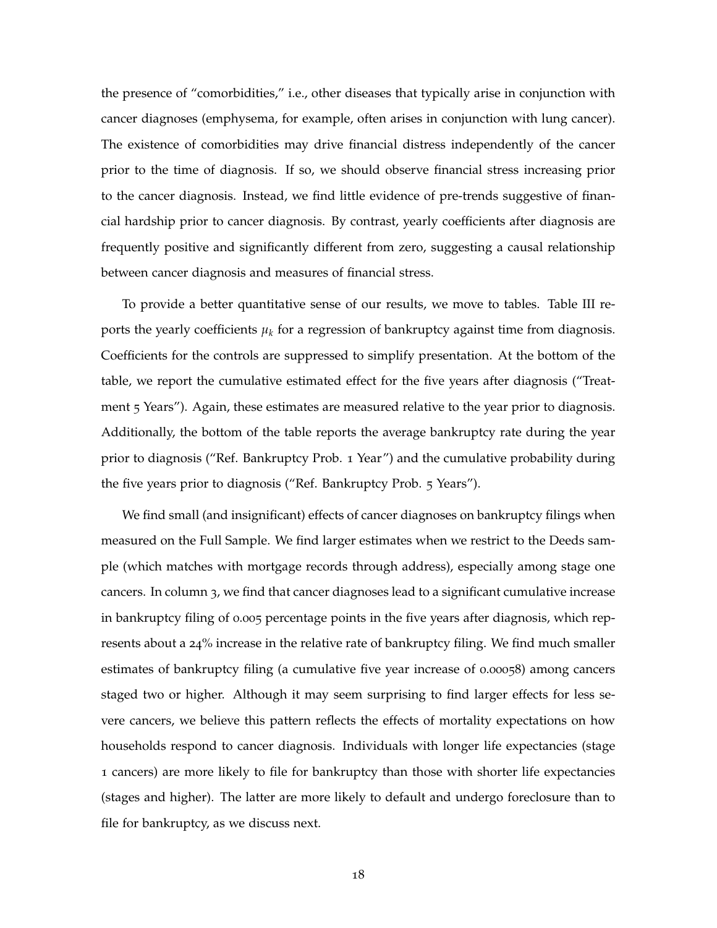the presence of "comorbidities," i.e., other diseases that typically arise in conjunction with cancer diagnoses (emphysema, for example, often arises in conjunction with lung cancer). The existence of comorbidities may drive financial distress independently of the cancer prior to the time of diagnosis. If so, we should observe financial stress increasing prior to the cancer diagnosis. Instead, we find little evidence of pre-trends suggestive of financial hardship prior to cancer diagnosis. By contrast, yearly coefficients after diagnosis are frequently positive and significantly different from zero, suggesting a causal relationship between cancer diagnosis and measures of financial stress.

To provide a better quantitative sense of our results, we move to tables. Table III reports the yearly coefficients  $\mu_k$  for a regression of bankruptcy against time from diagnosis. Coefficients for the controls are suppressed to simplify presentation. At the bottom of the table, we report the cumulative estimated effect for the five years after diagnosis ("Treatment 5 Years"). Again, these estimates are measured relative to the year prior to diagnosis. Additionally, the bottom of the table reports the average bankruptcy rate during the year prior to diagnosis ("Ref. Bankruptcy Prob. 1 Year") and the cumulative probability during the five years prior to diagnosis ("Ref. Bankruptcy Prob. 5 Years").

We find small (and insignificant) effects of cancer diagnoses on bankruptcy filings when measured on the Full Sample. We find larger estimates when we restrict to the Deeds sample (which matches with mortgage records through address), especially among stage one cancers. In column 3, we find that cancer diagnoses lead to a significant cumulative increase in bankruptcy filing of 0.005 percentage points in the five years after diagnosis, which represents about a 24% increase in the relative rate of bankruptcy filing. We find much smaller estimates of bankruptcy filing (a cumulative five year increase of 0.00058) among cancers staged two or higher. Although it may seem surprising to find larger effects for less severe cancers, we believe this pattern reflects the effects of mortality expectations on how households respond to cancer diagnosis. Individuals with longer life expectancies (stage 1 cancers) are more likely to file for bankruptcy than those with shorter life expectancies (stages and higher). The latter are more likely to default and undergo foreclosure than to file for bankruptcy, as we discuss next.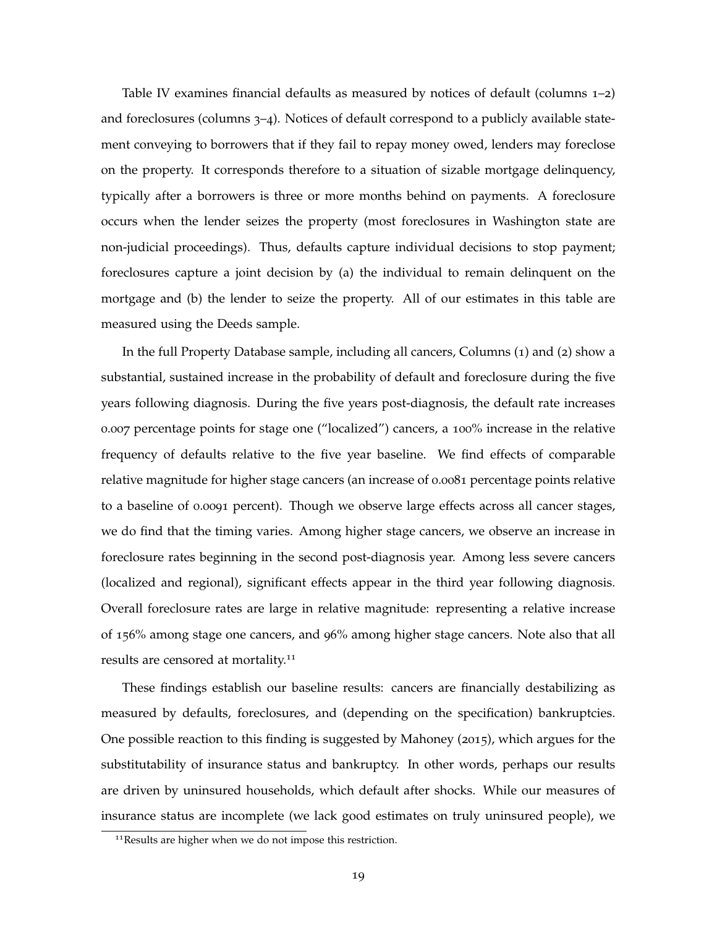Table IV examines financial defaults as measured by notices of default (columns  $1-2$ ) and foreclosures (columns 3–4). Notices of default correspond to a publicly available statement conveying to borrowers that if they fail to repay money owed, lenders may foreclose on the property. It corresponds therefore to a situation of sizable mortgage delinquency, typically after a borrowers is three or more months behind on payments. A foreclosure occurs when the lender seizes the property (most foreclosures in Washington state are non-judicial proceedings). Thus, defaults capture individual decisions to stop payment; foreclosures capture a joint decision by (a) the individual to remain delinquent on the mortgage and (b) the lender to seize the property. All of our estimates in this table are measured using the Deeds sample.

In the full Property Database sample, including all cancers, Columns (1) and (2) show a substantial, sustained increase in the probability of default and foreclosure during the five years following diagnosis. During the five years post-diagnosis, the default rate increases 0.007 percentage points for stage one ("localized") cancers, a 100% increase in the relative frequency of defaults relative to the five year baseline. We find effects of comparable relative magnitude for higher stage cancers (an increase of 0.0081 percentage points relative to a baseline of 0.0091 percent). Though we observe large effects across all cancer stages, we do find that the timing varies. Among higher stage cancers, we observe an increase in foreclosure rates beginning in the second post-diagnosis year. Among less severe cancers (localized and regional), significant effects appear in the third year following diagnosis. Overall foreclosure rates are large in relative magnitude: representing a relative increase of 156% among stage one cancers, and 96% among higher stage cancers. Note also that all results are censored at mortality.<sup>11</sup>

These findings establish our baseline results: cancers are financially destabilizing as measured by defaults, foreclosures, and (depending on the specification) bankruptcies. One possible reaction to this finding is suggested by Mahoney (2015), which argues for the substitutability of insurance status and bankruptcy. In other words, perhaps our results are driven by uninsured households, which default after shocks. While our measures of insurance status are incomplete (we lack good estimates on truly uninsured people), we

<sup>&</sup>lt;sup>11</sup>Results are higher when we do not impose this restriction.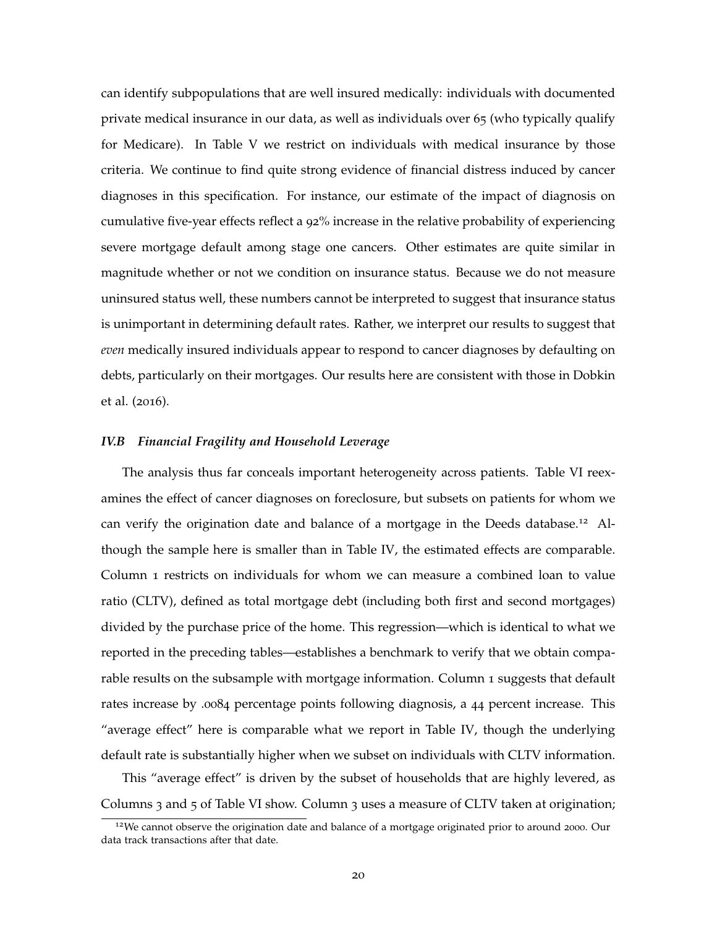can identify subpopulations that are well insured medically: individuals with documented private medical insurance in our data, as well as individuals over 65 (who typically qualify for Medicare). In Table V we restrict on individuals with medical insurance by those criteria. We continue to find quite strong evidence of financial distress induced by cancer diagnoses in this specification. For instance, our estimate of the impact of diagnosis on cumulative five-year effects reflect a 92% increase in the relative probability of experiencing severe mortgage default among stage one cancers. Other estimates are quite similar in magnitude whether or not we condition on insurance status. Because we do not measure uninsured status well, these numbers cannot be interpreted to suggest that insurance status is unimportant in determining default rates. Rather, we interpret our results to suggest that *even* medically insured individuals appear to respond to cancer diagnoses by defaulting on debts, particularly on their mortgages. Our results here are consistent with those in Dobkin et al. (2016).

### *IV.B Financial Fragility and Household Leverage*

The analysis thus far conceals important heterogeneity across patients. Table VI reexamines the effect of cancer diagnoses on foreclosure, but subsets on patients for whom we can verify the origination date and balance of a mortgage in the Deeds database.<sup>12</sup> Although the sample here is smaller than in Table IV, the estimated effects are comparable. Column 1 restricts on individuals for whom we can measure a combined loan to value ratio (CLTV), defined as total mortgage debt (including both first and second mortgages) divided by the purchase price of the home. This regression—which is identical to what we reported in the preceding tables—establishes a benchmark to verify that we obtain comparable results on the subsample with mortgage information. Column 1 suggests that default rates increase by .0084 percentage points following diagnosis, a 44 percent increase. This "average effect" here is comparable what we report in Table IV, though the underlying default rate is substantially higher when we subset on individuals with CLTV information.

This "average effect" is driven by the subset of households that are highly levered, as Columns 3 and 5 of Table VI show. Column 3 uses a measure of CLTV taken at origination;

<sup>&</sup>lt;sup>12</sup>We cannot observe the origination date and balance of a mortgage originated prior to around 2000. Our data track transactions after that date.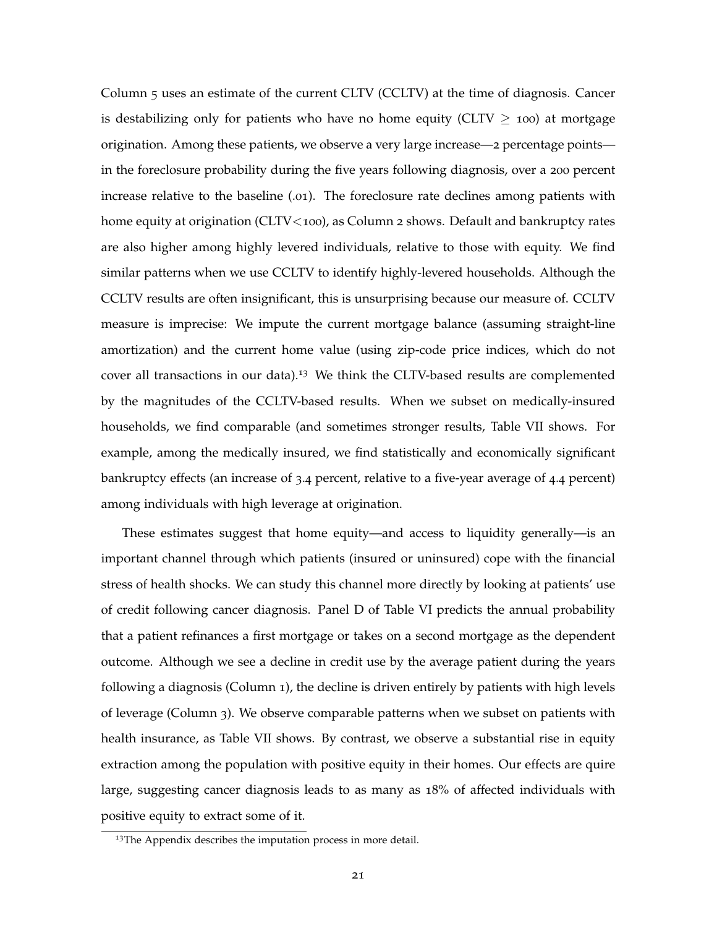Column 5 uses an estimate of the current CLTV (CCLTV) at the time of diagnosis. Cancer is destabilizing only for patients who have no home equity (CLTV  $\geq$  100) at mortgage origination. Among these patients, we observe a very large increase—2 percentage points in the foreclosure probability during the five years following diagnosis, over a 200 percent increase relative to the baseline (.01). The foreclosure rate declines among patients with home equity at origination (CLTV<100), as Column 2 shows. Default and bankruptcy rates are also higher among highly levered individuals, relative to those with equity. We find similar patterns when we use CCLTV to identify highly-levered households. Although the CCLTV results are often insignificant, this is unsurprising because our measure of. CCLTV measure is imprecise: We impute the current mortgage balance (assuming straight-line amortization) and the current home value (using zip-code price indices, which do not cover all transactions in our data).<sup>13</sup> We think the CLTV-based results are complemented by the magnitudes of the CCLTV-based results. When we subset on medically-insured households, we find comparable (and sometimes stronger results, Table VII shows. For example, among the medically insured, we find statistically and economically significant bankruptcy effects (an increase of 3.4 percent, relative to a five-year average of 4.4 percent) among individuals with high leverage at origination.

These estimates suggest that home equity—and access to liquidity generally—is an important channel through which patients (insured or uninsured) cope with the financial stress of health shocks. We can study this channel more directly by looking at patients' use of credit following cancer diagnosis. Panel D of Table VI predicts the annual probability that a patient refinances a first mortgage or takes on a second mortgage as the dependent outcome. Although we see a decline in credit use by the average patient during the years following a diagnosis (Column 1), the decline is driven entirely by patients with high levels of leverage (Column 3). We observe comparable patterns when we subset on patients with health insurance, as Table VII shows. By contrast, we observe a substantial rise in equity extraction among the population with positive equity in their homes. Our effects are quire large, suggesting cancer diagnosis leads to as many as 18% of affected individuals with positive equity to extract some of it.

<sup>&</sup>lt;sup>13</sup>The Appendix describes the imputation process in more detail.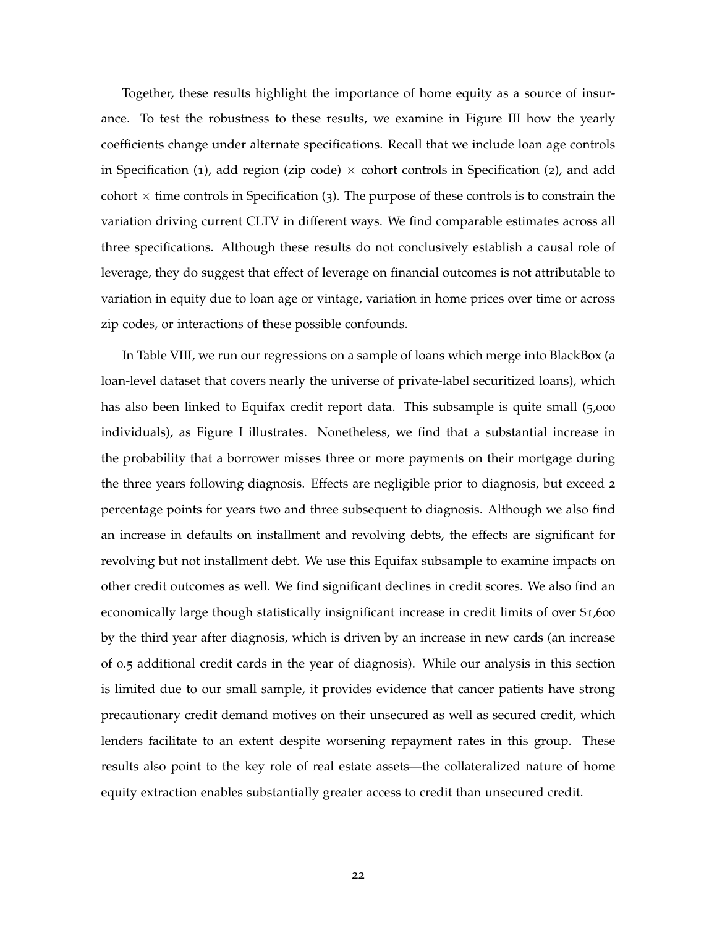Together, these results highlight the importance of home equity as a source of insurance. To test the robustness to these results, we examine in Figure III how the yearly coefficients change under alternate specifications. Recall that we include loan age controls in Specification (1), add region (zip code)  $\times$  cohort controls in Specification (2), and add cohort  $\times$  time controls in Specification (3). The purpose of these controls is to constrain the variation driving current CLTV in different ways. We find comparable estimates across all three specifications. Although these results do not conclusively establish a causal role of leverage, they do suggest that effect of leverage on financial outcomes is not attributable to variation in equity due to loan age or vintage, variation in home prices over time or across zip codes, or interactions of these possible confounds.

In Table VIII, we run our regressions on a sample of loans which merge into BlackBox (a loan-level dataset that covers nearly the universe of private-label securitized loans), which has also been linked to Equifax credit report data. This subsample is quite small (5,000 individuals), as Figure I illustrates. Nonetheless, we find that a substantial increase in the probability that a borrower misses three or more payments on their mortgage during the three years following diagnosis. Effects are negligible prior to diagnosis, but exceed 2 percentage points for years two and three subsequent to diagnosis. Although we also find an increase in defaults on installment and revolving debts, the effects are significant for revolving but not installment debt. We use this Equifax subsample to examine impacts on other credit outcomes as well. We find significant declines in credit scores. We also find an economically large though statistically insignificant increase in credit limits of over \$1,600 by the third year after diagnosis, which is driven by an increase in new cards (an increase of 0.5 additional credit cards in the year of diagnosis). While our analysis in this section is limited due to our small sample, it provides evidence that cancer patients have strong precautionary credit demand motives on their unsecured as well as secured credit, which lenders facilitate to an extent despite worsening repayment rates in this group. These results also point to the key role of real estate assets—the collateralized nature of home equity extraction enables substantially greater access to credit than unsecured credit.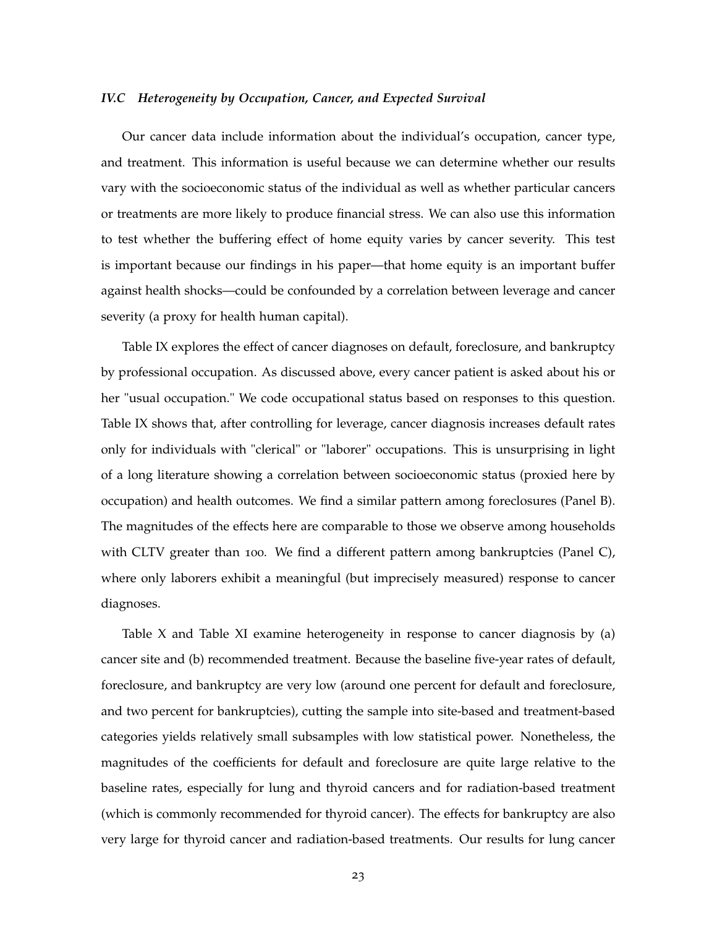### *IV.C Heterogeneity by Occupation, Cancer, and Expected Survival*

Our cancer data include information about the individual's occupation, cancer type, and treatment. This information is useful because we can determine whether our results vary with the socioeconomic status of the individual as well as whether particular cancers or treatments are more likely to produce financial stress. We can also use this information to test whether the buffering effect of home equity varies by cancer severity. This test is important because our findings in his paper—that home equity is an important buffer against health shocks—could be confounded by a correlation between leverage and cancer severity (a proxy for health human capital).

Table IX explores the effect of cancer diagnoses on default, foreclosure, and bankruptcy by professional occupation. As discussed above, every cancer patient is asked about his or her "usual occupation." We code occupational status based on responses to this question. Table IX shows that, after controlling for leverage, cancer diagnosis increases default rates only for individuals with "clerical" or "laborer" occupations. This is unsurprising in light of a long literature showing a correlation between socioeconomic status (proxied here by occupation) and health outcomes. We find a similar pattern among foreclosures (Panel B). The magnitudes of the effects here are comparable to those we observe among households with CLTV greater than 100. We find a different pattern among bankruptcies (Panel C), where only laborers exhibit a meaningful (but imprecisely measured) response to cancer diagnoses.

Table X and Table XI examine heterogeneity in response to cancer diagnosis by (a) cancer site and (b) recommended treatment. Because the baseline five-year rates of default, foreclosure, and bankruptcy are very low (around one percent for default and foreclosure, and two percent for bankruptcies), cutting the sample into site-based and treatment-based categories yields relatively small subsamples with low statistical power. Nonetheless, the magnitudes of the coefficients for default and foreclosure are quite large relative to the baseline rates, especially for lung and thyroid cancers and for radiation-based treatment (which is commonly recommended for thyroid cancer). The effects for bankruptcy are also very large for thyroid cancer and radiation-based treatments. Our results for lung cancer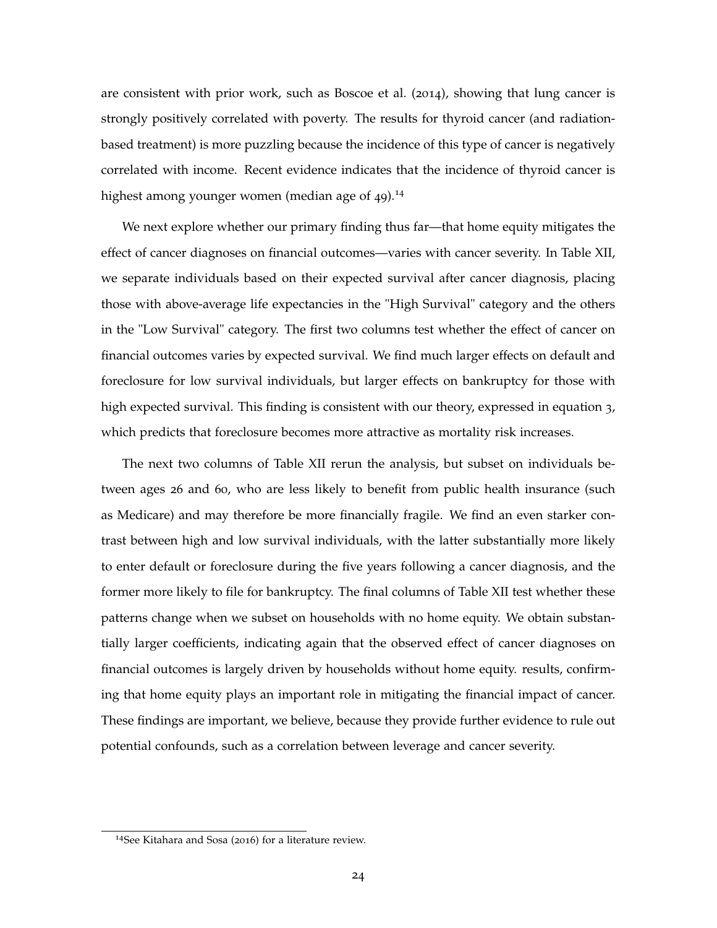are consistent with prior work, such as Boscoe et al. (2014), showing that lung cancer is strongly positively correlated with poverty. The results for thyroid cancer (and radiationbased treatment) is more puzzling because the incidence of this type of cancer is negatively correlated with income. Recent evidence indicates that the incidence of thyroid cancer is highest among younger women (median age of 49).<sup>14</sup>

We next explore whether our primary finding thus far—that home equity mitigates the effect of cancer diagnoses on financial outcomes—varies with cancer severity. In Table XII, we separate individuals based on their expected survival after cancer diagnosis, placing those with above-average life expectancies in the "High Survival" category and the others in the "Low Survival" category. The first two columns test whether the effect of cancer on financial outcomes varies by expected survival. We find much larger effects on default and foreclosure for low survival individuals, but larger effects on bankruptcy for those with high expected survival. This finding is consistent with our theory, expressed in equation 3, which predicts that foreclosure becomes more attractive as mortality risk increases.

The next two columns of Table XII rerun the analysis, but subset on individuals between ages 26 and 60, who are less likely to benefit from public health insurance (such as Medicare) and may therefore be more financially fragile. We find an even starker contrast between high and low survival individuals, with the latter substantially more likely to enter default or foreclosure during the five years following a cancer diagnosis, and the former more likely to file for bankruptcy. The final columns of Table XII test whether these patterns change when we subset on households with no home equity. We obtain substantially larger coefficients, indicating again that the observed effect of cancer diagnoses on financial outcomes is largely driven by households without home equity. results, confirming that home equity plays an important role in mitigating the financial impact of cancer. These findings are important, we believe, because they provide further evidence to rule out potential confounds, such as a correlation between leverage and cancer severity.

<sup>14</sup>See Kitahara and Sosa (2016) for a literature review.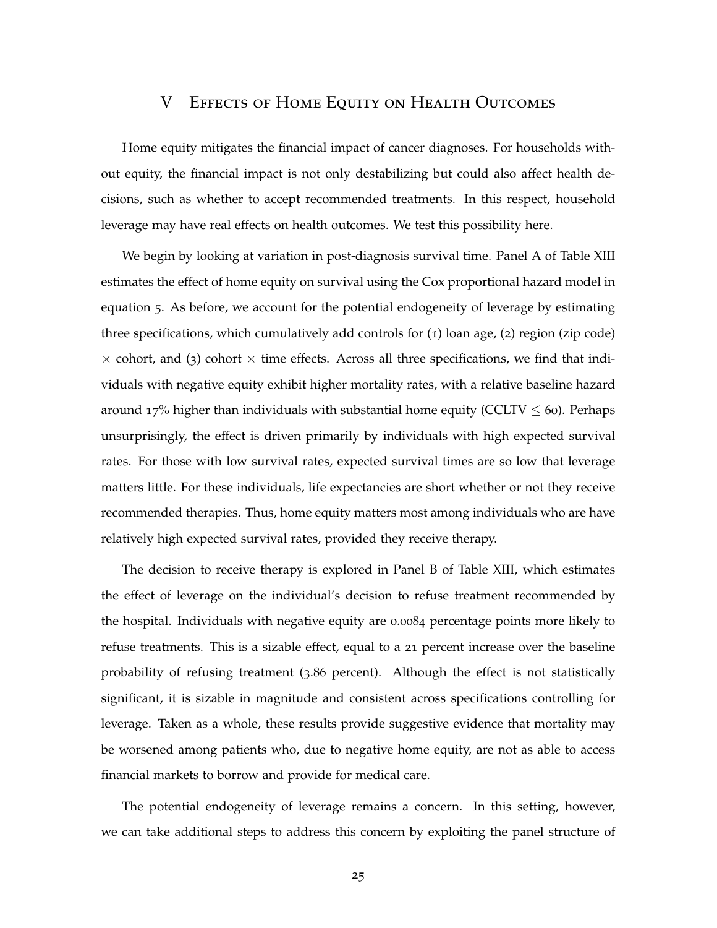### V Effects of Home Equity on Health Outcomes

Home equity mitigates the financial impact of cancer diagnoses. For households without equity, the financial impact is not only destabilizing but could also affect health decisions, such as whether to accept recommended treatments. In this respect, household leverage may have real effects on health outcomes. We test this possibility here.

We begin by looking at variation in post-diagnosis survival time. Panel A of Table XIII estimates the effect of home equity on survival using the Cox proportional hazard model in equation 5. As before, we account for the potential endogeneity of leverage by estimating three specifications, which cumulatively add controls for (1) loan age, (2) region (zip code)  $\times$  cohort, and (3) cohort  $\times$  time effects. Across all three specifications, we find that individuals with negative equity exhibit higher mortality rates, with a relative baseline hazard around 17% higher than individuals with substantial home equity (CCLTV  $\leq$  60). Perhaps unsurprisingly, the effect is driven primarily by individuals with high expected survival rates. For those with low survival rates, expected survival times are so low that leverage matters little. For these individuals, life expectancies are short whether or not they receive recommended therapies. Thus, home equity matters most among individuals who are have relatively high expected survival rates, provided they receive therapy.

The decision to receive therapy is explored in Panel B of Table XIII, which estimates the effect of leverage on the individual's decision to refuse treatment recommended by the hospital. Individuals with negative equity are 0.0084 percentage points more likely to refuse treatments. This is a sizable effect, equal to a 21 percent increase over the baseline probability of refusing treatment (3.86 percent). Although the effect is not statistically significant, it is sizable in magnitude and consistent across specifications controlling for leverage. Taken as a whole, these results provide suggestive evidence that mortality may be worsened among patients who, due to negative home equity, are not as able to access financial markets to borrow and provide for medical care.

The potential endogeneity of leverage remains a concern. In this setting, however, we can take additional steps to address this concern by exploiting the panel structure of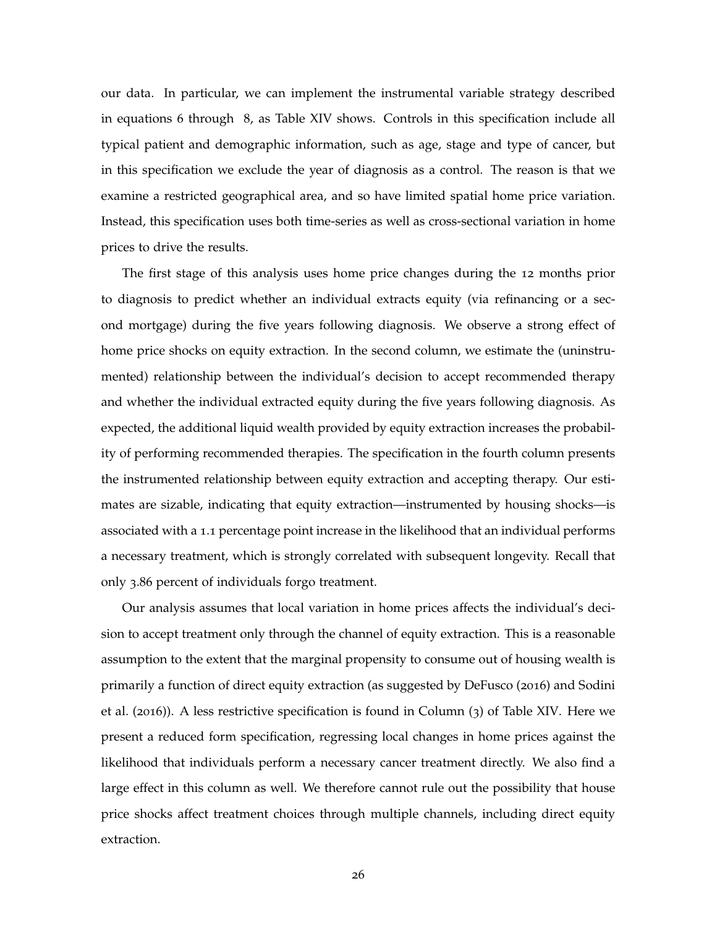our data. In particular, we can implement the instrumental variable strategy described in equations 6 through 8, as Table XIV shows. Controls in this specification include all typical patient and demographic information, such as age, stage and type of cancer, but in this specification we exclude the year of diagnosis as a control. The reason is that we examine a restricted geographical area, and so have limited spatial home price variation. Instead, this specification uses both time-series as well as cross-sectional variation in home prices to drive the results.

The first stage of this analysis uses home price changes during the 12 months prior to diagnosis to predict whether an individual extracts equity (via refinancing or a second mortgage) during the five years following diagnosis. We observe a strong effect of home price shocks on equity extraction. In the second column, we estimate the (uninstrumented) relationship between the individual's decision to accept recommended therapy and whether the individual extracted equity during the five years following diagnosis. As expected, the additional liquid wealth provided by equity extraction increases the probability of performing recommended therapies. The specification in the fourth column presents the instrumented relationship between equity extraction and accepting therapy. Our estimates are sizable, indicating that equity extraction—instrumented by housing shocks—is associated with a 1.1 percentage point increase in the likelihood that an individual performs a necessary treatment, which is strongly correlated with subsequent longevity. Recall that only 3.86 percent of individuals forgo treatment.

Our analysis assumes that local variation in home prices affects the individual's decision to accept treatment only through the channel of equity extraction. This is a reasonable assumption to the extent that the marginal propensity to consume out of housing wealth is primarily a function of direct equity extraction (as suggested by DeFusco (2016) and Sodini et al. (2016)). A less restrictive specification is found in Column (3) of Table XIV. Here we present a reduced form specification, regressing local changes in home prices against the likelihood that individuals perform a necessary cancer treatment directly. We also find a large effect in this column as well. We therefore cannot rule out the possibility that house price shocks affect treatment choices through multiple channels, including direct equity extraction.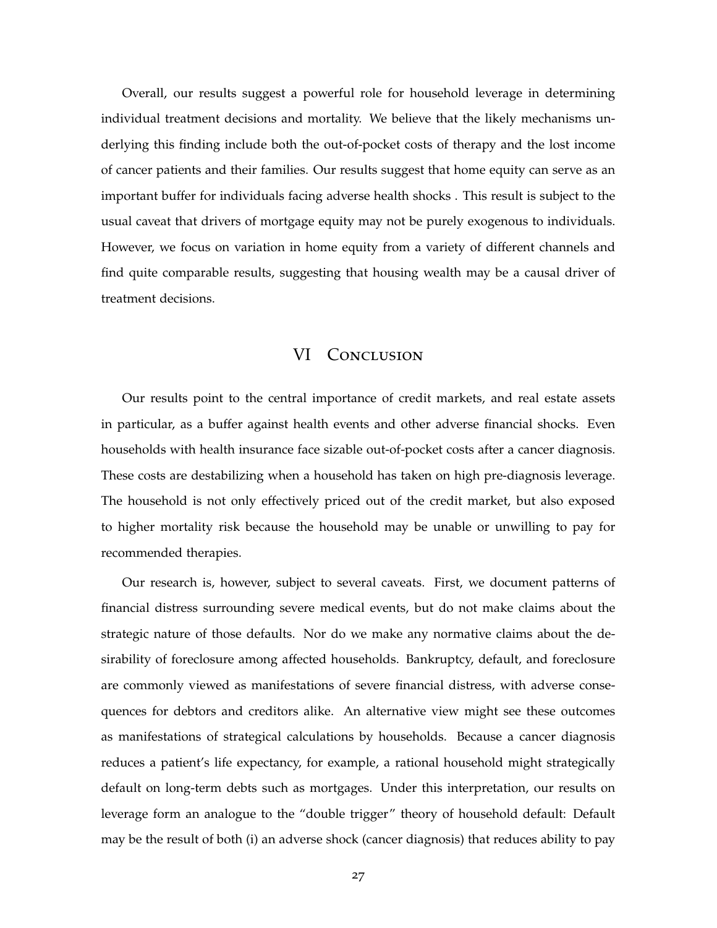Overall, our results suggest a powerful role for household leverage in determining individual treatment decisions and mortality. We believe that the likely mechanisms underlying this finding include both the out-of-pocket costs of therapy and the lost income of cancer patients and their families. Our results suggest that home equity can serve as an important buffer for individuals facing adverse health shocks . This result is subject to the usual caveat that drivers of mortgage equity may not be purely exogenous to individuals. However, we focus on variation in home equity from a variety of different channels and find quite comparable results, suggesting that housing wealth may be a causal driver of treatment decisions.

### VI CONCLUSION

Our results point to the central importance of credit markets, and real estate assets in particular, as a buffer against health events and other adverse financial shocks. Even households with health insurance face sizable out-of-pocket costs after a cancer diagnosis. These costs are destabilizing when a household has taken on high pre-diagnosis leverage. The household is not only effectively priced out of the credit market, but also exposed to higher mortality risk because the household may be unable or unwilling to pay for recommended therapies.

Our research is, however, subject to several caveats. First, we document patterns of financial distress surrounding severe medical events, but do not make claims about the strategic nature of those defaults. Nor do we make any normative claims about the desirability of foreclosure among affected households. Bankruptcy, default, and foreclosure are commonly viewed as manifestations of severe financial distress, with adverse consequences for debtors and creditors alike. An alternative view might see these outcomes as manifestations of strategical calculations by households. Because a cancer diagnosis reduces a patient's life expectancy, for example, a rational household might strategically default on long-term debts such as mortgages. Under this interpretation, our results on leverage form an analogue to the "double trigger" theory of household default: Default may be the result of both (i) an adverse shock (cancer diagnosis) that reduces ability to pay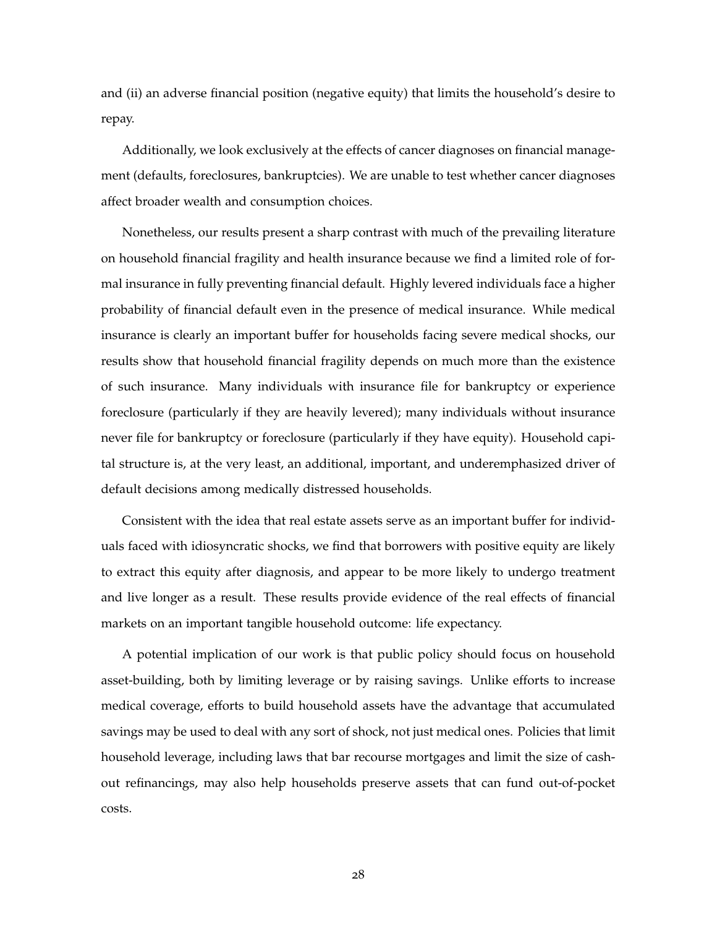and (ii) an adverse financial position (negative equity) that limits the household's desire to repay.

Additionally, we look exclusively at the effects of cancer diagnoses on financial management (defaults, foreclosures, bankruptcies). We are unable to test whether cancer diagnoses affect broader wealth and consumption choices.

Nonetheless, our results present a sharp contrast with much of the prevailing literature on household financial fragility and health insurance because we find a limited role of formal insurance in fully preventing financial default. Highly levered individuals face a higher probability of financial default even in the presence of medical insurance. While medical insurance is clearly an important buffer for households facing severe medical shocks, our results show that household financial fragility depends on much more than the existence of such insurance. Many individuals with insurance file for bankruptcy or experience foreclosure (particularly if they are heavily levered); many individuals without insurance never file for bankruptcy or foreclosure (particularly if they have equity). Household capital structure is, at the very least, an additional, important, and underemphasized driver of default decisions among medically distressed households.

Consistent with the idea that real estate assets serve as an important buffer for individuals faced with idiosyncratic shocks, we find that borrowers with positive equity are likely to extract this equity after diagnosis, and appear to be more likely to undergo treatment and live longer as a result. These results provide evidence of the real effects of financial markets on an important tangible household outcome: life expectancy.

A potential implication of our work is that public policy should focus on household asset-building, both by limiting leverage or by raising savings. Unlike efforts to increase medical coverage, efforts to build household assets have the advantage that accumulated savings may be used to deal with any sort of shock, not just medical ones. Policies that limit household leverage, including laws that bar recourse mortgages and limit the size of cashout refinancings, may also help households preserve assets that can fund out-of-pocket costs.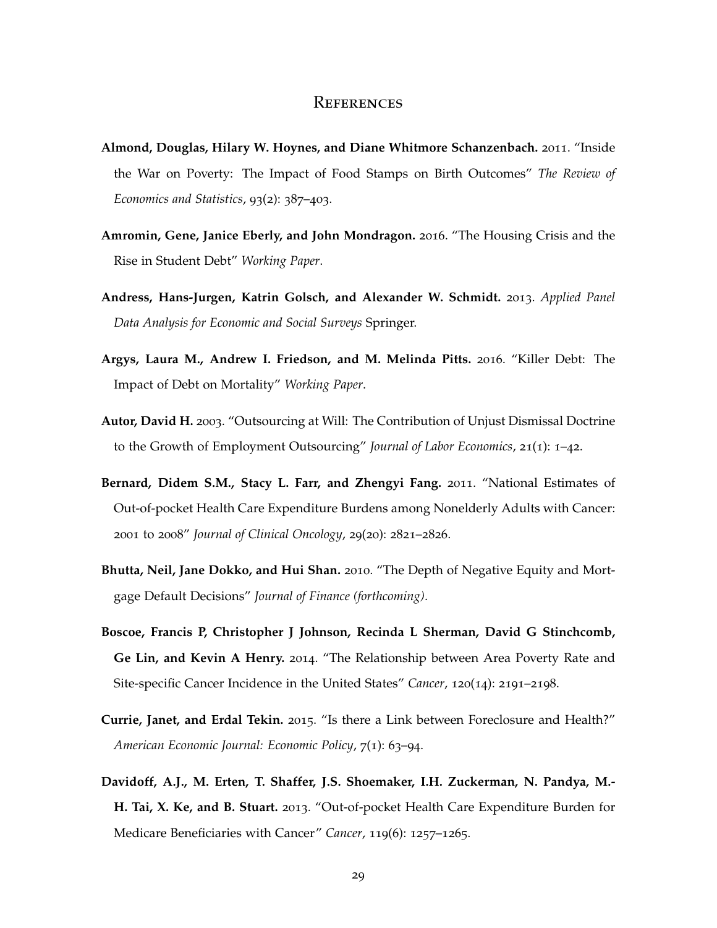### **REFERENCES**

- **Almond, Douglas, Hilary W. Hoynes, and Diane Whitmore Schanzenbach.** 2011. "Inside the War on Poverty: The Impact of Food Stamps on Birth Outcomes" *The Review of Economics and Statistics*, 93(2): 387–403.
- **Amromin, Gene, Janice Eberly, and John Mondragon.** 2016. "The Housing Crisis and the Rise in Student Debt" *Working Paper*.
- **Andress, Hans-Jurgen, Katrin Golsch, and Alexander W. Schmidt.** 2013. *Applied Panel Data Analysis for Economic and Social Surveys* Springer.
- **Argys, Laura M., Andrew I. Friedson, and M. Melinda Pitts.** 2016. "Killer Debt: The Impact of Debt on Mortality" *Working Paper*.
- **Autor, David H.** 2003. "Outsourcing at Will: The Contribution of Unjust Dismissal Doctrine to the Growth of Employment Outsourcing" *Journal of Labor Economics*, 21(1): 1–42.
- **Bernard, Didem S.M., Stacy L. Farr, and Zhengyi Fang.** 2011. "National Estimates of Out-of-pocket Health Care Expenditure Burdens among Nonelderly Adults with Cancer: 2001 to 2008" *Journal of Clinical Oncology*, 29(20): 2821–2826.
- **Bhutta, Neil, Jane Dokko, and Hui Shan.** 2010. "The Depth of Negative Equity and Mortgage Default Decisions" *Journal of Finance (forthcoming)*.
- **Boscoe, Francis P, Christopher J Johnson, Recinda L Sherman, David G Stinchcomb, Ge Lin, and Kevin A Henry.** 2014. "The Relationship between Area Poverty Rate and Site-specific Cancer Incidence in the United States" *Cancer*, 120(14): 2191–2198.
- **Currie, Janet, and Erdal Tekin.** 2015. "Is there a Link between Foreclosure and Health?" *American Economic Journal: Economic Policy*, 7(1): 63–94.
- **Davidoff, A.J., M. Erten, T. Shaffer, J.S. Shoemaker, I.H. Zuckerman, N. Pandya, M.- H. Tai, X. Ke, and B. Stuart.** 2013. "Out-of-pocket Health Care Expenditure Burden for Medicare Beneficiaries with Cancer" *Cancer*, 119(6): 1257–1265.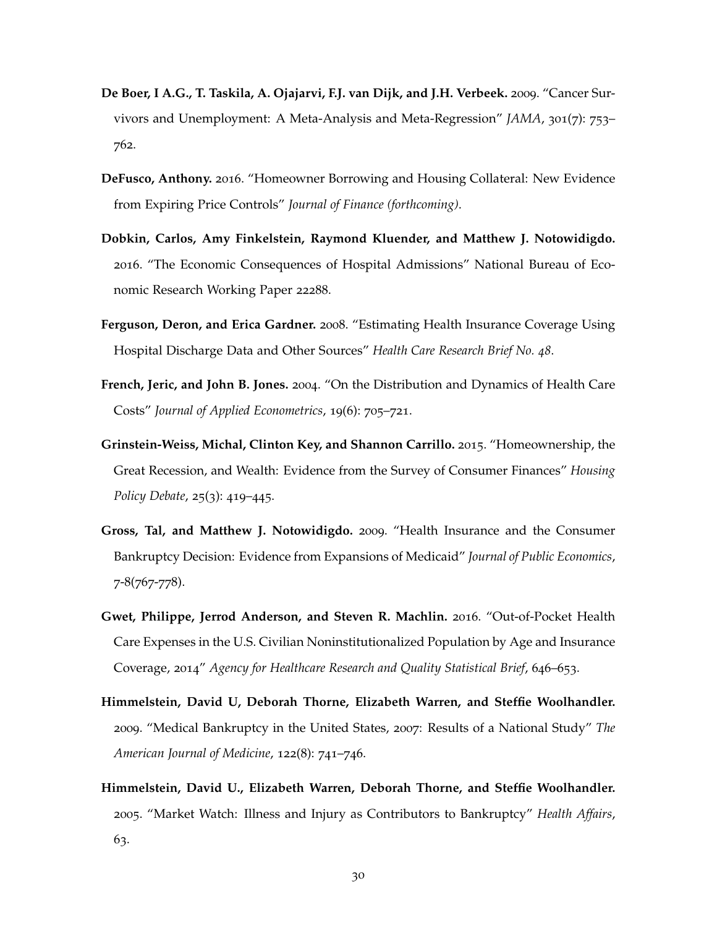- **De Boer, I A.G., T. Taskila, A. Ojajarvi, F.J. van Dijk, and J.H. Verbeek.** 2009. "Cancer Survivors and Unemployment: A Meta-Analysis and Meta-Regression" *JAMA*, 301(7): 753– 762.
- **DeFusco, Anthony.** 2016. "Homeowner Borrowing and Housing Collateral: New Evidence from Expiring Price Controls" *Journal of Finance (forthcoming)*.
- **Dobkin, Carlos, Amy Finkelstein, Raymond Kluender, and Matthew J. Notowidigdo.** 2016. "The Economic Consequences of Hospital Admissions" National Bureau of Economic Research Working Paper 22288.
- **Ferguson, Deron, and Erica Gardner.** 2008. "Estimating Health Insurance Coverage Using Hospital Discharge Data and Other Sources" *Health Care Research Brief No. 48*.
- **French, Jeric, and John B. Jones.** 2004. "On the Distribution and Dynamics of Health Care Costs" *Journal of Applied Econometrics*, 19(6): 705–721.
- **Grinstein-Weiss, Michal, Clinton Key, and Shannon Carrillo.** 2015. "Homeownership, the Great Recession, and Wealth: Evidence from the Survey of Consumer Finances" *Housing Policy Debate*, 25(3): 419–445.
- **Gross, Tal, and Matthew J. Notowidigdo.** 2009. "Health Insurance and the Consumer Bankruptcy Decision: Evidence from Expansions of Medicaid" *Journal of Public Economics*, 7-8(767-778).
- **Gwet, Philippe, Jerrod Anderson, and Steven R. Machlin.** 2016. "Out-of-Pocket Health Care Expenses in the U.S. Civilian Noninstitutionalized Population by Age and Insurance Coverage, 2014" *Agency for Healthcare Research and Quality Statistical Brief*, 646–653.
- **Himmelstein, David U, Deborah Thorne, Elizabeth Warren, and Steffie Woolhandler.** 2009. "Medical Bankruptcy in the United States, 2007: Results of a National Study" *The American Journal of Medicine*, 122(8): 741–746.
- **Himmelstein, David U., Elizabeth Warren, Deborah Thorne, and Steffie Woolhandler.** 2005. "Market Watch: Illness and Injury as Contributors to Bankruptcy" *Health Affairs*, 63.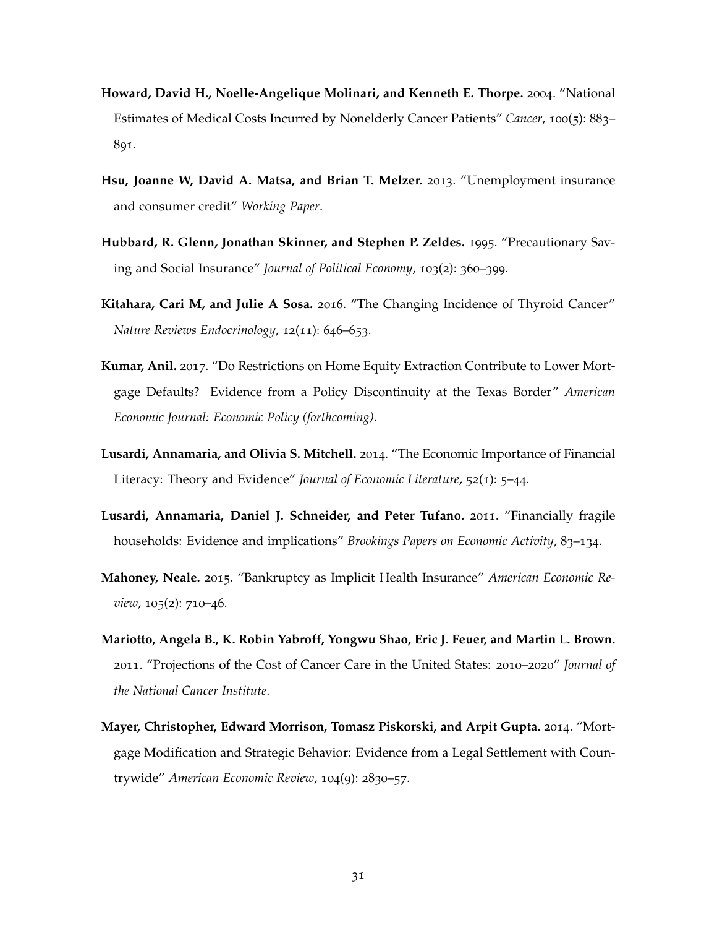- **Howard, David H., Noelle-Angelique Molinari, and Kenneth E. Thorpe.** 2004. "National Estimates of Medical Costs Incurred by Nonelderly Cancer Patients" *Cancer*, 100(5): 883– 891.
- **Hsu, Joanne W, David A. Matsa, and Brian T. Melzer.** 2013. "Unemployment insurance and consumer credit" *Working Paper*.
- **Hubbard, R. Glenn, Jonathan Skinner, and Stephen P. Zeldes.** 1995. "Precautionary Saving and Social Insurance" *Journal of Political Economy*, 103(2): 360–399.
- **Kitahara, Cari M, and Julie A Sosa.** 2016. "The Changing Incidence of Thyroid Cancer" *Nature Reviews Endocrinology*, 12(11): 646–653.
- **Kumar, Anil.** 2017. "Do Restrictions on Home Equity Extraction Contribute to Lower Mortgage Defaults? Evidence from a Policy Discontinuity at the Texas Border" *American Economic Journal: Economic Policy (forthcoming)*.
- **Lusardi, Annamaria, and Olivia S. Mitchell.** 2014. "The Economic Importance of Financial Literacy: Theory and Evidence" *Journal of Economic Literature*, 52(1): 5–44.
- **Lusardi, Annamaria, Daniel J. Schneider, and Peter Tufano.** 2011. "Financially fragile households: Evidence and implications" *Brookings Papers on Economic Activity*, 83–134.
- **Mahoney, Neale.** 2015. "Bankruptcy as Implicit Health Insurance" *American Economic Review*, 105(2): 710–46.
- **Mariotto, Angela B., K. Robin Yabroff, Yongwu Shao, Eric J. Feuer, and Martin L. Brown.** 2011. "Projections of the Cost of Cancer Care in the United States: 2010–2020" *Journal of the National Cancer Institute*.
- **Mayer, Christopher, Edward Morrison, Tomasz Piskorski, and Arpit Gupta.** 2014. "Mortgage Modification and Strategic Behavior: Evidence from a Legal Settlement with Countrywide" *American Economic Review*, 104(9): 2830–57.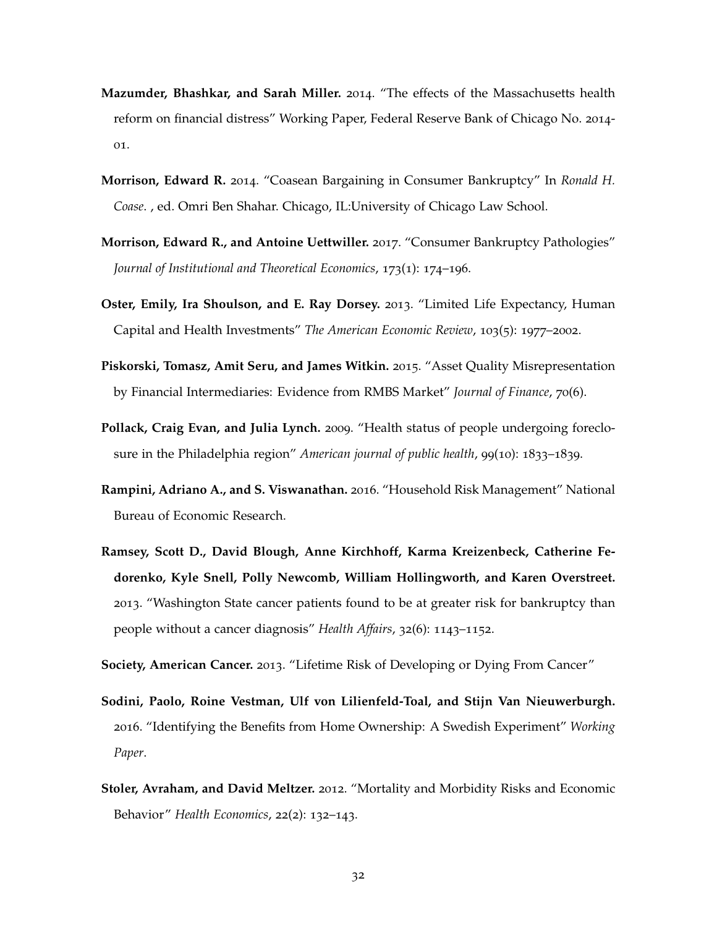- **Mazumder, Bhashkar, and Sarah Miller.** 2014. "The effects of the Massachusetts health reform on financial distress" Working Paper, Federal Reserve Bank of Chicago No. 2014- 01.
- **Morrison, Edward R.** 2014. "Coasean Bargaining in Consumer Bankruptcy" In *Ronald H. Coase*. , ed. Omri Ben Shahar. Chicago, IL:University of Chicago Law School.
- **Morrison, Edward R., and Antoine Uettwiller.** 2017. "Consumer Bankruptcy Pathologies" *Journal of Institutional and Theoretical Economics*, 173(1): 174–196.
- **Oster, Emily, Ira Shoulson, and E. Ray Dorsey.** 2013. "Limited Life Expectancy, Human Capital and Health Investments" *The American Economic Review*, 103(5): 1977–2002.
- **Piskorski, Tomasz, Amit Seru, and James Witkin.** 2015. "Asset Quality Misrepresentation by Financial Intermediaries: Evidence from RMBS Market" *Journal of Finance*, 70(6).
- **Pollack, Craig Evan, and Julia Lynch.** 2009. "Health status of people undergoing foreclosure in the Philadelphia region" *American journal of public health*, 99(10): 1833–1839.
- **Rampini, Adriano A., and S. Viswanathan.** 2016. "Household Risk Management" National Bureau of Economic Research.
- **Ramsey, Scott D., David Blough, Anne Kirchhoff, Karma Kreizenbeck, Catherine Fedorenko, Kyle Snell, Polly Newcomb, William Hollingworth, and Karen Overstreet.** 2013. "Washington State cancer patients found to be at greater risk for bankruptcy than people without a cancer diagnosis" *Health Affairs*, 32(6): 1143–1152.

**Society, American Cancer.** 2013. "Lifetime Risk of Developing or Dying From Cancer"

- **Sodini, Paolo, Roine Vestman, Ulf von Lilienfeld-Toal, and Stijn Van Nieuwerburgh.** 2016. "Identifying the Benefits from Home Ownership: A Swedish Experiment" *Working Paper*.
- **Stoler, Avraham, and David Meltzer.** 2012. "Mortality and Morbidity Risks and Economic Behavior" *Health Economics*, 22(2): 132–143.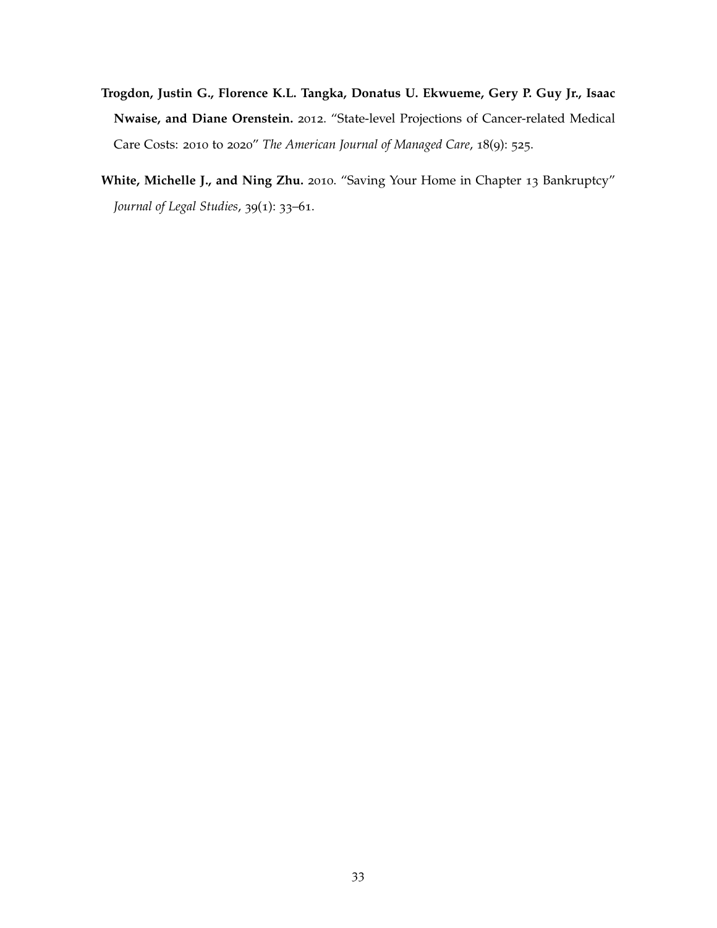- **Trogdon, Justin G., Florence K.L. Tangka, Donatus U. Ekwueme, Gery P. Guy Jr., Isaac Nwaise, and Diane Orenstein.** 2012. "State-level Projections of Cancer-related Medical Care Costs: 2010 to 2020" *The American Journal of Managed Care*, 18(9): 525.
- **White, Michelle J., and Ning Zhu.** 2010. "Saving Your Home in Chapter 13 Bankruptcy" *Journal of Legal Studies*, 39(1): 33–61.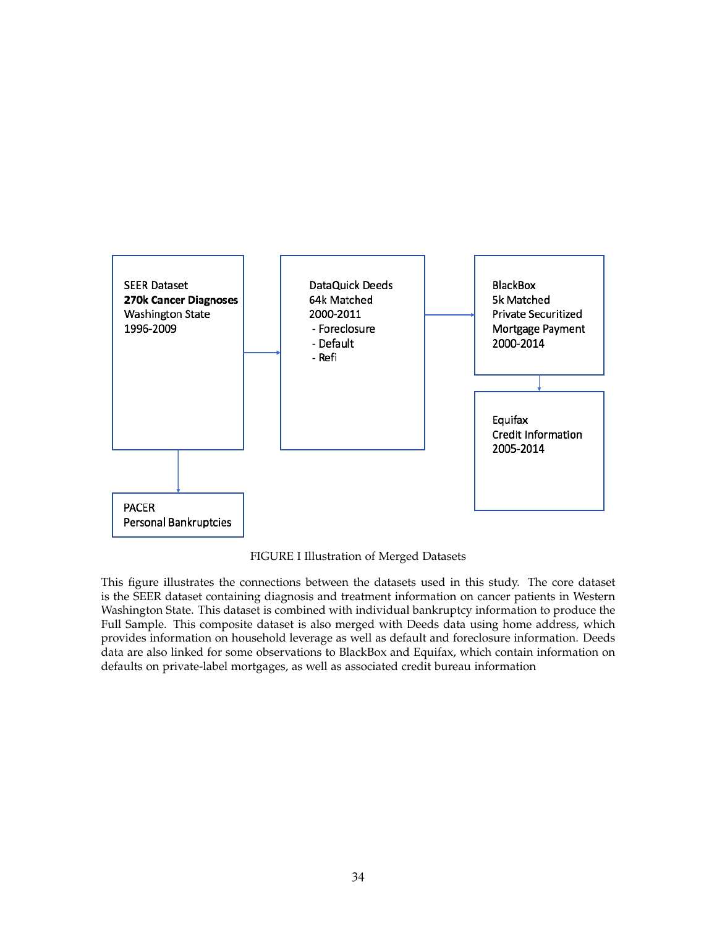

FIGURE I Illustration of Merged Datasets

This figure illustrates the connections between the datasets used in this study. The core dataset is the SEER dataset containing diagnosis and treatment information on cancer patients in Western Washington State. This dataset is combined with individual bankruptcy information to produce the Full Sample. This composite dataset is also merged with Deeds data using home address, which provides information on household leverage as well as default and foreclosure information. Deeds data are also linked for some observations to BlackBox and Equifax, which contain information on defaults on private-label mortgages, as well as associated credit bureau information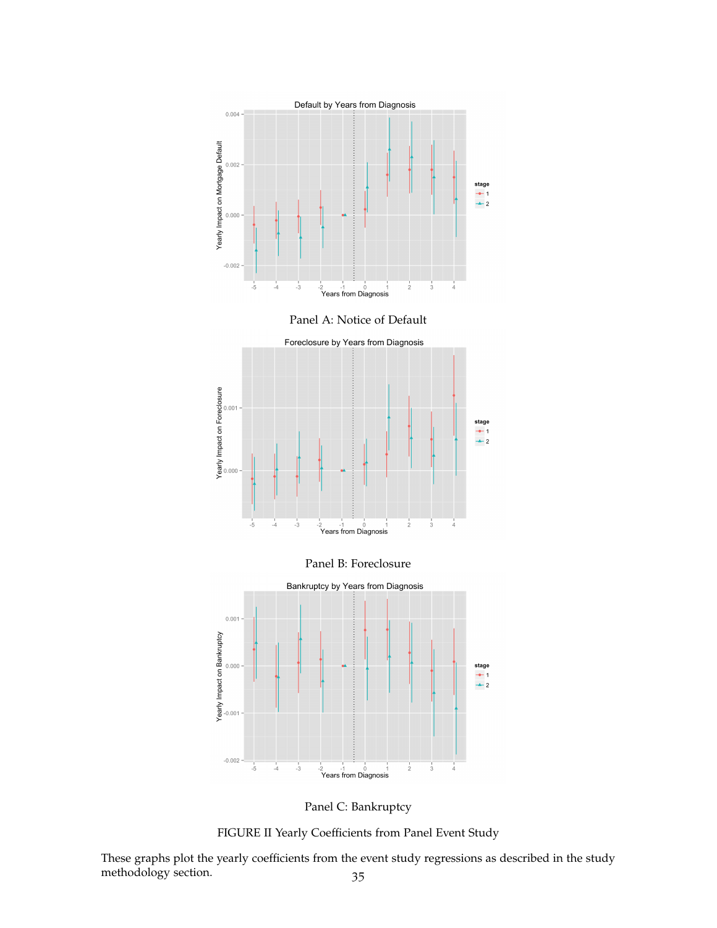

Panel A: Notice of Default



Panel B: Foreclosure



Panel C: Bankruptcy

FIGURE II Yearly Coefficients from Panel Event Study

These graphs plot the yearly coefficients from the event study regressions as described in the study methodology section. 35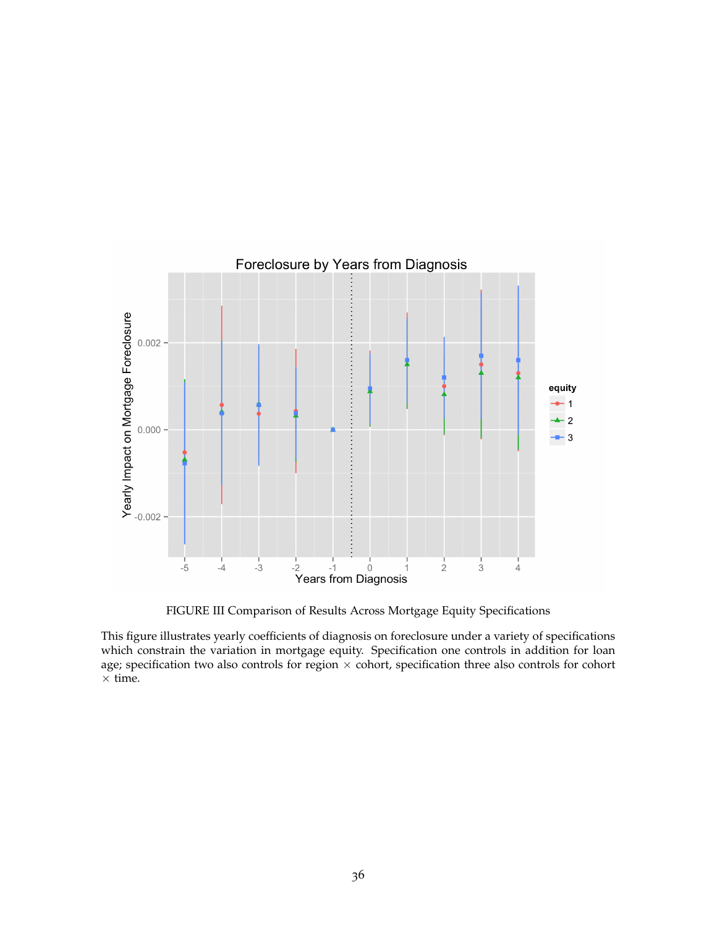

FIGURE III Comparison of Results Across Mortgage Equity Specifications

This figure illustrates yearly coefficients of diagnosis on foreclosure under a variety of specifications which constrain the variation in mortgage equity. Specification one controls in addition for loan age; specification two also controls for region  $\times$  cohort, specification three also controls for cohort  $\times$  time.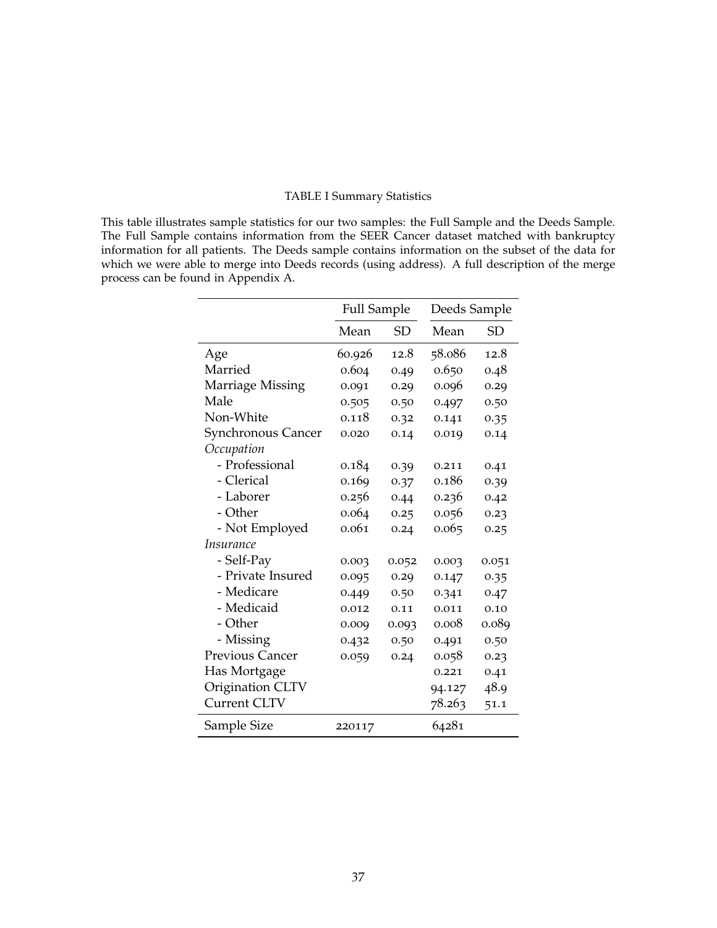### TABLE I Summary Statistics

This table illustrates sample statistics for our two samples: the Full Sample and the Deeds Sample. The Full Sample contains information from the SEER Cancer dataset matched with bankruptcy information for all patients. The Deeds sample contains information on the subset of the data for which we were able to merge into Deeds records (using address). A full description of the merge process can be found in Appendix A.

|                         | <b>Full Sample</b> |           | Deeds Sample |       |  |
|-------------------------|--------------------|-----------|--------------|-------|--|
|                         | Mean               | <b>SD</b> | Mean         | SD    |  |
| Age                     | 60.926             | 12.8      | 58.086       | 12.8  |  |
| Married                 | 0.604              | 0.49      | 0.650        | 0.48  |  |
| <b>Marriage Missing</b> | 0.091              | 0.29      | 0.096        | 0.29  |  |
| Male                    | 0.505              | 0.50      | 0.497        | 0.50  |  |
| Non-White               | 0.118              | 0.32      | 0.141        | 0.35  |  |
| Synchronous Cancer      | 0.020              | 0.14      | 0.019        | 0.14  |  |
| Occupation              |                    |           |              |       |  |
| - Professional          | 0.184              | 0.39      | 0.211        | 0.41  |  |
| - Clerical              | 0.169              | 0.37      | 0.186        | 0.39  |  |
| - Laborer               | 0.256              | 0.44      | 0.236        | 0.42  |  |
| - Other                 | 0.064              | 0.25      | 0.056        | 0.23  |  |
| - Not Employed          | 0.061              | 0.24      | 0.065        | 0.25  |  |
| <i>Insurance</i>        |                    |           |              |       |  |
| - Self-Pay              | 0.003              | 0.052     | 0.003        | 0.051 |  |
| - Private Insured       | 0.095              | 0.29      | 0.147        | 0.35  |  |
| - Medicare              | 0.449              | 0.50      | 0.341        | 0.47  |  |
| - Medicaid              | 0.012              | 0.11      | 0.011        | 0.10  |  |
| - Other                 | 0.009              | 0.093     | 0.008        | 0.089 |  |
| - Missing               | 0.432              | 0.50      | 0.491        | 0.50  |  |
| Previous Cancer         | 0.059              | 0.24      | 0.058        | 0.23  |  |
| Has Mortgage            |                    |           | 0.221        | 0.41  |  |
| Origination CLTV        |                    |           | 94.127       | 48.9  |  |
| Current CLTV            |                    |           | 78.263       | 51.1  |  |
| Sample Size             | 220117             |           | 64281        |       |  |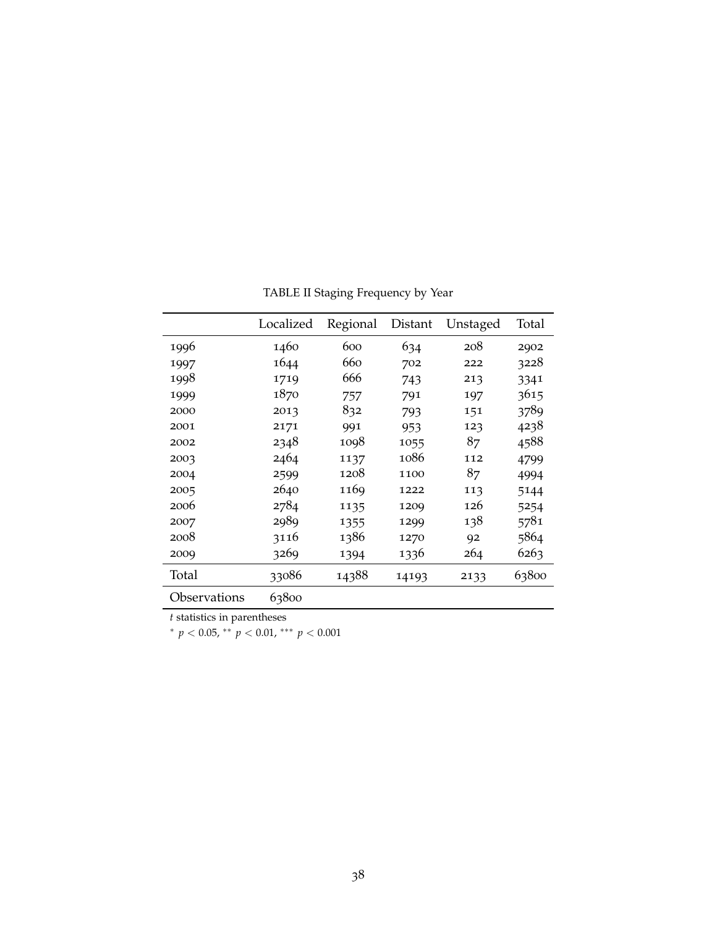|              | Localized | Regional | Distant | Unstaged | Total |
|--------------|-----------|----------|---------|----------|-------|
| 1996         | 1460      | 600      | 634     | 208      | 2902  |
| 1997         | 1644      | 660      | 702     | 222      | 3228  |
| 1998         | 1719      | 666      | 743     | 213      | 3341  |
| 1999         | 1870      | 757      | 791     | 197      | 3615  |
| 2000         | 2013      | 832      | 793     | 151      | 3789  |
| 2001         | 2171      | 991      | 953     | 123      | 4238  |
| 2002         | 2348      | 1098     | 1055    | 87       | 4588  |
| 2003         | 2464      | 1137     | 1086    | 112      | 4799  |
| 2004         | 2599      | 1208     | 1100    | 87       | 4994  |
| 2005         | 2640      | 1169     | 1222    | 113      | 5144  |
| 2006         | 2784      | 1135     | 1209    | 126      | 5254  |
| 2007         | 2989      | 1355     | 1299    | 138      | 5781  |
| 2008         | 3116      | 1386     | 1270    | 92       | 5864  |
| 2009         | 3269      | 1394     | 1336    | 264      | 6263  |
| Total        | 33086     | 14388    | 14193   | 2133     | 63800 |
| Observations | 63800     |          |         |          |       |

TABLE II Staging Frequency by Year

*t* statistics in parentheses

<sup>∗</sup> *p* < 0.05, ∗∗ *p* < 0.01, ∗∗∗ *p* < 0.001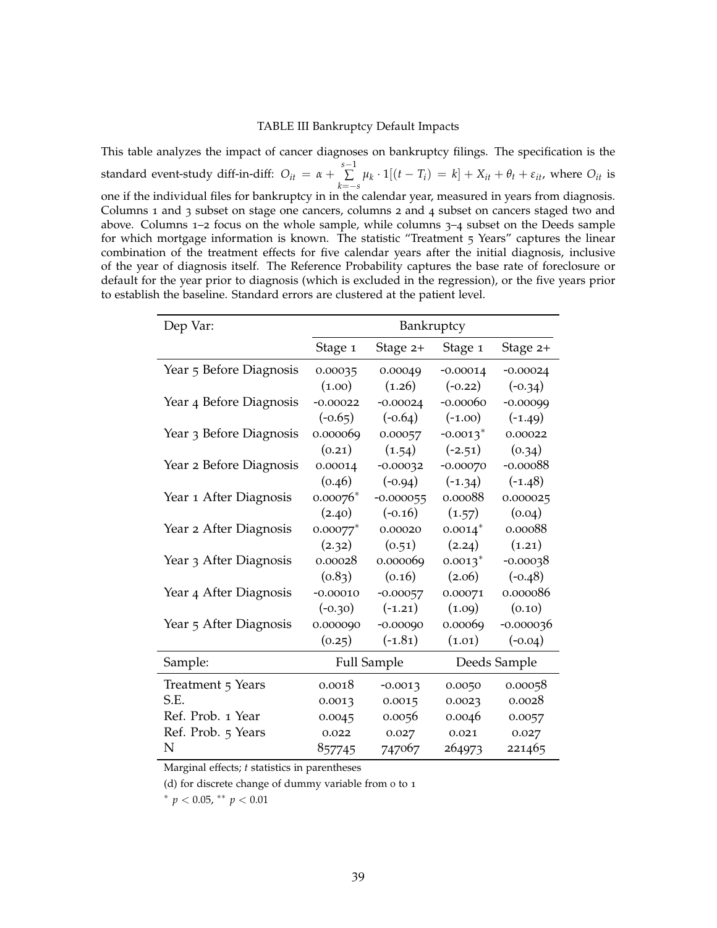#### TABLE III Bankruptcy Default Impacts

This table analyzes the impact of cancer diagnoses on bankruptcy filings. The specification is the standard event-study diff-in-diff:  $O_{it} = \alpha + \sum_{i=1}^{s-1}$ ∑  $\sum_{k=-s}$   $\mu_k \cdot 1[(t - T_i) = k] + X_{it} + \theta_t + \varepsilon_{it}$ , where  $O_{it}$  is one if the individual files for bankruptcy in in the calendar year, measured in years from diagnosis. Columns 1 and 3 subset on stage one cancers, columns 2 and 4 subset on cancers staged two and above. Columns  $1-2$  focus on the whole sample, while columns  $3-4$  subset on the Deeds sample for which mortgage information is known. The statistic "Treatment 5 Years" captures the linear combination of the treatment effects for five calendar years after the initial diagnosis, inclusive of the year of diagnosis itself. The Reference Probability captures the base rate of foreclosure or default for the year prior to diagnosis (which is excluded in the regression), or the five years prior to establish the baseline. Standard errors are clustered at the patient level.

| Dep Var:                |                        | Bankruptcy         |                        |              |
|-------------------------|------------------------|--------------------|------------------------|--------------|
|                         | Stage 1                | Stage 2+           | Stage 1                | Stage 2+     |
| Year 5 Before Diagnosis | 0.00035                | 0.00049            | $-0.00014$             | $-0.00024$   |
|                         | (1.00)                 | (1.26)             | $(-0.22)$              | $(-0.34)$    |
| Year 4 Before Diagnosis | $-0.00022$             | $-0.00024$         | $-0.00060$             | $-0.00099$   |
|                         | $(-0.65)$              | $(-0.64)$          | $(-1.00)$              | $(-1.49)$    |
| Year 3 Before Diagnosis | 0.000069               | 0.00057            | $-0.0013$ <sup>*</sup> | 0.00022      |
|                         | (0.21)                 | (1.54)             | $(-2.51)$              | (0.34)       |
| Year 2 Before Diagnosis | 0.00014                | $-0.00032$         | $-0.00070$             | $-0.00088$   |
|                         | (0.46)                 | $(-0.94)$          | $(-1.34)$              | $(-1.48)$    |
| Year 1 After Diagnosis  | $0.00076*$             | $-0.000055$        | 0.00088                | 0.000025     |
|                         | (2.40)                 | $(-0.16)$          | (1.57)                 | (0.04)       |
| Year 2 After Diagnosis  | $0.00077$ <sup>*</sup> | 0.00020            | $0.0014$ <sup>*</sup>  | 0.00088      |
|                         | (2.32)                 | (0.51)             | (2.24)                 | (1.21)       |
| Year 3 After Diagnosis  | 0.00028                | 0.000069           | $0.0013$ <sup>*</sup>  | $-0.00038$   |
|                         | (0.83)                 | (0.16)             | (2.06)                 | $(-0.48)$    |
| Year 4 After Diagnosis  | $-0.00010$             | $-0.00057$         | 0.00071                | 0.000086     |
|                         | $(-0.30)$              | $(-1.21)$          | (1.09)                 | (0.10)       |
| Year 5 After Diagnosis  | 0.000090               | $-0.00090$         | 0.00069                | $-0.000036$  |
|                         | (0.25)                 | $(-1.81)$          | (1.01)                 | $(-0.04)$    |
| Sample:                 |                        | <b>Full Sample</b> |                        | Deeds Sample |
| Treatment 5 Years       | 0.0018                 | $-0.0013$          | 0.0050                 | 0.00058      |
| S.E.                    | 0.0013                 | 0.0015             | 0.0023                 | 0.0028       |
| Ref. Prob. 1 Year       | 0.0045                 | 0.0056             | 0.0046                 | 0.0057       |
| Ref. Prob. 5 Years      | 0.022                  | 0.027              | 0.021                  | 0.027        |
| N                       | 857745                 | 747067             | 264973                 | 221465       |

Marginal effects; *t* statistics in parentheses

(d) for discrete change of dummy variable from 0 to 1

<sup>∗</sup> *p* < 0.05, ∗∗ *p* < 0.01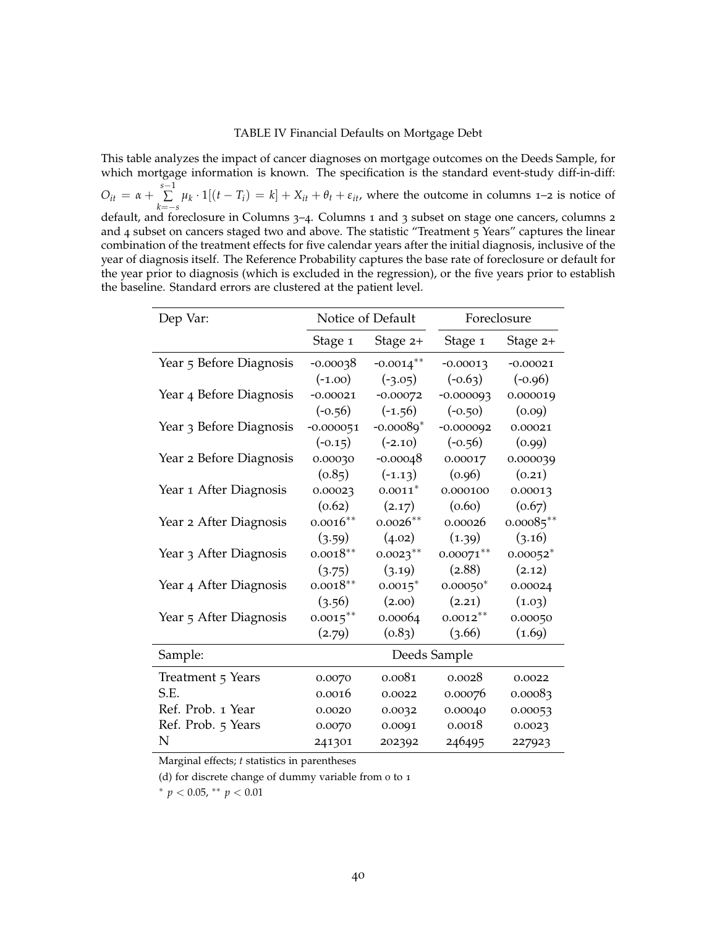#### TABLE IV Financial Defaults on Mortgage Debt

This table analyzes the impact of cancer diagnoses on mortgage outcomes on the Deeds Sample, for which mortgage information is known. The specification is the standard event-study diff-in-diff:

 $O_{it} = \alpha + \sum_{i=1}^{s-1}$ ∑  $\sum_{k=-s}^{s} \mu_k \cdot 1[(t - T_i) = k] + X_{it} + \theta_t + \varepsilon_{it}$ , where the outcome in columns 1–2 is notice of default, and foreclosure in Columns 3-4. Columns 1 and 3 subset on stage one cancers, columns 2 and 4 subset on cancers staged two and above. The statistic "Treatment 5 Years" captures the linear combination of the treatment effects for five calendar years after the initial diagnosis, inclusive of the year of diagnosis itself. The Reference Probability captures the base rate of foreclosure or default for the year prior to diagnosis (which is excluded in the regression), or the five years prior to establish the baseline. Standard errors are clustered at the patient level.

| Dep Var:                |             | Notice of Default |              | Foreclosure |
|-------------------------|-------------|-------------------|--------------|-------------|
|                         | Stage 1     | Stage 2+          | Stage 1      | Stage 2+    |
| Year 5 Before Diagnosis | $-0.00038$  | $-0.0014***$      | $-0.00013$   | $-0.00021$  |
|                         | $(-1.00)$   | $(-3.05)$         | $(-0.63)$    | $(-0.96)$   |
| Year 4 Before Diagnosis | $-0.00021$  | $-0.00072$        | $-0.000093$  | 0.000019    |
|                         | $(-0.56)$   | $(-1.56)$         | $(-0.50)$    | (0.09)      |
| Year 3 Before Diagnosis | $-0.000051$ | $-0.00089*$       | $-0.000092$  | 0.00021     |
|                         | $(-0.15)$   | $(-2.10)$         | $(-0.56)$    | (0.99)      |
| Year 2 Before Diagnosis | 0.00030     | $-0.00048$        | 0.00017      | 0.000039    |
|                         | (0.85)      | $(-1.13)$         | (0.96)       | (0.21)      |
| Year 1 After Diagnosis  | 0.00023     | $0.0011*$         | 0.000100     | 0.00013     |
|                         | (0.62)      | (2.17)            | (0.60)       | (0.67)      |
| Year 2 After Diagnosis  | $0.0016**$  | $0.0026**$        | 0.00026      | $0.00085**$ |
|                         | (3.59)      | (4.02)            | (1.39)       | (3.16)      |
| Year 3 After Diagnosis  | $0.0018**$  | $0.0023**$        | $0.00071***$ | $0.00052*$  |
|                         | (3.75)      | (3.19)            | (2.88)       | (2.12)      |
| Year 4 After Diagnosis  | $0.0018**$  | $0.0015^*$        | $0.00050*$   | 0.00024     |
|                         | (3.56)      | (2.00)            | (2.21)       | (1.03)      |
| Year 5 After Diagnosis  | $0.0015***$ | 0.00064           | $0.0012***$  | 0.00050     |
|                         | (2.79)      | (0.83)            | (3.66)       | (1.69)      |
| Sample:                 |             |                   | Deeds Sample |             |
| Treatment 5 Years       | 0.0070      | 0.0081            | 0.0028       | 0.0022      |
| S.E.                    | 0.0016      | 0.0022            | 0.00076      | 0.00083     |
| Ref. Prob. 1 Year       | 0.0020      | 0.0032            | 0.00040      | 0.00053     |
| Ref. Prob. 5 Years      | 0.0070      | 0.0091            | 0.0018       | 0.0023      |
| N                       | 241301      | 202392            | 246495       | 227923      |

Marginal effects; *t* statistics in parentheses

(d) for discrete change of dummy variable from 0 to 1

<sup>∗</sup> *p* < 0.05, ∗∗ *p* < 0.01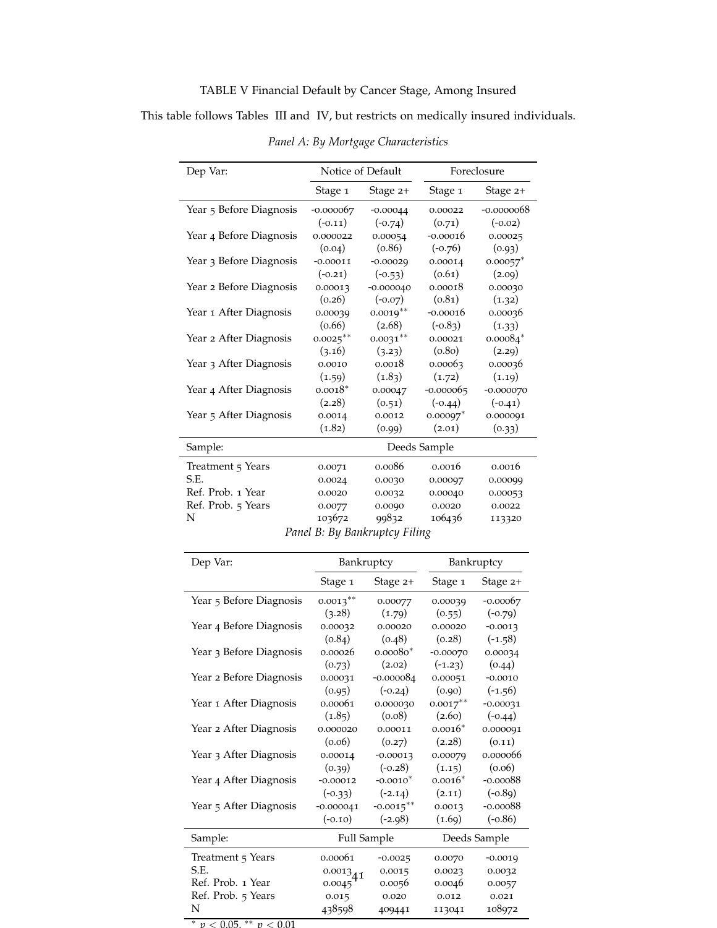### TABLE V Financial Default by Cancer Stage, Among Insured

This table follows Tables III and IV, but restricts on medically insured individuals.

| Dep Var:                |             | Notice of Default             |                        | Foreclosure            |
|-------------------------|-------------|-------------------------------|------------------------|------------------------|
|                         | Stage 1     | Stage $2+$                    | Stage 1                | Stage $2+$             |
| Year 5 Before Diagnosis | $-0.000067$ | $-0.00044$                    | 0.00022                | $-0.0000068$           |
|                         | $(-0.11)$   | $(-0.74)$                     | (0.71)                 | $(-0.02)$              |
| Year 4 Before Diagnosis | 0.000022    | 0.00054                       | $-0.00016$             | 0.00025                |
|                         | (0.04)      | (0.86)                        | $(-0.76)$              | (0.93)                 |
| Year 3 Before Diagnosis | $-0.00011$  | $-0.00029$                    | 0.00014                | $0.00057$ <sup>*</sup> |
|                         | $(-0.21)$   | $(-0.53)$                     | (0.61)                 | (2.09)                 |
| Year 2 Before Diagnosis | 0.00013     | $-0.000040$                   | 0.00018                | 0.00030                |
|                         | (0.26)      | $(-0.07)$                     | (0.81)                 | (1.32)                 |
| Year 1 After Diagnosis  | 0.00039     | $0.0019**$                    | $-0.00016$             | 0.00036                |
|                         | (0.66)      | (2.68)                        | $(-0.83)$              | (1.33)                 |
| Year 2 After Diagnosis  | $0.0025***$ | $0.0031***$                   | 0.00021                | $0.00084*$             |
|                         | (3.16)      | (3.23)                        | (0.80)                 | (2.29)                 |
| Year 3 After Diagnosis  | 0.0010      | 0.0018                        | 0.00063                | 0.00036                |
|                         | (1.59)      | (1.83)                        | (1.72)                 | (1.19)                 |
| Year 4 After Diagnosis  | $0.0018*$   | 0.00047                       | $-0.000065$            | $-0.000070$            |
|                         | (2.28)      | (0.51)                        | $(-0.44)$              | $(-0.41)$              |
| Year 5 After Diagnosis  | 0.0014      | 0.0012                        | $0.00097$ <sup>*</sup> | 0.000091               |
|                         | (1.82)      | (0.99)                        | (2.01)                 | (0.33)                 |
| Sample:                 |             |                               | Deeds Sample           |                        |
| Treatment 5 Years       | 0.0071      | 0.0086                        | 0.0016                 | 0.0016                 |
| S.E.                    | 0.0024      | 0.0030                        | 0.00097                | 0.00099                |
| Ref. Prob. 1 Year       | 0.0020      | 0.0032                        | 0.00040                | 0.00053                |
| Ref. Prob. 5 Years      | 0.0077      | 0.0090                        | 0.0020                 | 0.0022                 |
| N                       | 103672      | 99832                         | 106436                 | 113320                 |
|                         |             | Panel B: By Bankruptcy Filing |                        |                        |

*Panel A: By Mortgage Characteristics*

| Dep Var:                | Bankruptcy         |                        | Bankruptcy  |              |  |
|-------------------------|--------------------|------------------------|-------------|--------------|--|
|                         | Stage 1            | Stage $2+$             | Stage 1     | Stage 2+     |  |
| Year 5 Before Diagnosis | $0.0013***$        | 0.00077                | 0.00039     | $-0.00067$   |  |
|                         | (3.28)             | (1.79)                 | (0.55)      | $(-0.79)$    |  |
| Year 4 Before Diagnosis | 0.00032            | 0.00020                | 0.00020     | $-0.0013$    |  |
|                         | (0.84)             | (0.48)                 | (0.28)      | $(-1.58)$    |  |
| Year 3 Before Diagnosis | 0.00026            | $0.00080*$             | $-0.00070$  | 0.00034      |  |
|                         | (0.73)             | (2.02)                 | $(-1.23)$   | (0.44)       |  |
| Year 2 Before Diagnosis | 0.00031            | $-0.000084$            | 0.00051     | $-0.0010$    |  |
|                         | (0.95)             | $(-0.24)$              | (0.90)      | $(-1.56)$    |  |
| Year 1 After Diagnosis  | 0.00061            | 0.000030               | $0.0017***$ | $-0.00031$   |  |
|                         | (1.85)             | (0.08)                 | (2.60)      | $(-0.44)$    |  |
| Year 2 After Diagnosis  | 0.000020           | 0.00011                | $0.0016*$   | 0.000091     |  |
|                         | (0.06)             | (0.27)                 | (2.28)      | (0.11)       |  |
| Year 3 After Diagnosis  | 0.00014            | $-0.00013$             | 0.00079     | 0.000066     |  |
|                         | (0.39)             | $(-0.28)$              | (1.15)      | (0.06)       |  |
| Year 4 After Diagnosis  | $-0.00012$         | $-0.0010$ <sup>*</sup> | $0.0016*$   | $-0.00088$   |  |
|                         | $(-0.33)$          | $(-2.14)$              | (2.11)      | $(-0.89)$    |  |
| Year 5 After Diagnosis  | $-0.000041$        | $-0.0015***$           | 0.0013      | $-0.00088$   |  |
|                         | $(-0.10)$          | $(-2.98)$              | (1.69)      | $(-0.86)$    |  |
| Sample:                 | <b>Full Sample</b> |                        |             | Deeds Sample |  |
| Treatment 5 Years       | 0.00061            | $-0.0025$              | 0.0070      | $-0.0019$    |  |
| S.E.                    | $0.0013_{41}$      | 0.0015                 | 0.0023      | 0.0032       |  |
| Ref. Prob. 1 Year       | 0.0045             | 0.0056                 | 0.0046      | 0.0057       |  |
| Ref. Prob. 5 Years      | 0.015              | 0.020                  | 0.012       | 0.021        |  |
| N                       | 438598             | 409441                 | 113041      | 108972       |  |

 $p < 0.05$ , \*\*  $p < 0.01$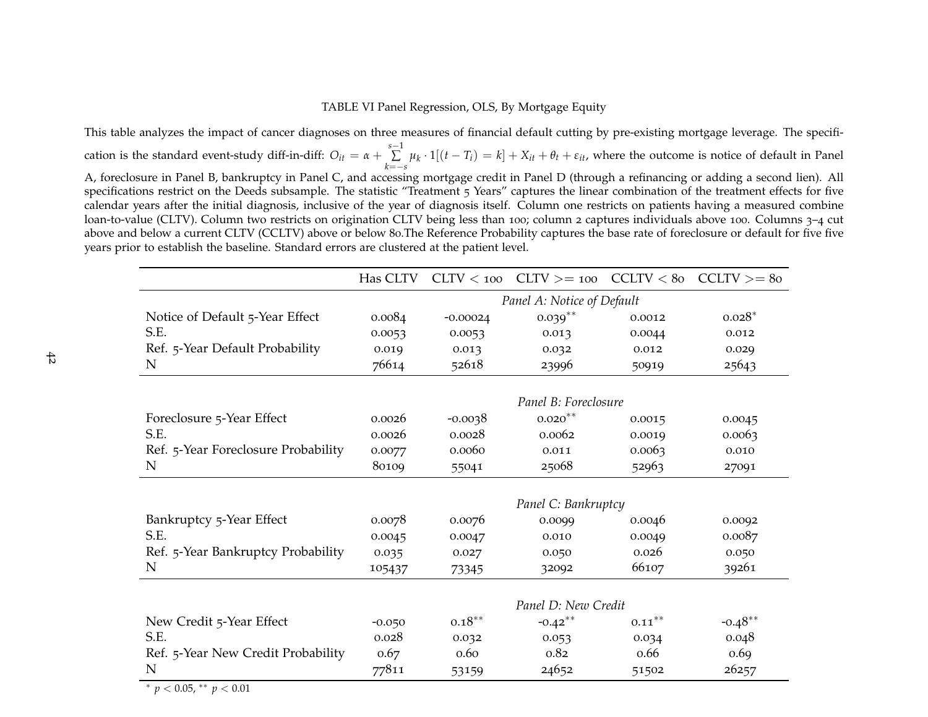### TABLE VI Panel Regression, OLS, By Mortgage Equity

This table analyzes the impact of cancer diagnoses on three measures of financial default cutting by pre-existing mortgage leverage. The specification is the standard event-study diff-in-diff:  $O_{it} = \alpha + \sum_{k=-s}^{s-1} \mu_k \cdot 1[(t-T_i) = k] + X_{it} + \theta_t + \varepsilon_{it}$ , where the outcome is notice of default in Panel A, foreclosure in Panel B, bankruptcy in Panel C, and accessing mortgage credit in Panel <sup>D</sup> (through <sup>a</sup> refinancing or adding <sup>a</sup> second lien). All specifications restrict on the Deeds subsample. The statistic "Treatment 5 Years" captures the linear combination of the treatment effects for five calendar years after the initial diagnosis, inclusive of the year of diagnosis itself. Column one restricts on patients having <sup>a</sup> measured combine loan-to-value (CLTV). Column two restricts on origination CLTV being less than <sup>100</sup>; column <sup>2</sup> captures individuals above <sup>100</sup>. Columns <sup>3</sup>–<sup>4</sup> cut above and below a current CLTV (CCLTV) above or below 80.The Reference Probability captures the base rate of foreclosure or default for five five<br>vease prior to establish the baseline. Standard errors are alustered at the years prior to establish the baseline. Standard errors are clustered at the patient level.

|                                     | Has CLTV                   |                   |                      |           | $CLTV < 100$ $CLTV > = 100$ $CCLTV < 80$ $CCLTV > = 80$ |  |  |
|-------------------------------------|----------------------------|-------------------|----------------------|-----------|---------------------------------------------------------|--|--|
|                                     | Panel A: Notice of Default |                   |                      |           |                                                         |  |  |
| Notice of Default 5-Year Effect     | 0.0084                     | $-0.00024$        | $0.039**$            | 0.0012    | $0.028*$                                                |  |  |
| S.E.                                | 0.0053                     | 0.0053            | 0.013                | 0.0044    | 0.012                                                   |  |  |
| Ref. 5-Year Default Probability     | 0.019                      | 0.013             | 0.032                | 0.012     | 0.029                                                   |  |  |
| N                                   | 76614                      | 52618             | 23996                | 50919     | 25643                                                   |  |  |
|                                     |                            |                   |                      |           |                                                         |  |  |
|                                     |                            |                   | Panel B: Foreclosure |           |                                                         |  |  |
| Foreclosure 5-Year Effect           | 0.0026                     | $-0.0038$         | $0.020**$            | 0.0015    | 0.0045                                                  |  |  |
| S.E.                                | 0.0026                     | 0.0028            | 0.0062               | 0.0019    | 0.0063                                                  |  |  |
| Ref. 5-Year Foreclosure Probability | 0.0077                     | 0.0060<br>0.011   |                      | 0.0063    | 0.010                                                   |  |  |
| N                                   | 80109<br>25068<br>55041    |                   | 52963                | 27091     |                                                         |  |  |
|                                     |                            |                   | Panel C: Bankruptcy  |           |                                                         |  |  |
| Bankruptcy 5-Year Effect            | 0.0078                     | 0.0076            | 0.0099               | 0.0046    | 0.0092                                                  |  |  |
| S.E.                                | 0.0045                     | 0.0047            | 0.010                | 0.0049    | 0.0087                                                  |  |  |
| Ref. 5-Year Bankruptcy Probability  | 0.035                      | 0.027             | 0.050                | 0.026     | 0.050                                                   |  |  |
| N                                   | 105437                     | 73345             | 32092                | 66107     | 39261                                                   |  |  |
|                                     |                            |                   |                      |           |                                                         |  |  |
|                                     |                            |                   | Panel D: New Credit  |           |                                                         |  |  |
| New Credit 5-Year Effect            | $-0.050$                   | $0.18^{\ast\ast}$ | $-0.42$ **           | $0.11***$ | $-0.48**$                                               |  |  |
| S.E.                                | 0.028                      | 0.032             | 0.053                | 0.034     | 0.048                                                   |  |  |
| Ref. 5-Year New Credit Probability  | 0.67                       | 0.60              | 0.82                 | 0.66      | 0.69                                                    |  |  |
| N                                   | 77811                      | 53159             | 24652                | 51502     | 26257                                                   |  |  |

∗ *p* <sup>&</sup>lt; 0.05, ∗∗ *<sup>p</sup>* <sup>&</sup>lt; 0.01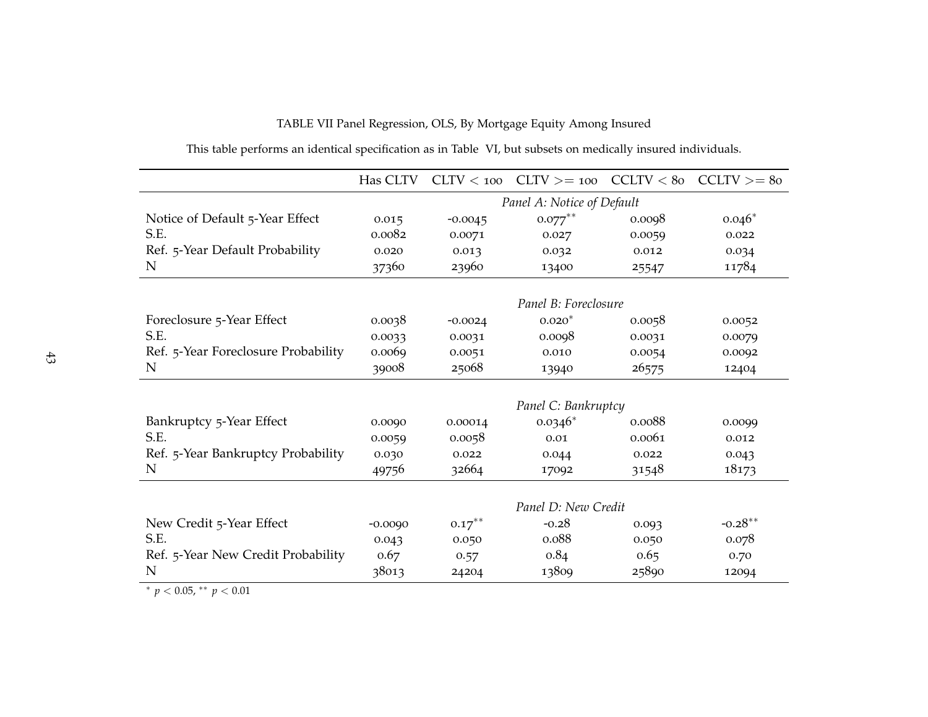|                                     | Has CLTV                   |                 | $CLTV < 100$ $CLTV > = 100$ $CCLTV < 80$ $CCLTV > = 80$ |        |           |  |  |
|-------------------------------------|----------------------------|-----------------|---------------------------------------------------------|--------|-----------|--|--|
|                                     | Panel A: Notice of Default |                 |                                                         |        |           |  |  |
| Notice of Default 5-Year Effect     | 0.015                      | $-0.0045$       | $0.077***$                                              | 0.0098 | $0.046*$  |  |  |
| S.E.                                | 0.0082                     | 0.0071          | 0.027                                                   | 0.0059 | 0.022     |  |  |
| Ref. 5-Year Default Probability     | 0.020                      | 0.013           | 0.032                                                   | 0.012  | 0.034     |  |  |
| N                                   | 37360                      | 23960           | 13400                                                   | 25547  | 11784     |  |  |
|                                     |                            |                 |                                                         |        |           |  |  |
|                                     |                            |                 | Panel B: Foreclosure                                    |        |           |  |  |
| Foreclosure 5-Year Effect           | 0.0038                     | $-0.0024$       | $0.020*$                                                | 0.0058 | 0.0052    |  |  |
| S.E.                                | 0.0033                     | 0.0031          | 0.0098                                                  | 0.0031 | 0.0079    |  |  |
| Ref. 5-Year Foreclosure Probability | 0.0069                     | 0.0051<br>0.010 |                                                         | 0.0054 | 0.0092    |  |  |
| N                                   | 39008<br>25068<br>13940    |                 | 26575                                                   | 12404  |           |  |  |
|                                     |                            |                 |                                                         |        |           |  |  |
|                                     |                            |                 | Panel C: Bankruptcy                                     |        |           |  |  |
| Bankruptcy 5-Year Effect            | 0.0090                     | 0.00014         | $0.0346*$                                               | 0.0088 | 0.0099    |  |  |
| S.E.                                | 0.0059                     | 0.0058          | 0.01                                                    | 0.0061 | 0.012     |  |  |
| Ref. 5-Year Bankruptcy Probability  | 0.030                      | 0.022           | 0.044                                                   | 0.022  | 0.043     |  |  |
| N                                   | 49756                      | 32664           | 17092                                                   | 31548  | 18173     |  |  |
|                                     |                            |                 |                                                         |        |           |  |  |
|                                     |                            |                 | Panel D: New Credit                                     |        |           |  |  |
| New Credit 5-Year Effect            | $-0.0090$                  | $0.17***$       | $-0.28$                                                 | 0.093  | $-0.28**$ |  |  |
| S.E.                                | 0.043                      | 0.050           | 0.088                                                   | 0.050  | 0.078     |  |  |
| Ref. 5-Year New Credit Probability  | 0.67                       | 0.57            | 0.84                                                    | 0.65   | 0.70      |  |  |
| N                                   | 38013                      | 24204           | 13809                                                   | 25890  | 12094     |  |  |

TABLE VII Panel Regression, OLS, By Mortgage Equity Among Insured

This table performs an identical specification as in Table VI, but subsets on medically insured individuals.

∗ *p* <sup>&</sup>lt; 0.05, ∗∗ *<sup>p</sup>* <sup>&</sup>lt; 0.01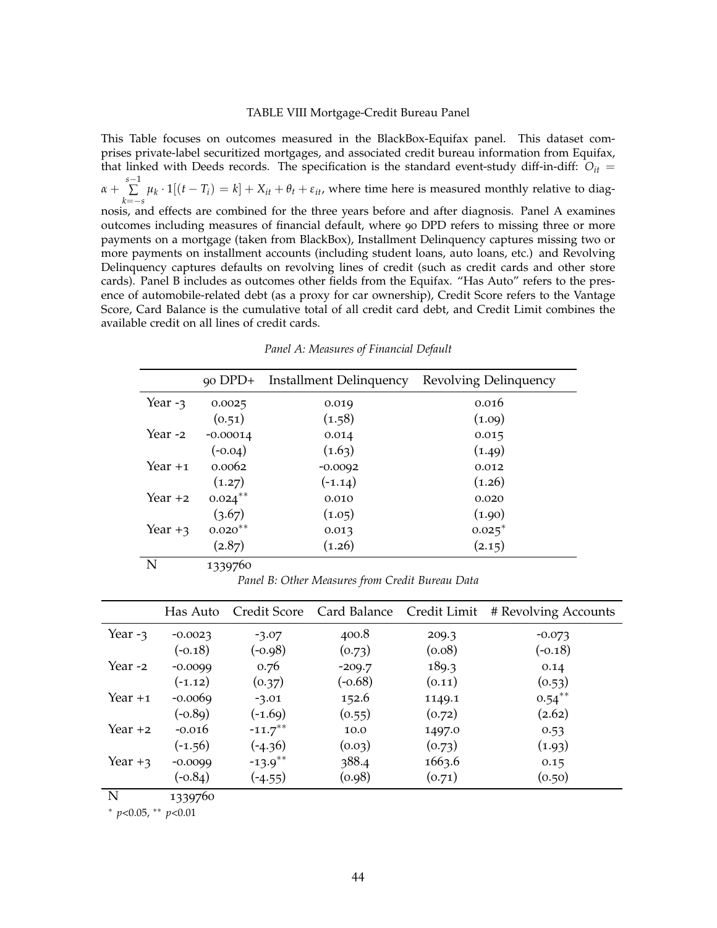#### TABLE VIII Mortgage-Credit Bureau Panel

This Table focuses on outcomes measured in the BlackBox-Equifax panel. This dataset comprises private-label securitized mortgages, and associated credit bureau information from Equifax, that linked with Deeds records. The specification is the standard event-study diff-in-diff: *Oit* = *α* + *s*−1 ∑  $\sum_{k=-s}$  *μ*<sub>*k*</sub> · 1[(*t* − *T*<sub>*i*</sub>) = *k*] + *X*<sub>*it*</sub> + *θ*<sub>*t*</sub> + *ε*<sub>*it*</sub>, where time here is measured monthly relative to diagnosis, and effects are combined for the three years before and after diagnosis. Panel A examines outcomes including measures of financial default, where 90 DPD refers to missing three or more payments on a mortgage (taken from BlackBox), Installment Delinquency captures missing two or more payments on installment accounts (including student loans, auto loans, etc.) and Revolving Delinquency captures defaults on revolving lines of credit (such as credit cards and other store cards). Panel B includes as outcomes other fields from the Equifax. "Has Auto" refers to the presence of automobile-related debt (as a proxy for car ownership), Credit Score refers to the Vantage Score, Card Balance is the cumulative total of all credit card debt, and Credit Limit combines the available credit on all lines of credit cards.

|           |            | 90 DPD+ Installment Delinquency | Revolving Delinquency |
|-----------|------------|---------------------------------|-----------------------|
| Year $-3$ | 0.0025     | 0.019                           | 0.016                 |
|           | (0.51)     | (1.58)                          | (1.09)                |
| Year -2   | $-0.00014$ | 0.014                           | 0.015                 |
|           | $(-0.04)$  | (1.63)                          | (1.49)                |
| Year +1   | 0.0062     | $-0.0092$                       | 0.012                 |
|           | (1.27)     | $(-1.14)$                       | (1.26)                |
| Year $+2$ | $0.024***$ | 0.010                           | 0.020                 |
|           | (3.67)     | (1.05)                          | (1.90)                |
| Year $+3$ | $0.020**$  | 0.013                           | $0.025^*$             |
|           | (2.87)     | (1.26)                          | (2.15)                |
| N         | 1339760    |                                 |                       |

*Panel A: Measures of Financial Default*

*Panel B: Other Measures from Credit Bureau Data*

|           |           |                       |           |        | Has Auto Credit Score Card Balance Credit Limit # Revolving Accounts |
|-----------|-----------|-----------------------|-----------|--------|----------------------------------------------------------------------|
| Year $-3$ | $-0.0023$ | $-3.07$               | 400.8     | 209.3  | $-0.073$                                                             |
|           | $(-0.18)$ | $(-0.98)$             | (0.73)    | (0.08) | $(-0.18)$                                                            |
| Year -2   | $-0.0099$ | 0.76                  | $-209.7$  | 189.3  | 0.14                                                                 |
|           | $(-1.12)$ | (0.37)                | $(-0.68)$ | (0.11) | (0.53)                                                               |
| Year $+1$ | $-0.0069$ | $-3.01$               | 152.6     | 1149.1 | $0.54***$                                                            |
|           | $(-0.89)$ | $(-1.69)$             | (0.55)    | (0.72) | (2.62)                                                               |
| Year +2   | $-0.016$  | $-11.7$ <sup>**</sup> | 10.0      | 1497.0 | 0.53                                                                 |
|           | $(-1.56)$ | $(-4.36)$             | (0.03)    | (0.73) | (1.93)                                                               |
| Year $+3$ | $-0.0099$ | $-13.9**$             | 388.4     | 1663.6 | 0.15                                                                 |
|           | $(-0.84)$ | $(-4.55)$             | (0.98)    | (0.71) | (0.50)                                                               |

N 1339760

<sup>∗</sup> *p*<0.05, ∗∗ *p*<0.01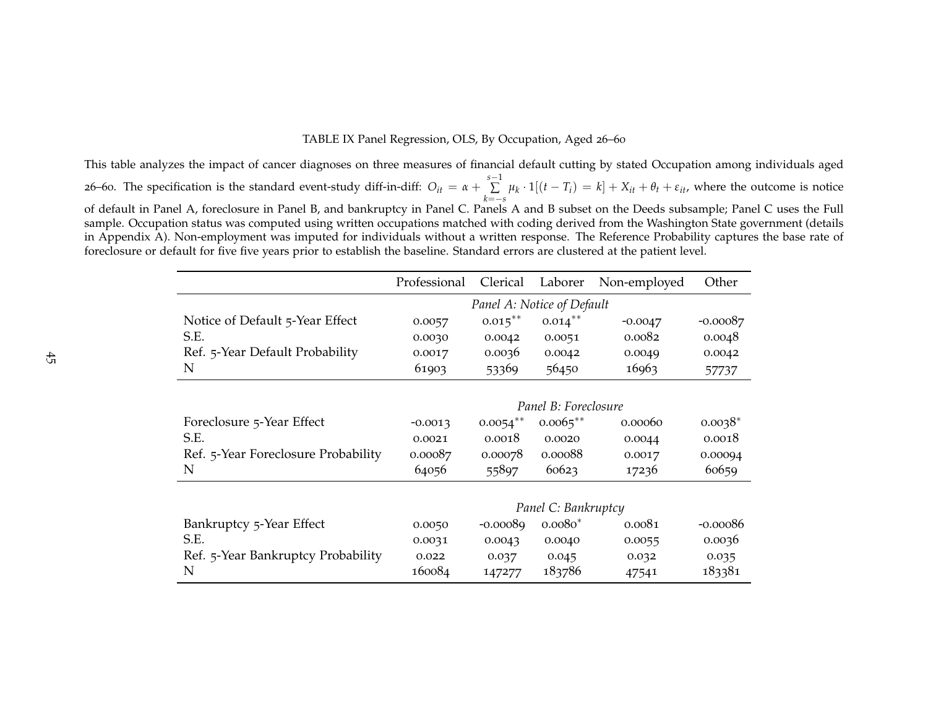### TABLE IX Panel Regression, OLS, By Occupation, Aged <sup>26</sup>–<sup>60</sup>

This table analyzes the impact of cancer diagnoses on three measures of financial default cutting by stated Occupation among individuals aged26–60. The specification is the standard event-study diff-in-diff:  $O_{it} = \alpha + \sum_{k=-s}^{s-1} \mu_k \cdot 1[(t-T_i) = k] + X_{it} + \theta_t + \varepsilon_{it}$ , where the outcome is notic  $\sum_{k=-s}^{s-1} \mu_k \cdot 1[(t-T_i) = k] + X_{it} + \theta_t + \varepsilon_{it}$ , where the outcome is notice of default in Panel A, foreclosure in Panel B, and bankruptcy in Panel C. Panels <sup>A</sup> and <sup>B</sup> subset on the Deeds subsample; Panel C uses the Full sample. Occupation status was computed using written occupations matched with coding derived from the Washington State governmen<sup>t</sup> (details in Appendix A). Non-employment was imputed for individuals without <sup>a</sup> written response. The Reference Probability captures the base rate offoreclosure or default for five five years prior to establish the baseline. Standard errors are clustered at the patient level.

|                                     | Professional               | Clerical    | Laborer              | Non-employed | Other      |  |  |
|-------------------------------------|----------------------------|-------------|----------------------|--------------|------------|--|--|
|                                     | Panel A: Notice of Default |             |                      |              |            |  |  |
| Notice of Default 5-Year Effect     | 0.0057                     | $0.015***$  | $0.014***$           | $-0.0047$    | $-0.00087$ |  |  |
| S.E.                                | 0.0030                     | 0.0042      | 0.0051               | 0.0082       | 0.0048     |  |  |
| Ref. 5-Year Default Probability     | 0.0017                     | 0.0036      | 0.0042               | 0.0049       | 0.0042     |  |  |
| N                                   | 61903                      | 53369       | 56450                | 16963        | 57737      |  |  |
|                                     |                            |             |                      |              |            |  |  |
|                                     |                            |             | Panel B: Foreclosure |              |            |  |  |
| Foreclosure 5-Year Effect           | $-0.0013$                  | $0.0054***$ | $0.0065***$          | 0.00060      | $0.0038*$  |  |  |
| S.E.                                | 0.0021                     | 0.0018      | 0.0020               | 0.0044       | 0.0018     |  |  |
| Ref. 5-Year Foreclosure Probability | 0.00087                    | 0.00078     | 0.00088              | 0.0017       | 0.00094    |  |  |
| N                                   | 64056                      | 55897       | 60623                | 17236        | 60659      |  |  |
|                                     |                            |             |                      |              |            |  |  |
|                                     |                            |             | Panel C: Bankruptcy  |              |            |  |  |
| Bankruptcy 5-Year Effect            | 0.0050                     | $-0.00089$  | $0.0080*$            | 0.0081       | $-0.00086$ |  |  |
| S.E.                                | 0.0031                     | 0.0043      | 0.0040               | 0.0055       | 0.0036     |  |  |
| Ref. 5-Year Bankruptcy Probability  | 0.022                      | 0.037       | 0.045                | 0.032        | 0.035      |  |  |
| N                                   | 160084                     | 147277      | 183786               | 47541        | 183381     |  |  |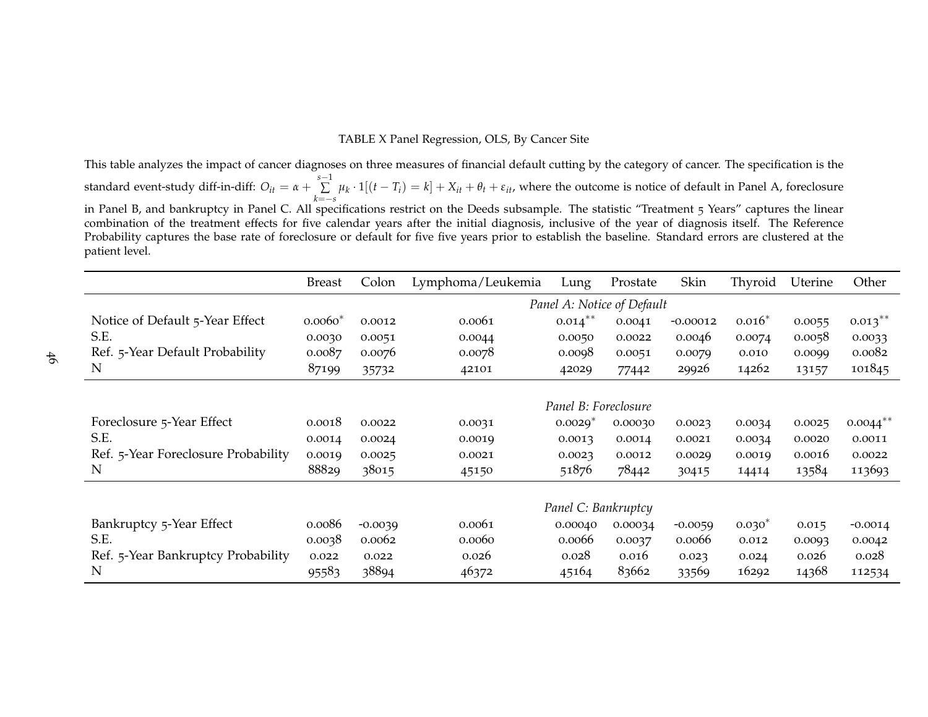#### TABLE <sup>X</sup> Panel Regression, OLS, By Cancer Site

This table analyzes the impact of cancer diagnoses on three measures of financial default cutting by the category of cancer. The specification is thestandard event-study diff-in-diff:  $O_{it} = \alpha + \sum_{k=-s}^{s-1} \mu_k \cdot 1[(t-T_i) = k] + X_{it} + \theta_t + \varepsilon_{it}$ , where the outcome is notice of default in Panel A, foreclosure  $\sum_{k=-s}^{s-1} \mu_k \cdot 1[(t - T_i) = k] + X_{it} + \theta_t + \varepsilon_{it}$ , where the outcome is notice of default in Panel A, foreclosure in Panel B, and bankruptcy in Panel C. All specifications restrict on the Deeds subsample. The statistic "Treatment 5 Years" captures the linear combination of the treatment effects for five calendar years after the initial diagnosis, inclusive of the year of diagnosis itself. The Reference Probability captures the base rate of foreclosure or default for five five years prior to establish the baseline. Standard errors are clustered at thepatient level.

|                                     | <b>Breast</b> | Colon     | Lymphoma/Leukemia | Lung                  | Prostate                   | Skin       | Thyroid  | Uterine | Other                  |
|-------------------------------------|---------------|-----------|-------------------|-----------------------|----------------------------|------------|----------|---------|------------------------|
|                                     |               |           |                   |                       | Panel A: Notice of Default |            |          |         |                        |
| Notice of Default 5-Year Effect     | $0.0060*$     | 0.0012    | 0.0061            | $0.014***$            | 0.0041                     | $-0.00012$ | $0.016*$ | 0.0055  | $0.013***$             |
| S.E.                                | 0.0030        | 0.0051    | 0.0044            | 0.0050                | 0.0022                     | 0.0046     | 0.0074   | 0.0058  | 0.0033                 |
| Ref. 5-Year Default Probability     | 0.0087        | 0.0076    | 0.0078            | 0.0098                | 0.0051                     | 0.0079     | 0.010    | 0.0099  | 0.0082                 |
| N                                   | 87199         | 35732     | 42101             | 42029                 | 77442                      | 29926      | 14262    | 13157   | 101845                 |
|                                     |               |           |                   |                       |                            |            |          |         |                        |
|                                     |               |           |                   | Panel B: Foreclosure  |                            |            |          |         |                        |
| Foreclosure 5-Year Effect           | 0.0018        | 0.0022    | 0.0031            | $0.0029$ <sup>*</sup> | 0.00030                    | 0.0023     | 0.0034   | 0.0025  | $0.0044$ <sup>**</sup> |
| S.E.                                | 0.0014        | 0.0024    | 0.0019            | 0.0013                | 0.0014                     | 0.0021     | 0.0034   | 0.0020  | 0.0011                 |
| Ref. 5-Year Foreclosure Probability | 0.0019        | 0.0025    | 0.0021            | 0.0023                | 0.0012                     | 0.0029     | 0.0019   | 0.0016  | 0.0022                 |
| N                                   | 88829         | 38015     | 45150             | 51876                 | 78442                      | 30415      | 14414    | 13584   | 113693                 |
|                                     |               |           |                   |                       |                            |            |          |         |                        |
|                                     |               |           |                   | Panel C: Bankruptcy   |                            |            |          |         |                        |
| Bankruptcy 5-Year Effect            | 0.0086        | $-0.0039$ | 0.0061            | 0.00040               | 0.00034                    | $-0.0059$  | $0.030*$ | 0.015   | $-0.0014$              |
| S.E.                                | 0.0038        | 0.0062    | 0.0060            | 0.0066                | 0.0037                     | 0.0066     | 0.012    | 0.0093  | 0.0042                 |
| Ref. 5-Year Bankruptcy Probability  | 0.022         | 0.022     | 0.026             | 0.028                 | 0.016                      | 0.023      | 0.024    | 0.026   | 0.028                  |
| N                                   | 95583         | 38894     | 46372             | 45164                 | 83662                      | 33569      | 16292    | 14368   | 112534                 |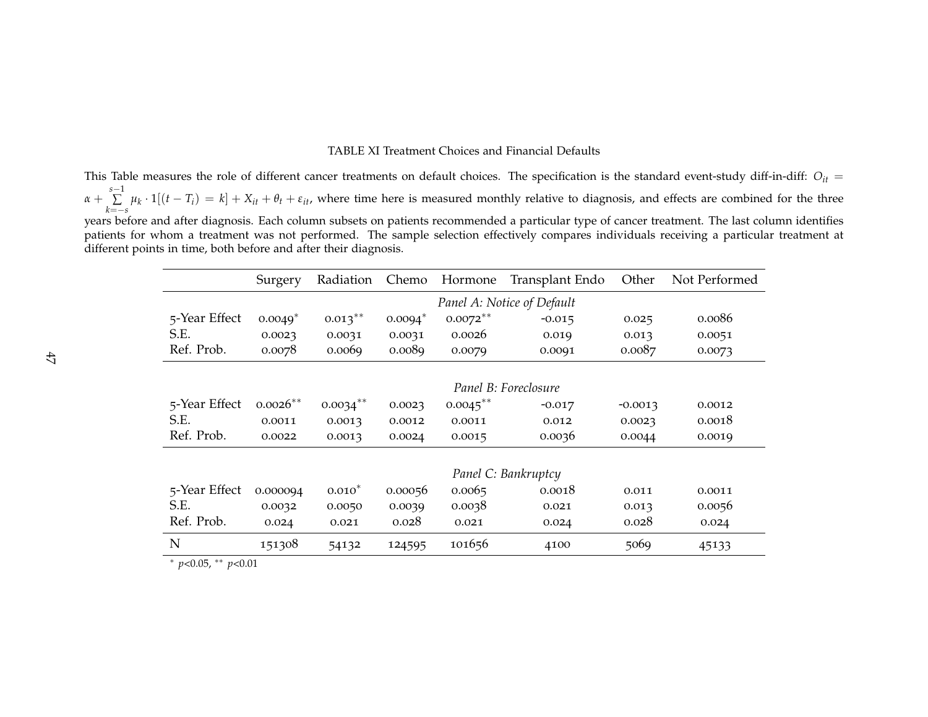#### TABLE XI Treatment Choices and Financial Defaults

This Table measures the role of different cancer treatments on default choices. The specification is the standard event-study diff-in-diff:  $O_{it} =$  $\alpha + \sum_{k=-s}^{s-1} \mu_k \cdot 1[(t-T_i) = k] + X_{it} + \theta_t + \varepsilon_{it}$ , where time here is measured monthly relative to diagnosis, and effects are combined for the thre  $\sum_{k=-s}^{s-1} \mu_k \cdot 1[(t-T_i) = k] + X_{it} + \theta_t + \varepsilon_{it}$ , where time here is measured monthly relative to diagnosis, and effects are combined for the three years before and after diagnosis. Each column subsets on patients recommended <sup>a</sup> particular type of cancer treatment. The last column identifies patients for whom <sup>a</sup> treatment was not performed. The sample selection effectively compares individuals receiving <sup>a</sup> particular treatment atdifferent points in time, both before and after their diagnosis.

|                          | Surgery                    | Radiation   | Chemo     | Hormone     | Transplant Endo      | Other     | Not Performed |  |
|--------------------------|----------------------------|-------------|-----------|-------------|----------------------|-----------|---------------|--|
|                          | Panel A: Notice of Default |             |           |             |                      |           |               |  |
| 5-Year Effect            | $0.0049*$                  | $0.013***$  | $0.0094*$ | $0.0072***$ | $-0.015$             | 0.025     | 0.0086        |  |
| S.E.                     | 0.0023                     | 0.0031      | 0.0031    | 0.0026      | 0.019                | 0.013     | 0.0051        |  |
| Ref. Prob.               | 0.0078                     | 0.0069      | 0.0089    | 0.0079      | 0.0091               | 0.0087    | 0.0073        |  |
|                          |                            |             |           |             |                      |           |               |  |
|                          |                            |             |           |             | Panel B: Foreclosure |           |               |  |
| 5-Year Effect            | $0.0026**$                 | $0.0034***$ | 0.0023    | $0.0045***$ | $-0.017$             | $-0.0013$ | 0.0012        |  |
| S.E.                     | 0.0011                     | 0.0013      | 0.0012    | 0.0011      | 0.012                | 0.0023    | 0.0018        |  |
| Ref. Prob.               | 0.0022                     | 0.0013      | 0.0024    | 0.0015      | 0.0036               | 0.0044    | 0.0019        |  |
|                          |                            |             |           |             |                      |           |               |  |
|                          | Panel C: Bankruptcy        |             |           |             |                      |           |               |  |
| 5-Year Effect            | 0.000094                   | $0.010*$    | 0.00056   | 0.0065      | 0.0018               | 0.011     | 0.0011        |  |
| S.E.                     | 0.0032                     | 0.0050      | 0.0039    | 0.0038      | 0.021                | 0.013     | 0.0056        |  |
| Ref. Prob.               | 0.024                      | 0.021       | 0.028     | 0.021       | 0.024                | 0.028     | 0.024         |  |
| N<br>$0.07 - 44$<br>0.01 | 151308                     | 54132       | 124595    | 101656      | 4100                 | 5069      | 45133         |  |

∗*p*<0.05, ∗∗ *p*<0.01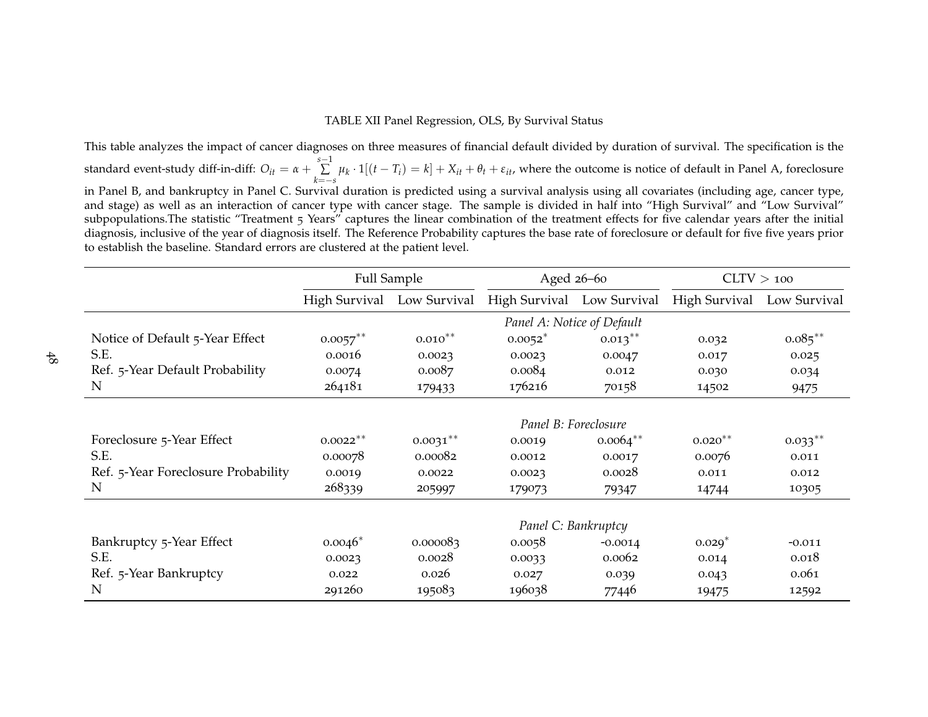### TABLE XII Panel Regression, OLS, By Survival Status

This table analyzes the impact of cancer diagnoses on three measures of financial default divided by duration of survival. The specification is thestandard event-study diff-in-diff:  $O_{it} = \alpha + \sum_{k=-s}^{s-1} \mu_k \cdot 1[(t-T_i) = k] + X_{it} + \theta_t + \varepsilon_{it}$ , where the outcome is notice of default in Panel A, foreclosure  $\sum_{k=-s}^{s-1} \mu_k \cdot 1[(t - T_i) = k] + X_{it} + \theta_t + \varepsilon_{it}$ , where the outcome is notice of default in Panel A, foreclosure in Panel B, and bankruptcy in Panel C. Survival duration is predicted using a survival analysis using all covariates (including age, cancer type, and stage) as well as an interaction of cancer type with cancer stage. The sample is divided in half into "High Survival" and "Low Survival" subpopulations.The statistic "Treatment 5 Years" captures the linear combination of the treatment effects for five calendar years after the initial diagnosis, inclusive of the year of diagnosis itself. The Reference Probability captures the base rate of foreclosure or default for five five years priorto establish the baseline. Standard errors are clustered at the patient level.

|                                     | <b>Full Sample</b> |                            | Aged 26-60                 |              | CLTV > 100    |              |
|-------------------------------------|--------------------|----------------------------|----------------------------|--------------|---------------|--------------|
|                                     |                    | High Survival Low Survival | High Survival              | Low Survival | High Survival | Low Survival |
|                                     |                    |                            | Panel A: Notice of Default |              |               |              |
| Notice of Default 5-Year Effect     | $0.0057$ **        | $0.010^{**}$               | $0.0052$ <sup>*</sup>      | $0.013***$   | 0.032         | $0.085***$   |
| S.E.                                | 0.0016             | 0.0023                     | 0.0023                     | 0.0047       | 0.017         | 0.025        |
| Ref. 5-Year Default Probability     | 0.0074             | 0.0087                     | 0.0084                     | 0.012        | 0.030         | 0.034        |
| $\mathbf N$                         | 264181             | 179433                     | 176216                     | 70158        | 14502         | 9475         |
|                                     |                    |                            |                            |              |               |              |
|                                     |                    |                            | Panel B: Foreclosure       |              |               |              |
| Foreclosure 5-Year Effect           | $0.0022**$         | $0.0031**$                 | 0.0019                     | $0.0064***$  | $0.020**$     | $0.033**$    |
| S.E.                                | 0.00078            | 0.00082                    | 0.0012                     | 0.0017       | 0.0076        | 0.011        |
| Ref. 5-Year Foreclosure Probability | 0.0019             | 0.0022                     | 0.0023                     | 0.0028       | 0.011         | 0.012        |
| N                                   | 268339             | 205997                     | 179073                     | 79347        | 14744         | 10305        |
|                                     |                    |                            |                            |              |               |              |
|                                     |                    |                            | Panel C: Bankruptcy        |              |               |              |
| Bankruptcy 5-Year Effect            | $0.0046*$          | 0.000083                   | 0.0058                     | $-0.0014$    | $0.029*$      | $-0.011$     |
| S.E.                                | 0.0023             | 0.0028                     | 0.0033                     | 0.0062       | 0.014         | 0.018        |
| Ref. 5-Year Bankruptcy              | 0.022              | 0.026                      | 0.027                      | 0.039        | 0.043         | 0.061        |
| N                                   | 291260             | 195083                     | 196038                     | 77446        | 19475         | 12592        |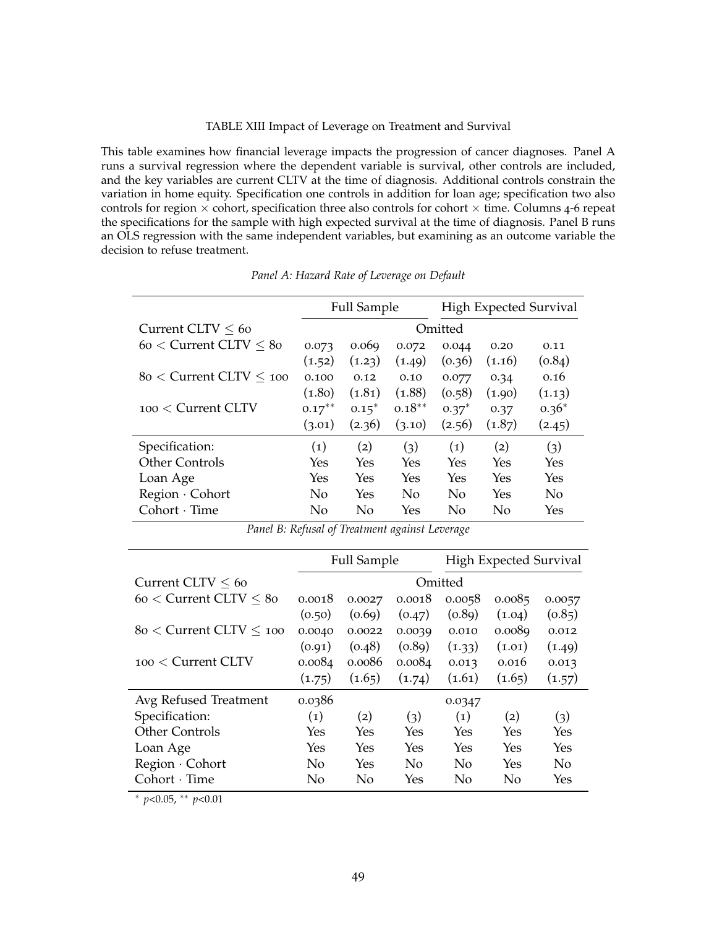#### TABLE XIII Impact of Leverage on Treatment and Survival

This table examines how financial leverage impacts the progression of cancer diagnoses. Panel A runs a survival regression where the dependent variable is survival, other controls are included, and the key variables are current CLTV at the time of diagnosis. Additional controls constrain the variation in home equity. Specification one controls in addition for loan age; specification two also controls for region  $\times$  cohort, specification three also controls for cohort  $\times$  time. Columns 4-6 repeat the specifications for the sample with high expected survival at the time of diagnosis. Panel B runs an OLS regression with the same independent variables, but examining as an outcome variable the decision to refuse treatment.

|                             | <b>Full Sample</b> |         |           | High Expected Survival |        |         |
|-----------------------------|--------------------|---------|-----------|------------------------|--------|---------|
| Current CLTV $< 60$         | Omitted            |         |           |                        |        |         |
| $60 <$ Current CLTV $< 80$  | 0.073              | 0.069   | 0.072     | 0.044                  | 0.20   | 0.11    |
|                             | (1.52)             | (1.23)  | (1.49)    | (0.36)                 | (1.16) | (0.84)  |
| $80 <$ Current CLTV $< 100$ | 0.100              | 0.12    | 0.10      | 0.077                  | 0.34   | 0.16    |
|                             | (1.80)             | (1.81)  | (1.88)    | (0.58)                 | (1.90) | (1.13)  |
| $100 <$ Current CLTV        | $0.17***$          | $0.15*$ | $0.18***$ | $0.37*$                | 0.37   | $0.36*$ |
|                             | (3.01)             | (2.36)  | (3.10)    | (2.56)                 | (1.87) | (2.45)  |
| Specification:              | $\left( 1\right)$  | (2)     | (3)       | $\left( 1\right)$      | (2)    | (3)     |
| <b>Other Controls</b>       | Yes                | Yes     | Yes       | Yes                    | Yes    | Yes     |
| Loan Age                    | Yes                | Yes     | Yes       | Yes                    | Yes    | Yes     |
| Region · Cohort             | N <sub>0</sub>     | Yes     | No        | No                     | Yes    | No      |
| $Cohort \cdot Time$         | No                 | No      | Yes       | No                     | No     | Yes     |

*Panel A: Hazard Rate of Leverage on Default*

|  |  |  | Panel B: Refusal of Treatment against Leverage |  |  |
|--|--|--|------------------------------------------------|--|--|
|--|--|--|------------------------------------------------|--|--|

|                             | <b>Full Sample</b> |        |        | <b>High Expected Survival</b> |        |                |
|-----------------------------|--------------------|--------|--------|-------------------------------|--------|----------------|
| Current CLTV $< 60$         |                    |        |        | Omitted                       |        |                |
| $60 <$ Current CLTV $< 80$  | 0.0018             | 0.0027 | 0.0018 | 0.0058                        | 0.0085 | 0.0057         |
|                             | (0.50)             | (0.69) | (0.47) | (0.89)                        | (1.04) | (0.85)         |
| $80 <$ Current CLTV $< 100$ | 0.0040             | 0.0022 | 0.0039 | 0.010                         | 0.0089 | 0.012          |
|                             | (0.91)             | (0.48) | (0.89) | (1.33)                        | (1.01) | (1.49)         |
| $100 <$ Current CLTV        | 0.0084             | 0.0086 | 0.0084 | 0.013                         | 0.016  | 0.013          |
|                             | (1.75)             | (1.65) | (1.74) | (1.61)                        | (1.65) | (1.57)         |
| Avg Refused Treatment       | 0.0386             |        |        | 0.0347                        |        |                |
| Specification:              | $\left( 1\right)$  | (2)    | (3)    | $\left( 1\right)$             | (2)    | (3)            |
| <b>Other Controls</b>       | Yes                | Yes    | Yes    | Yes                           | Yes    | Yes            |
| Loan Age                    | Yes                | Yes    | Yes    | Yes                           | Yes    | Yes            |
| Region · Cohort             | $\overline{N}$     | Yes    | No     | No                            | Yes    | N <sub>0</sub> |
| $Cohort \cdot Time$         | No                 | No     | Yes    | No                            | No     | Yes            |

<sup>∗</sup> *p*<0.05, ∗∗ *p*<0.01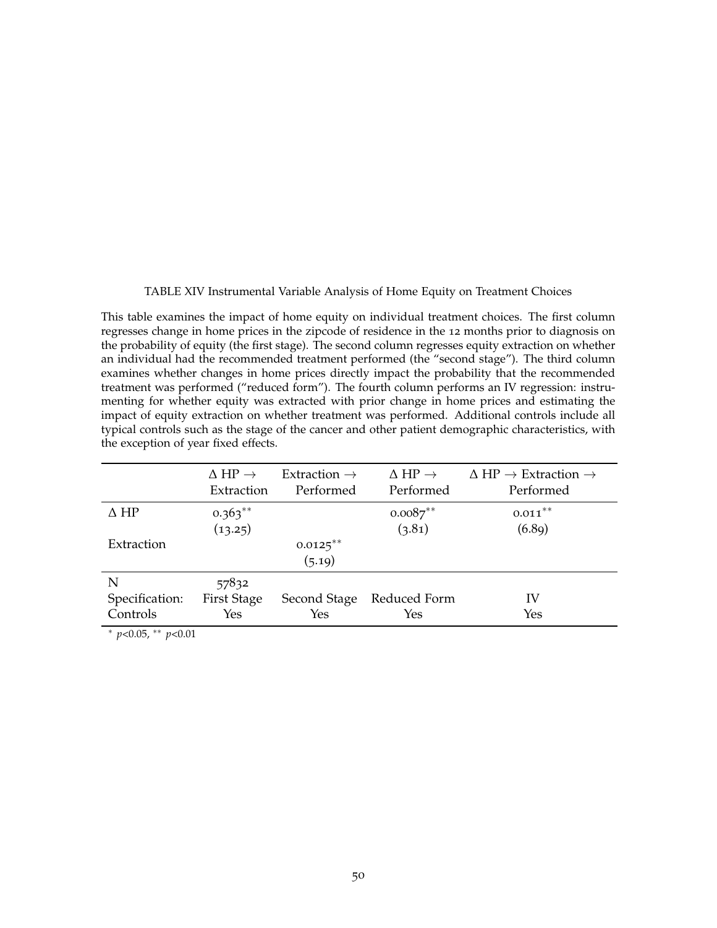### TABLE XIV Instrumental Variable Analysis of Home Equity on Treatment Choices

This table examines the impact of home equity on individual treatment choices. The first column regresses change in home prices in the zipcode of residence in the 12 months prior to diagnosis on the probability of equity (the first stage). The second column regresses equity extraction on whether an individual had the recommended treatment performed (the "second stage"). The third column examines whether changes in home prices directly impact the probability that the recommended treatment was performed ("reduced form"). The fourth column performs an IV regression: instrumenting for whether equity was extracted with prior change in home prices and estimating the impact of equity extraction on whether treatment was performed. Additional controls include all typical controls such as the stage of the cancer and other patient demographic characteristics, with the exception of year fixed effects.

| $\Delta H P \rightarrow$<br>Extraction | Extraction $\rightarrow$<br>Performed | $\Delta H P \rightarrow$<br>Performed | $\Delta$ HP $\rightarrow$ Extraction $\rightarrow$<br>Performed |
|----------------------------------------|---------------------------------------|---------------------------------------|-----------------------------------------------------------------|
| $0.363**$                              |                                       | $0.0087**$                            | $0.011***$                                                      |
| (13.25)                                |                                       | (3.81)                                | (6.89)                                                          |
|                                        | $0.0125***$                           |                                       |                                                                 |
|                                        | (5.19)                                |                                       |                                                                 |
| 57832                                  |                                       |                                       |                                                                 |
| <b>First Stage</b>                     |                                       | Reduced Form                          | IV                                                              |
| Yes                                    | Yes                                   | Yes                                   | Yes                                                             |
|                                        |                                       |                                       | Second Stage                                                    |

<sup>∗</sup> *p*<0.05, ∗∗ *p*<0.01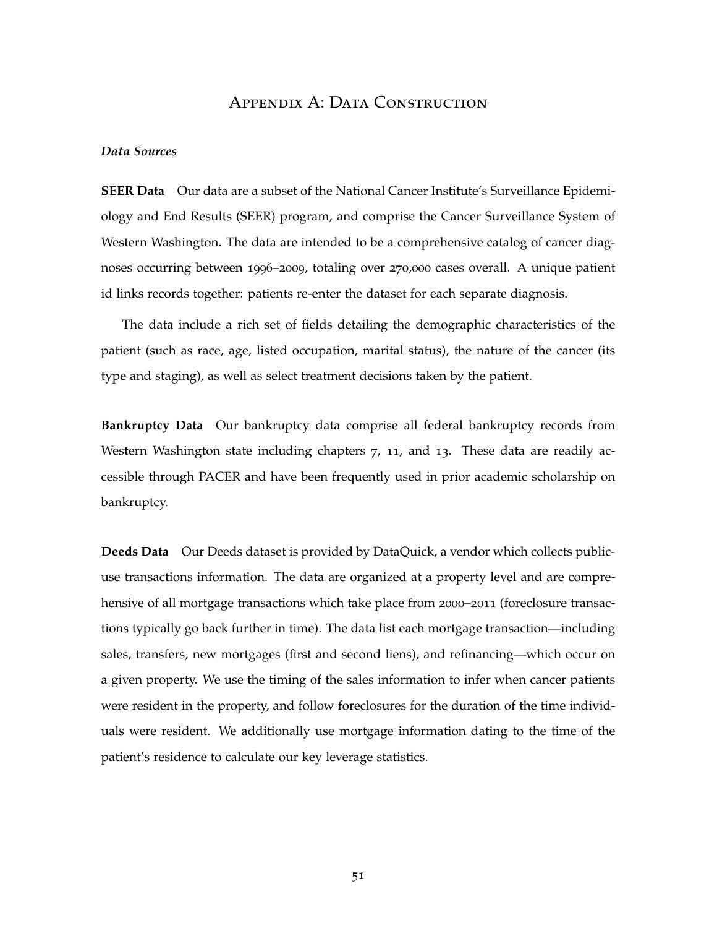### APPENDIX A: DATA CONSTRUCTION

### *Data Sources*

**SEER Data** Our data are a subset of the National Cancer Institute's Surveillance Epidemiology and End Results (SEER) program, and comprise the Cancer Surveillance System of Western Washington. The data are intended to be a comprehensive catalog of cancer diagnoses occurring between 1996–2009, totaling over 270,000 cases overall. A unique patient id links records together: patients re-enter the dataset for each separate diagnosis.

The data include a rich set of fields detailing the demographic characteristics of the patient (such as race, age, listed occupation, marital status), the nature of the cancer (its type and staging), as well as select treatment decisions taken by the patient.

**Bankruptcy Data** Our bankruptcy data comprise all federal bankruptcy records from Western Washington state including chapters 7, 11, and 13. These data are readily accessible through PACER and have been frequently used in prior academic scholarship on bankruptcy.

**Deeds Data** Our Deeds dataset is provided by DataQuick, a vendor which collects publicuse transactions information. The data are organized at a property level and are comprehensive of all mortgage transactions which take place from 2000–2011 (foreclosure transactions typically go back further in time). The data list each mortgage transaction—including sales, transfers, new mortgages (first and second liens), and refinancing—which occur on a given property. We use the timing of the sales information to infer when cancer patients were resident in the property, and follow foreclosures for the duration of the time individuals were resident. We additionally use mortgage information dating to the time of the patient's residence to calculate our key leverage statistics.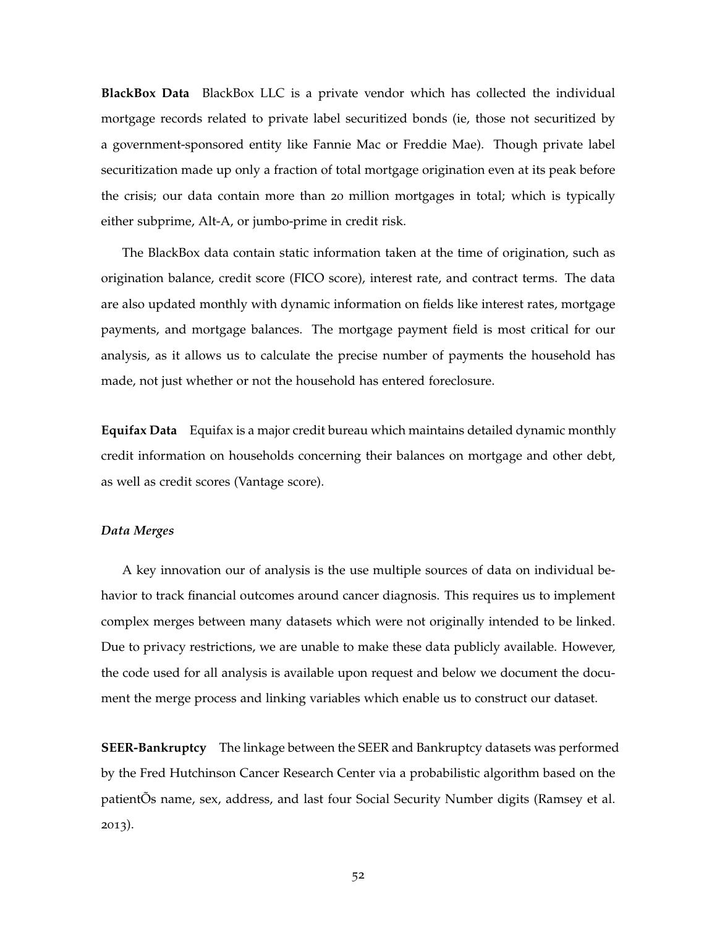**BlackBox Data** BlackBox LLC is a private vendor which has collected the individual mortgage records related to private label securitized bonds (ie, those not securitized by a government-sponsored entity like Fannie Mac or Freddie Mae). Though private label securitization made up only a fraction of total mortgage origination even at its peak before the crisis; our data contain more than 20 million mortgages in total; which is typically either subprime, Alt-A, or jumbo-prime in credit risk.

The BlackBox data contain static information taken at the time of origination, such as origination balance, credit score (FICO score), interest rate, and contract terms. The data are also updated monthly with dynamic information on fields like interest rates, mortgage payments, and mortgage balances. The mortgage payment field is most critical for our analysis, as it allows us to calculate the precise number of payments the household has made, not just whether or not the household has entered foreclosure.

**Equifax Data** Equifax is a major credit bureau which maintains detailed dynamic monthly credit information on households concerning their balances on mortgage and other debt, as well as credit scores (Vantage score).

### *Data Merges*

A key innovation our of analysis is the use multiple sources of data on individual behavior to track financial outcomes around cancer diagnosis. This requires us to implement complex merges between many datasets which were not originally intended to be linked. Due to privacy restrictions, we are unable to make these data publicly available. However, the code used for all analysis is available upon request and below we document the document the merge process and linking variables which enable us to construct our dataset.

**SEER-Bankruptcy** The linkage between the SEER and Bankruptcy datasets was performed by the Fred Hutchinson Cancer Research Center via a probabilistic algorithm based on the patientÕs name, sex, address, and last four Social Security Number digits (Ramsey et al. 2013).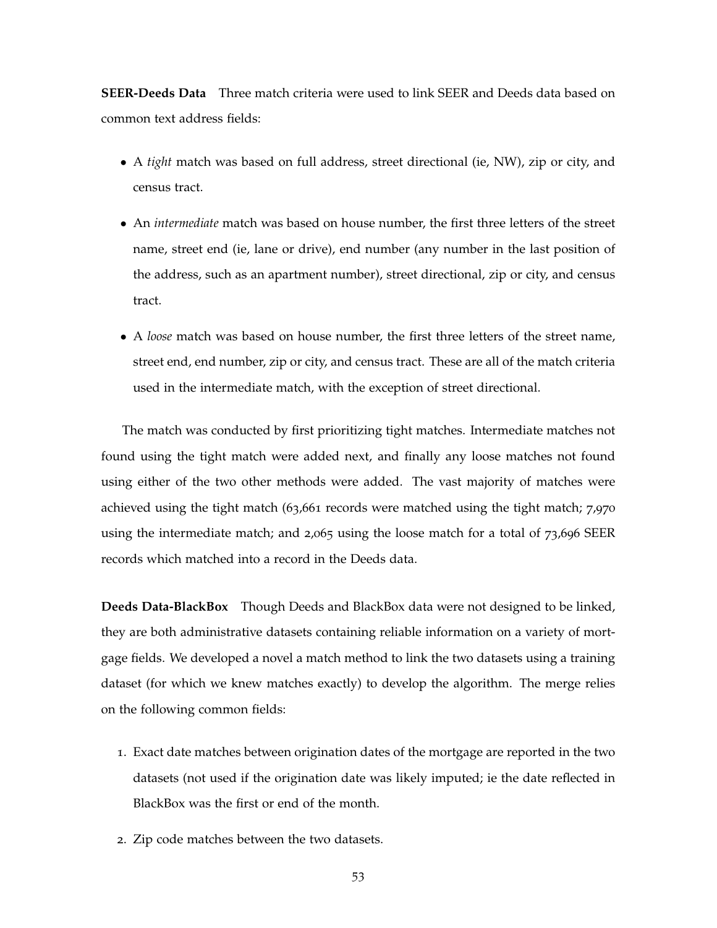**SEER-Deeds Data** Three match criteria were used to link SEER and Deeds data based on common text address fields:

- A *tight* match was based on full address, street directional (ie, NW), zip or city, and census tract.
- An *intermediate* match was based on house number, the first three letters of the street name, street end (ie, lane or drive), end number (any number in the last position of the address, such as an apartment number), street directional, zip or city, and census tract.
- A *loose* match was based on house number, the first three letters of the street name, street end, end number, zip or city, and census tract. These are all of the match criteria used in the intermediate match, with the exception of street directional.

The match was conducted by first prioritizing tight matches. Intermediate matches not found using the tight match were added next, and finally any loose matches not found using either of the two other methods were added. The vast majority of matches were achieved using the tight match (63,661 records were matched using the tight match; 7,970 using the intermediate match; and 2,065 using the loose match for a total of 73,696 SEER records which matched into a record in the Deeds data.

**Deeds Data-BlackBox** Though Deeds and BlackBox data were not designed to be linked, they are both administrative datasets containing reliable information on a variety of mortgage fields. We developed a novel a match method to link the two datasets using a training dataset (for which we knew matches exactly) to develop the algorithm. The merge relies on the following common fields:

- 1. Exact date matches between origination dates of the mortgage are reported in the two datasets (not used if the origination date was likely imputed; ie the date reflected in BlackBox was the first or end of the month.
- 2. Zip code matches between the two datasets.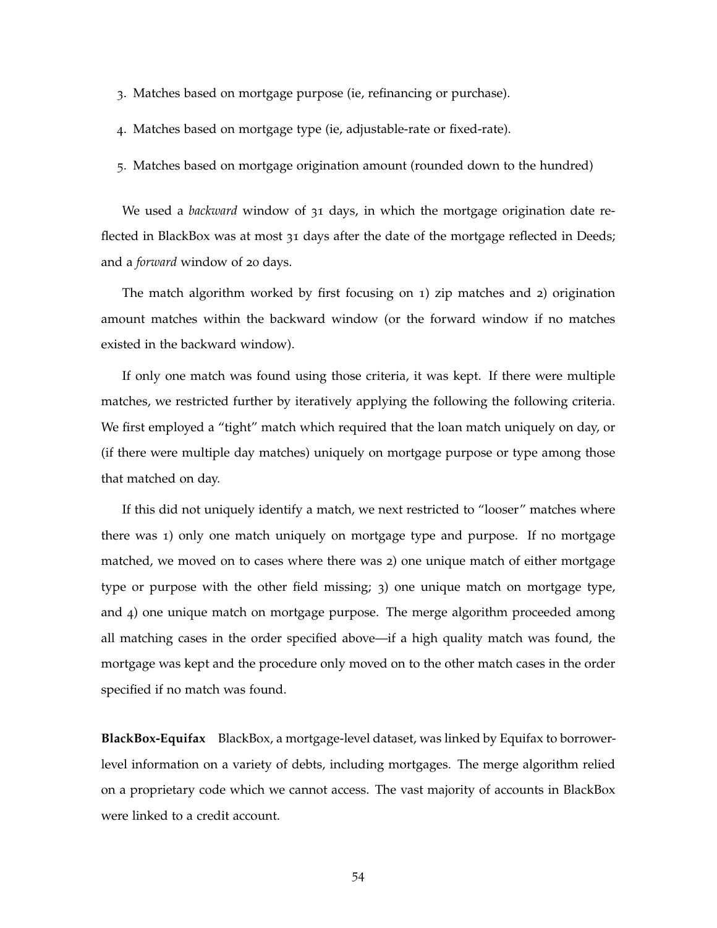- 3. Matches based on mortgage purpose (ie, refinancing or purchase).
- 4. Matches based on mortgage type (ie, adjustable-rate or fixed-rate).
- 5. Matches based on mortgage origination amount (rounded down to the hundred)

We used a *backward* window of 31 days, in which the mortgage origination date reflected in BlackBox was at most 31 days after the date of the mortgage reflected in Deeds; and a *forward* window of 20 days.

The match algorithm worked by first focusing on 1) zip matches and 2) origination amount matches within the backward window (or the forward window if no matches existed in the backward window).

If only one match was found using those criteria, it was kept. If there were multiple matches, we restricted further by iteratively applying the following the following criteria. We first employed a "tight" match which required that the loan match uniquely on day, or (if there were multiple day matches) uniquely on mortgage purpose or type among those that matched on day.

If this did not uniquely identify a match, we next restricted to "looser" matches where there was 1) only one match uniquely on mortgage type and purpose. If no mortgage matched, we moved on to cases where there was 2) one unique match of either mortgage type or purpose with the other field missing; 3) one unique match on mortgage type, and 4) one unique match on mortgage purpose. The merge algorithm proceeded among all matching cases in the order specified above—if a high quality match was found, the mortgage was kept and the procedure only moved on to the other match cases in the order specified if no match was found.

**BlackBox-Equifax** BlackBox, a mortgage-level dataset, was linked by Equifax to borrowerlevel information on a variety of debts, including mortgages. The merge algorithm relied on a proprietary code which we cannot access. The vast majority of accounts in BlackBox were linked to a credit account.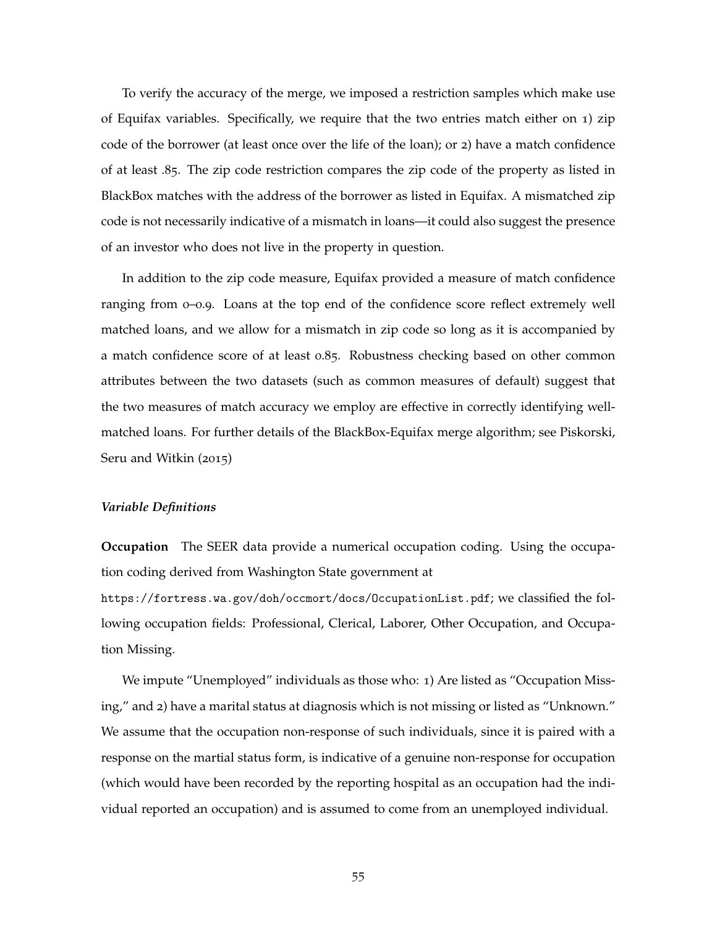To verify the accuracy of the merge, we imposed a restriction samples which make use of Equifax variables. Specifically, we require that the two entries match either on 1) zip code of the borrower (at least once over the life of the loan); or 2) have a match confidence of at least .85. The zip code restriction compares the zip code of the property as listed in BlackBox matches with the address of the borrower as listed in Equifax. A mismatched zip code is not necessarily indicative of a mismatch in loans—it could also suggest the presence of an investor who does not live in the property in question.

In addition to the zip code measure, Equifax provided a measure of match confidence ranging from 0–0.9. Loans at the top end of the confidence score reflect extremely well matched loans, and we allow for a mismatch in zip code so long as it is accompanied by a match confidence score of at least 0.85. Robustness checking based on other common attributes between the two datasets (such as common measures of default) suggest that the two measures of match accuracy we employ are effective in correctly identifying wellmatched loans. For further details of the BlackBox-Equifax merge algorithm; see Piskorski, Seru and Witkin (2015)

#### *Variable Definitions*

**Occupation** The SEER data provide a numerical occupation coding. Using the occupation coding derived from Washington State government at

https://fortress.wa.gov/doh/occmort/docs/OccupationList.pdf; we classified the following occupation fields: Professional, Clerical, Laborer, Other Occupation, and Occupation Missing.

We impute "Unemployed" individuals as those who: 1) Are listed as "Occupation Missing," and 2) have a marital status at diagnosis which is not missing or listed as "Unknown." We assume that the occupation non-response of such individuals, since it is paired with a response on the martial status form, is indicative of a genuine non-response for occupation (which would have been recorded by the reporting hospital as an occupation had the individual reported an occupation) and is assumed to come from an unemployed individual.

55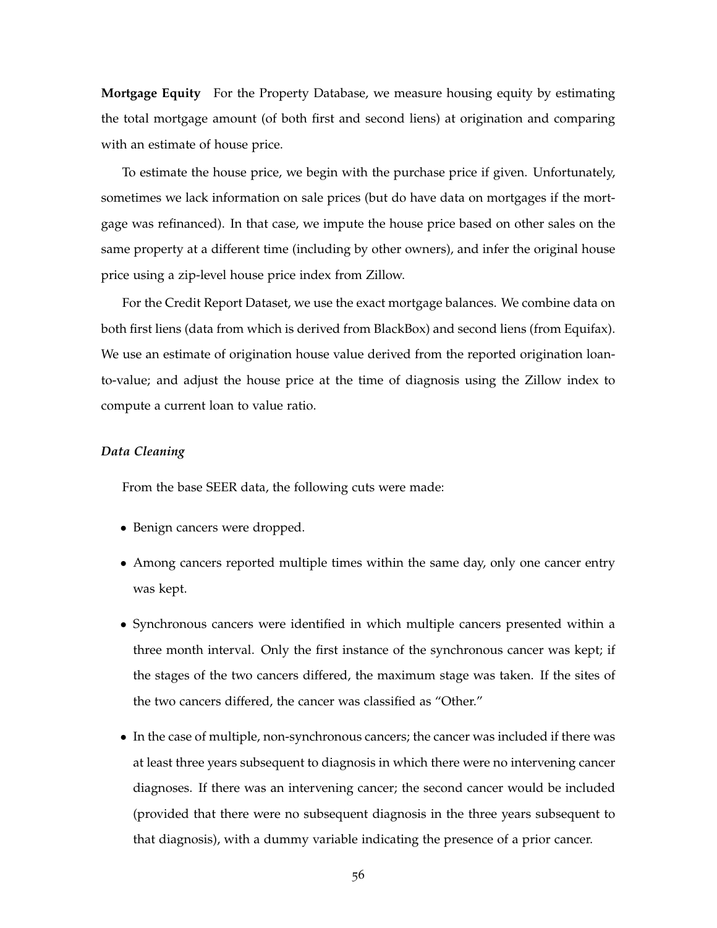**Mortgage Equity** For the Property Database, we measure housing equity by estimating the total mortgage amount (of both first and second liens) at origination and comparing with an estimate of house price.

To estimate the house price, we begin with the purchase price if given. Unfortunately, sometimes we lack information on sale prices (but do have data on mortgages if the mortgage was refinanced). In that case, we impute the house price based on other sales on the same property at a different time (including by other owners), and infer the original house price using a zip-level house price index from Zillow.

For the Credit Report Dataset, we use the exact mortgage balances. We combine data on both first liens (data from which is derived from BlackBox) and second liens (from Equifax). We use an estimate of origination house value derived from the reported origination loanto-value; and adjust the house price at the time of diagnosis using the Zillow index to compute a current loan to value ratio.

### *Data Cleaning*

From the base SEER data, the following cuts were made:

- Benign cancers were dropped.
- Among cancers reported multiple times within the same day, only one cancer entry was kept.
- Synchronous cancers were identified in which multiple cancers presented within a three month interval. Only the first instance of the synchronous cancer was kept; if the stages of the two cancers differed, the maximum stage was taken. If the sites of the two cancers differed, the cancer was classified as "Other."
- In the case of multiple, non-synchronous cancers; the cancer was included if there was at least three years subsequent to diagnosis in which there were no intervening cancer diagnoses. If there was an intervening cancer; the second cancer would be included (provided that there were no subsequent diagnosis in the three years subsequent to that diagnosis), with a dummy variable indicating the presence of a prior cancer.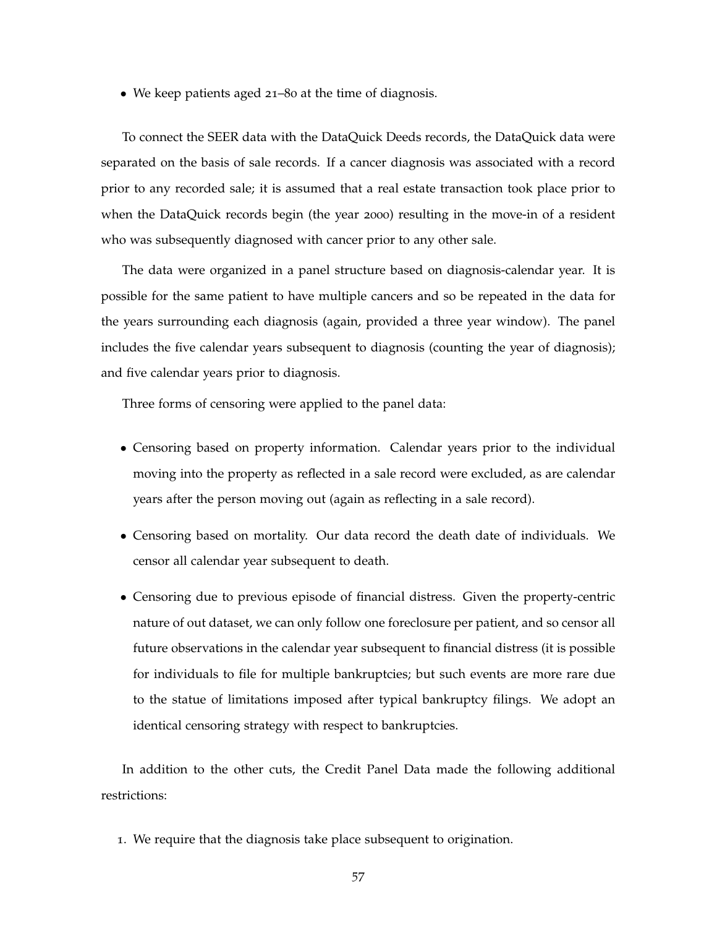• We keep patients aged 21–80 at the time of diagnosis.

To connect the SEER data with the DataQuick Deeds records, the DataQuick data were separated on the basis of sale records. If a cancer diagnosis was associated with a record prior to any recorded sale; it is assumed that a real estate transaction took place prior to when the DataQuick records begin (the year 2000) resulting in the move-in of a resident who was subsequently diagnosed with cancer prior to any other sale.

The data were organized in a panel structure based on diagnosis-calendar year. It is possible for the same patient to have multiple cancers and so be repeated in the data for the years surrounding each diagnosis (again, provided a three year window). The panel includes the five calendar years subsequent to diagnosis (counting the year of diagnosis); and five calendar years prior to diagnosis.

Three forms of censoring were applied to the panel data:

- Censoring based on property information. Calendar years prior to the individual moving into the property as reflected in a sale record were excluded, as are calendar years after the person moving out (again as reflecting in a sale record).
- Censoring based on mortality. Our data record the death date of individuals. We censor all calendar year subsequent to death.
- Censoring due to previous episode of financial distress. Given the property-centric nature of out dataset, we can only follow one foreclosure per patient, and so censor all future observations in the calendar year subsequent to financial distress (it is possible for individuals to file for multiple bankruptcies; but such events are more rare due to the statue of limitations imposed after typical bankruptcy filings. We adopt an identical censoring strategy with respect to bankruptcies.

In addition to the other cuts, the Credit Panel Data made the following additional restrictions:

1. We require that the diagnosis take place subsequent to origination.